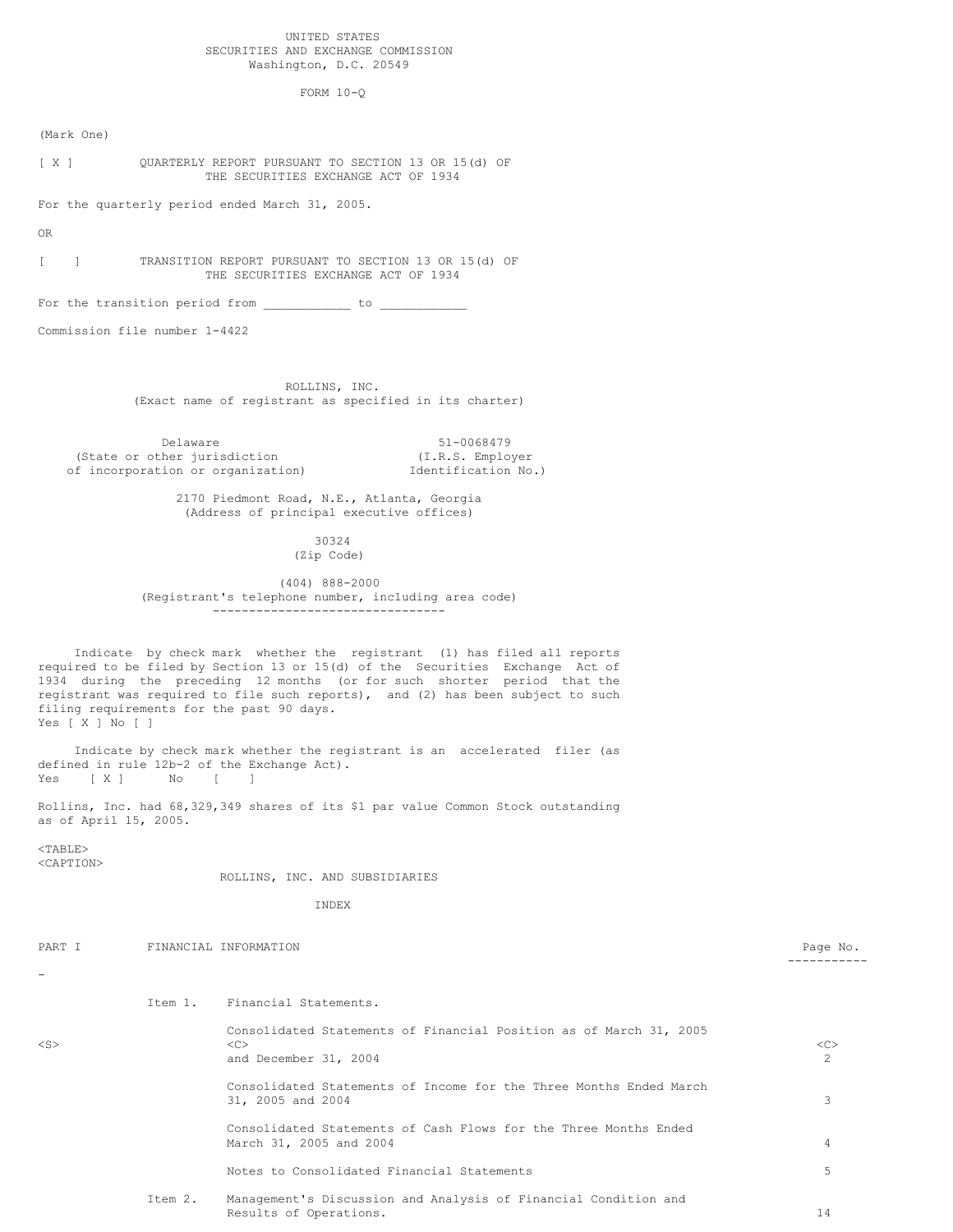# UNITED STATES SECURITIES AND EXCHANGE COMMISSION Washington, D.C. 20549

FORM 10-Q

(Mark One)

[ X ] QUARTERLY REPORT PURSUANT TO SECTION 13 OR 15(d) OF THE SECURITIES EXCHANGE ACT OF 1934

For the quarterly period ended March 31, 2005.

OR

[ ] TRANSITION REPORT PURSUANT TO SECTION 13 OR 15(d) OF THE SECURITIES EXCHANGE ACT OF 1934

For the transition period from  $\frac{\ }{\ }$ 

Commission file number 1-4422

ROLLINS, INC. (Exact name of registrant as specified in its charter)

Delaware 51-0068479<br>
ther jurisdiction (I.R.S. Employer (State or other jurisdiction of incorporation or organization) Identification No.)

> 2170 Piedmont Road, N.E., Atlanta, Georgia (Address of principal executive offices)

> > 30324 (Zip Code)

(404) 888-2000 (Registrant's telephone number, including area code) --------------------------------

Indicate by check mark whether the registrant (1) has filed all reports required to be filed by Section 13 or 15(d) of the Securities Exchange Act of 1934 during the preceding 12 months (or for such shorter period that the registrant was required to file such reports), and (2) has been subject to such filing requirements for the past 90 days. Yes [ X ] No [ ]

Indicate by check mark whether the registrant is an accelerated filer (as defined in rule 12b-2 of the Exchange Act). Yes [ X ] No [ ]

Rollins, Inc. had 68,329,349 shares of its \$1 par value Common Stock outstanding as of April 15, 2005.

<TABLE> <CAPTION>

ROLLINS, INC. AND SUBSIDIARIES

INDEX

| PART I                   |         | FINANCIAL INFORMATION                                                                              | Page No. |
|--------------------------|---------|----------------------------------------------------------------------------------------------------|----------|
| $\overline{\phantom{a}}$ |         |                                                                                                    |          |
|                          | Item 1. | Financial Statements.                                                                              |          |
| $<$ S $>$                |         | Consolidated Statements of Financial Position as of March 31, 2005<br><<><br>and December 31, 2004 | <<<br>2  |
|                          |         | Consolidated Statements of Income for the Three Months Ended March<br>31, 2005 and 2004            | 3        |
|                          |         | Consolidated Statements of Cash Flows for the Three Months Ended<br>March 31, 2005 and 2004        | 4        |
|                          |         | Notes to Consolidated Financial Statements                                                         | 5        |
|                          | Item 2. | Management's Discussion and Analysis of Financial Condition and<br>Results of Operations.          | 14       |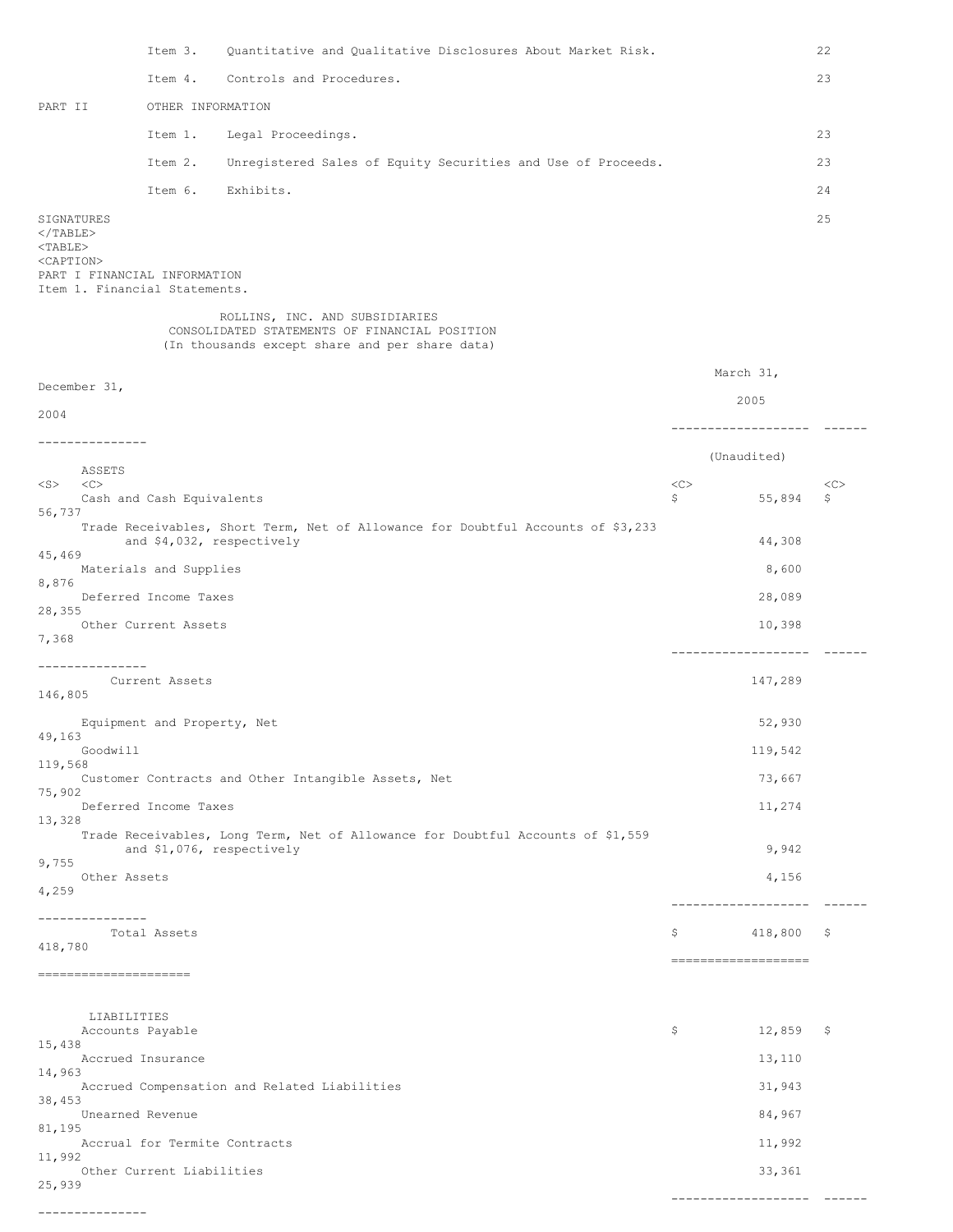Item 3. Quantitative and Qualitative Disclosures About Market Risk. 22 Item 4. Controls and Procedures. 23 PART II OTHER INFORMATION Item 1. Legal Proceedings. 23 Item 2. Unregistered Sales of Equity Securities and Use of Proceeds. 23 Item 6. Exhibits. 24 SIGNATURES 25  $<$ /TABLE $>$ <TABLE> <CAPTION> PART I FINANCIAL INFORMATION Item 1. Financial Statements. ROLLINS, INC. AND SUBSIDIARIES CONSOLIDATED STATEMENTS OF FINANCIAL POSITION (In thousands except share and per share data) March 31, December 31, 2005 2004 ------------------- ------ --------------- (Unaudited) ASSETS<br><C> <S> <C> <C> <C> Cash and Cash Equivalents  $\overline{\phantom{0}}$  55,894 \$ 56,737 Trade Receivables, Short Term, Net of Allowance for Doubtful Accounts of \$3,233 and \$4,032, respectively 44,308 45,469 Materials and Supplies 8,600 8,876 Deferred Income Taxes 28,089 28,355 Other Current Assets 10,398 7,368 ------------------- ------ --------------- Current Assets 147,289 146,805 Equipment and Property, Net 52,930 49,163 Goodwill 119,542 119,568 Customer Contracts and Other Intangible Assets, Net 73,667 75,902 Deferred Income Taxes 11,274 13,328 Trade Receivables, Long Term, Net of Allowance for Doubtful Accounts of \$1,559 and \$1,076, respectively 3,942 9,755 Other Assets 4,156 4,259 ------------------- ------ --------------<br>Total Assets  $$418,800 \$$ 418,780 =================== ===================== LIABILITIES Accounts Payable  $\sim$  12,859 \$ 12,859 \$ 15,438 Accrued Insurance 13,110 14,963 Accrued Compensation and Related Liabilities 31,943 38,453 Unearned Revenue 84,967 81,195 Accrual for Termite Contracts 11,992 11,992 Other Current Liabilities 33,361 25,939 ------------------- ------

---------------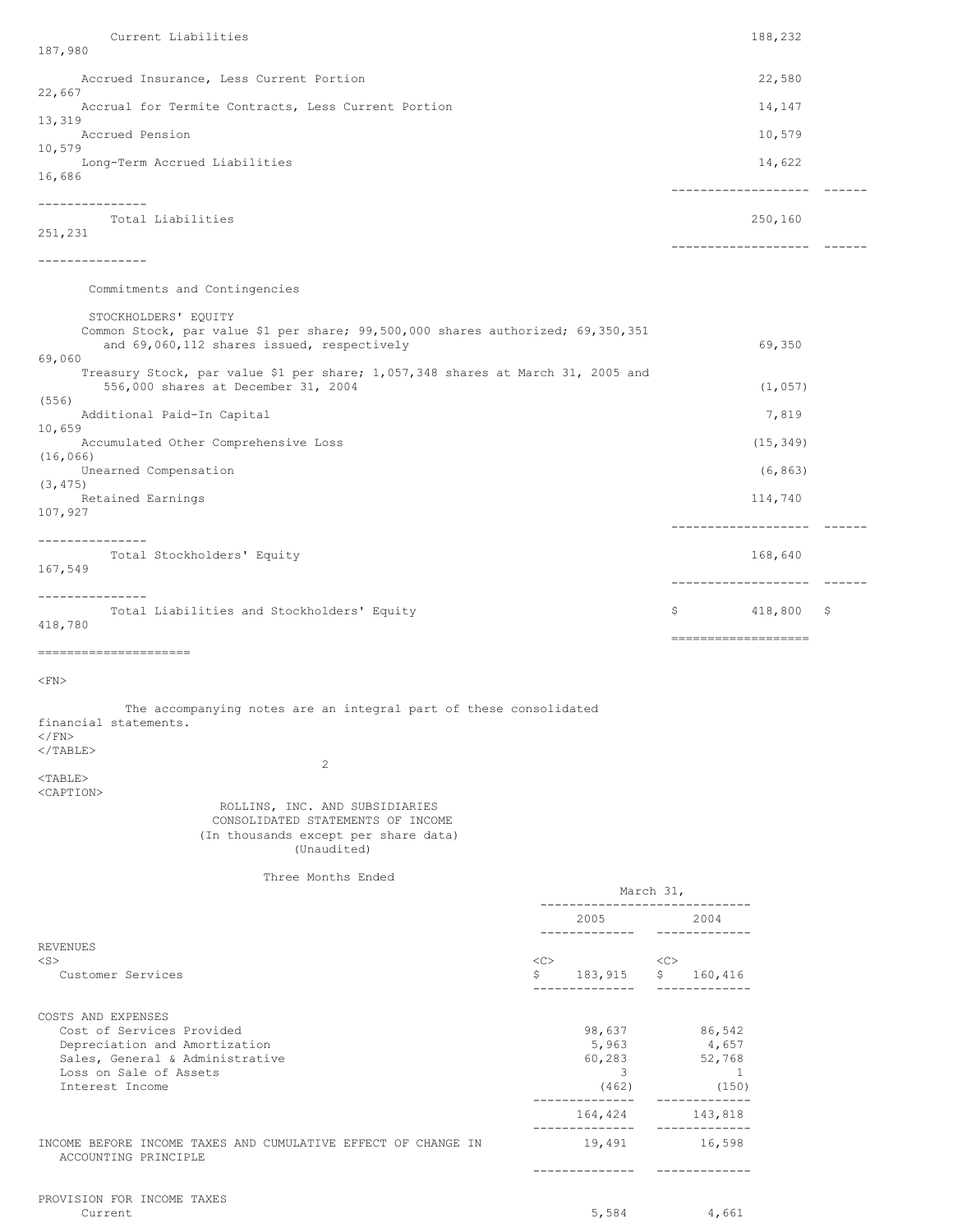Current Liabilities 188,232 187,980 Accrued Insurance, Less Current Portion 22,580 22,667 Accrual for Termite Contracts, Less Current Portion 14,147 13,319 Accrued Pension 10,579 10,579 Long-Term Accrued Liabilities 14,622 16,686 ------------------- ------ --------------- Total Liabilities 250,160 251,231 ------------------- ------ --------------- Commitments and Contingencies STOCKHOLDERS' EQUITY Common Stock, par value \$1 per share; 99,500,000 shares authorized; 69,350,351 and  $69,060,112$  shares issued, respectively 69,350 69,060 Treasury Stock, par value \$1 per share; 1,057,348 shares at March 31, 2005 and 556,000 shares at December 31, 2004 (1,057) (556) Additional Paid-In Capital 7,819 10,659 Accumulated Other Comprehensive Loss (15,349) (16,066) Unearned Compensation (6,863) (3,475) Retained Earnings 114,740 107,927 ------------------- ------ --------------- Total Stockholders' Equity 168,640 167,549 ------------------- ------ --------------- Total Liabilities and Stockholders' Equity **8 6 and Stockholders' Equity** 6 and 800 \$ 418,780 =================== =====================  $<$ FN $>$ The accompanying notes are an integral part of these consolidated financial statements.  $<$ / $FN$  $<$ /TABLE> 2 <TABLE> <CAPTION> ROLLINS, INC. AND SUBSIDIARIES CONSOLIDATED STATEMENTS OF INCOME (In thousands except per share data) (Unaudited) Three Months Ended March 31, ----------------------------- 2005 2004 ------------- ------------- REVENUES <S> <C> <C> Customer Services \$ 183,915 \$ 160,416 -------------- ------------- COSTS AND EXPENSES Cost of Services Provided 198,637 86,542<br>
Depreciation and Amortization 198,637 86,542 Depreciation and Amortization 657 (1995) 1997 (1998) 1998 (1998) 1998 (1998) 1998 (1998) 1998 (1998) 1998 (199<br>
Sales, General & Administrative 60,283 (1998) 1999 (1998) 1999 (1998) 1999 (1998) 1999 (1998) 1999 (1999) 19 Sales, General & Administrative Loss on Sale of Assets 3 1 Interest Income (462) (150) -------------- ------------- 164,424 143,818 -------------- ------------- INCOME BEFORE INCOME TAXES AND CUMULATIVE EFFECT OF CHANGE IN 19,491 16,598 ACCOUNTING PRINCIPLE -------------- -------------

 $Current$   $4,661$ 

PROVISION FOR INCOME TAXES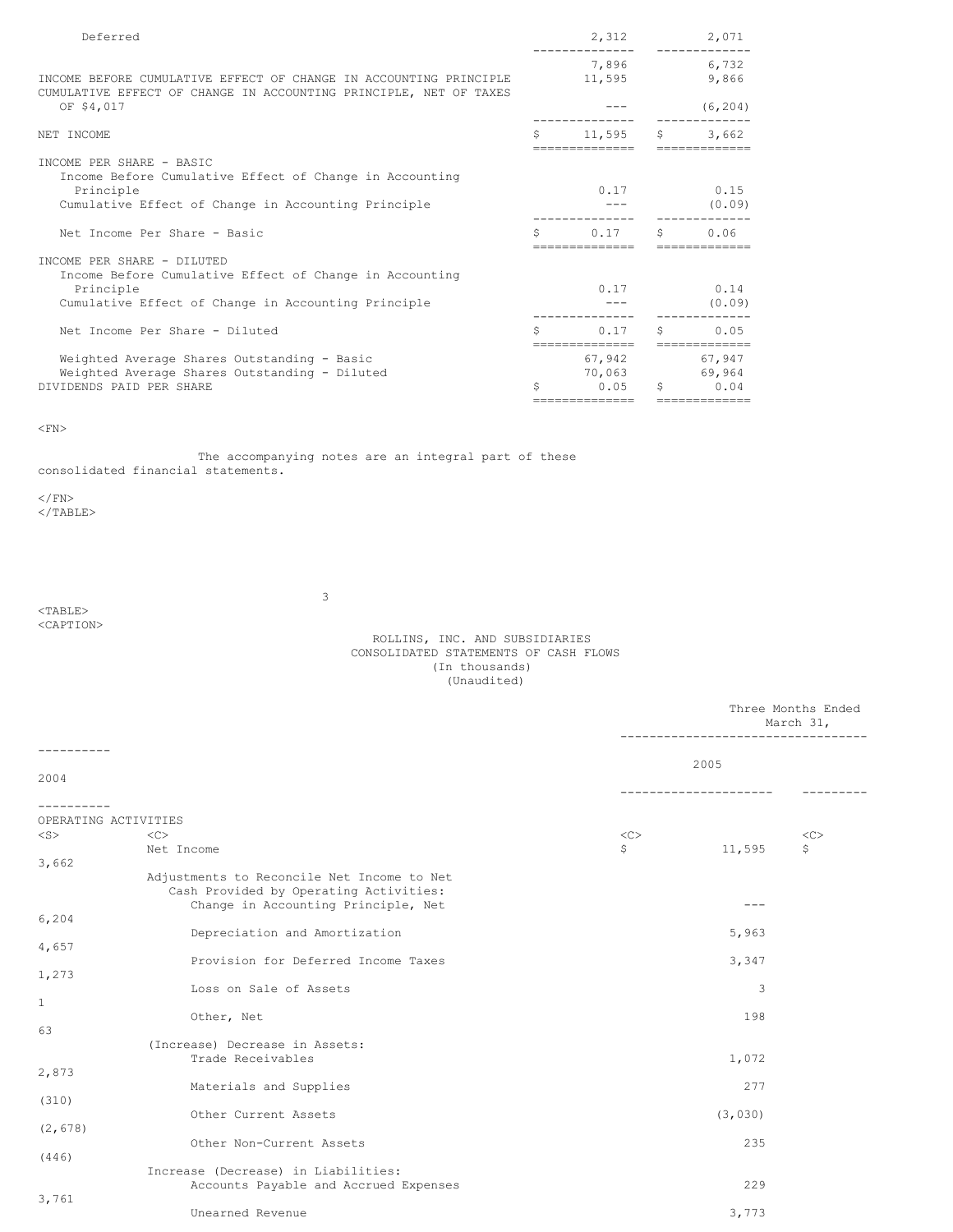| Deferred                                                                                                                               |     | 2,312                   |    | 2,071                                  |
|----------------------------------------------------------------------------------------------------------------------------------------|-----|-------------------------|----|----------------------------------------|
| INCOME BEFORE CUMULATIVE EFFECT OF CHANGE IN ACCOUNTING PRINCIPLE<br>CUMULATIVE EFFECT OF CHANGE IN ACCOUNTING PRINCIPLE, NET OF TAXES |     | 11,595                  |    | 7,896 6,732<br>9,866                   |
| OF \$4,017                                                                                                                             |     |                         |    | (6, 204)                               |
| NET INCOME                                                                                                                             | Ŝ.  | 11,595                  | S. | 3,662                                  |
| INCOME PER SHARE - BASIC<br>Income Before Cumulative Effect of Change in Accounting                                                    |     |                         |    |                                        |
| Principle<br>Cumulative Effect of Change in Accounting Principle                                                                       |     | 0.17                    |    | 0.15<br>(0.09)                         |
| Net Income Per Share - Basic                                                                                                           | Ŝ   | 0.17                    | S. | 0.06                                   |
| INCOME PER SHARE - DILUTED<br>Income Before Cumulative Effect of Change in Accounting<br>Principle                                     |     |                         |    | $0.17$ 0.14                            |
| Cumulative Effect of Change in Accounting Principle                                                                                    |     |                         |    | (0.09)                                 |
| Net Income Per Share - Diluted                                                                                                         | Ŝ   | 0.17<br>--------------- | S. | 0.05                                   |
| Weighted Average Shares Outstanding - Basic<br>Weighted Average Shares Outstanding - Diluted<br>DIVIDENDS PAID PER SHARE               | \$. | 0.05                    | S. | 67,942 67,947<br>70,063 69,964<br>0.04 |
|                                                                                                                                        |     | ==============          |    | -------------                          |

 $\langle$ FN>

The accompanying notes are an integral part of these consolidated financial statements.

 $\langle$ /FN $>$ 

 $<$ /TABLE>

3

# $<$ TABLE $>$ <CAPTION>

# ROLLINS, INC. AND SUBSIDIARIES CONSOLIDATED STATEMENTS OF CASH FLOWS (In thousands) (Unaudited)

|                      |                                                                                                                             |    |         | Three Months Ended<br>March 31, |
|----------------------|-----------------------------------------------------------------------------------------------------------------------------|----|---------|---------------------------------|
| 2004                 |                                                                                                                             |    | 2005    |                                 |
|                      |                                                                                                                             |    |         |                                 |
| OPERATING ACTIVITIES |                                                                                                                             |    |         |                                 |
| $<$ S $>$            | $<\infty$                                                                                                                   | << |         | <<                              |
|                      | Net Income                                                                                                                  | \$ | 11,595  | \$                              |
| 3,662                |                                                                                                                             |    |         |                                 |
|                      | Adjustments to Reconcile Net Income to Net<br>Cash Provided by Operating Activities:<br>Change in Accounting Principle, Net |    |         |                                 |
| 6,204                |                                                                                                                             |    |         |                                 |
|                      | Depreciation and Amortization                                                                                               |    | 5,963   |                                 |
| 4,657                | Provision for Deferred Income Taxes                                                                                         |    |         |                                 |
| 1,273                |                                                                                                                             |    | 3,347   |                                 |
|                      | Loss on Sale of Assets                                                                                                      |    | 3       |                                 |
| $\mathbf{1}$         |                                                                                                                             |    |         |                                 |
|                      | Other, Net                                                                                                                  |    | 198     |                                 |
| 63                   |                                                                                                                             |    |         |                                 |
|                      | (Increase) Decrease in Assets:<br>Trade Receivables                                                                         |    | 1,072   |                                 |
| 2,873                |                                                                                                                             |    |         |                                 |
|                      | Materials and Supplies                                                                                                      |    | 277     |                                 |
| (310)                |                                                                                                                             |    |         |                                 |
|                      | Other Current Assets                                                                                                        |    | (3,030) |                                 |
| (2, 678)             |                                                                                                                             |    |         |                                 |
| (446)                | Other Non-Current Assets                                                                                                    |    | 235     |                                 |
|                      | Increase (Decrease) in Liabilities:                                                                                         |    |         |                                 |
|                      | Accounts Payable and Accrued Expenses                                                                                       |    | 229     |                                 |
| 3,761                |                                                                                                                             |    |         |                                 |
|                      | Unearned Revenue                                                                                                            |    | 3,773   |                                 |
|                      |                                                                                                                             |    |         |                                 |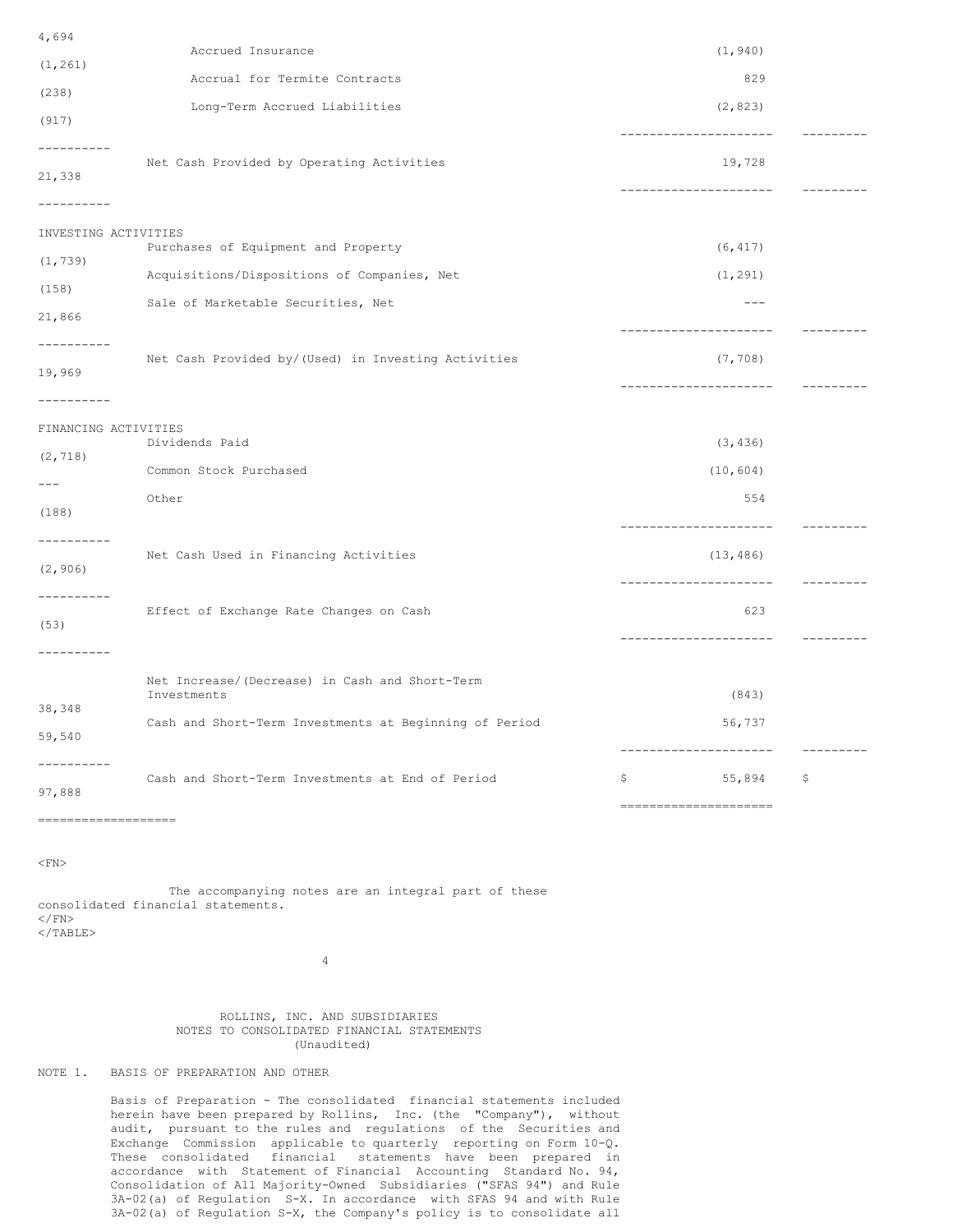| 4,694                              |                                                               |                                       |           |
|------------------------------------|---------------------------------------------------------------|---------------------------------------|-----------|
| (1, 261)                           | Accrued Insurance                                             | (1, 940)                              |           |
| (238)                              | Accrual for Termite Contracts                                 | 829                                   |           |
| (917)                              | Long-Term Accrued Liabilities                                 | (2, 823)                              |           |
| ----------                         |                                                               | ---------------------                 | --------- |
| 21,338                             | Net Cash Provided by Operating Activities                     | 19,728<br>--------------------        |           |
| ---------                          |                                                               |                                       |           |
| INVESTING ACTIVITIES               | Purchases of Equipment and Property                           | (6, 417)                              |           |
| (1, 739)                           | Acquisitions/Dispositions of Companies, Net                   | (1, 291)                              |           |
| (158)<br>21,866                    | Sale of Marketable Securities, Net                            | $---$                                 |           |
| ----------<br>19,969               | Net Cash Provided by/(Used) in Investing Activities           | (7, 708)<br>----------------          |           |
| ----------<br>FINANCING ACTIVITIES |                                                               |                                       |           |
| (2, 718)                           | Dividends Paid                                                | (3, 436)                              |           |
| $---$                              | Common Stock Purchased                                        | (10, 604)                             |           |
| (188)                              | Other                                                         | 554<br>----------------------         | --------- |
| (2, 906)                           | Net Cash Used in Financing Activities                         | (13, 486)<br>-----------------        | --------- |
| ----------<br>(53)                 | Effect of Exchange Rate Changes on Cash                       | 623<br>---------------------          |           |
| ---------<br>38,348                | Net Increase/(Decrease) in Cash and Short-Term<br>Investments | (843)                                 |           |
| 59,540                             | Cash and Short-Term Investments at Beginning of Period        | 56,737                                | --------- |
| 97,888<br>----------               | Cash and Short-Term Investments at End of Period              | 55,894<br>\$<br>===================== | \$        |

 $\langle$ FN>

The accompanying notes are an integral part of these consolidated financial statements.  $<$ / $FN$  $<$ /TABLE>

4

# ROLLINS, INC. AND SUBSIDIARIES NOTES TO CONSOLIDATED FINANCIAL STATEMENTS (Unaudited)

# NOTE 1. BASIS OF PREPARATION AND OTHER

Basis of Preparation - The consolidated financial statements included herein have been prepared by Rollins, Inc. (the "Company"), without audit, pursuant to the rules and regulations of the Securities and Exchange Commission applicable to quarterly reporting on Form 10-Q. These consolidated financial statements have been prepared in accordance with Statement of Financial Accounting Standard No. 94, Consolidation of All Majority-Owned Subsidiaries ("SFAS 94") and Rule 3A-02(a) of Regulation S-X. In accordance with SFAS 94 and with Rule 3A-02(a) of Regulation S-X, the Company's policy is to consolidate all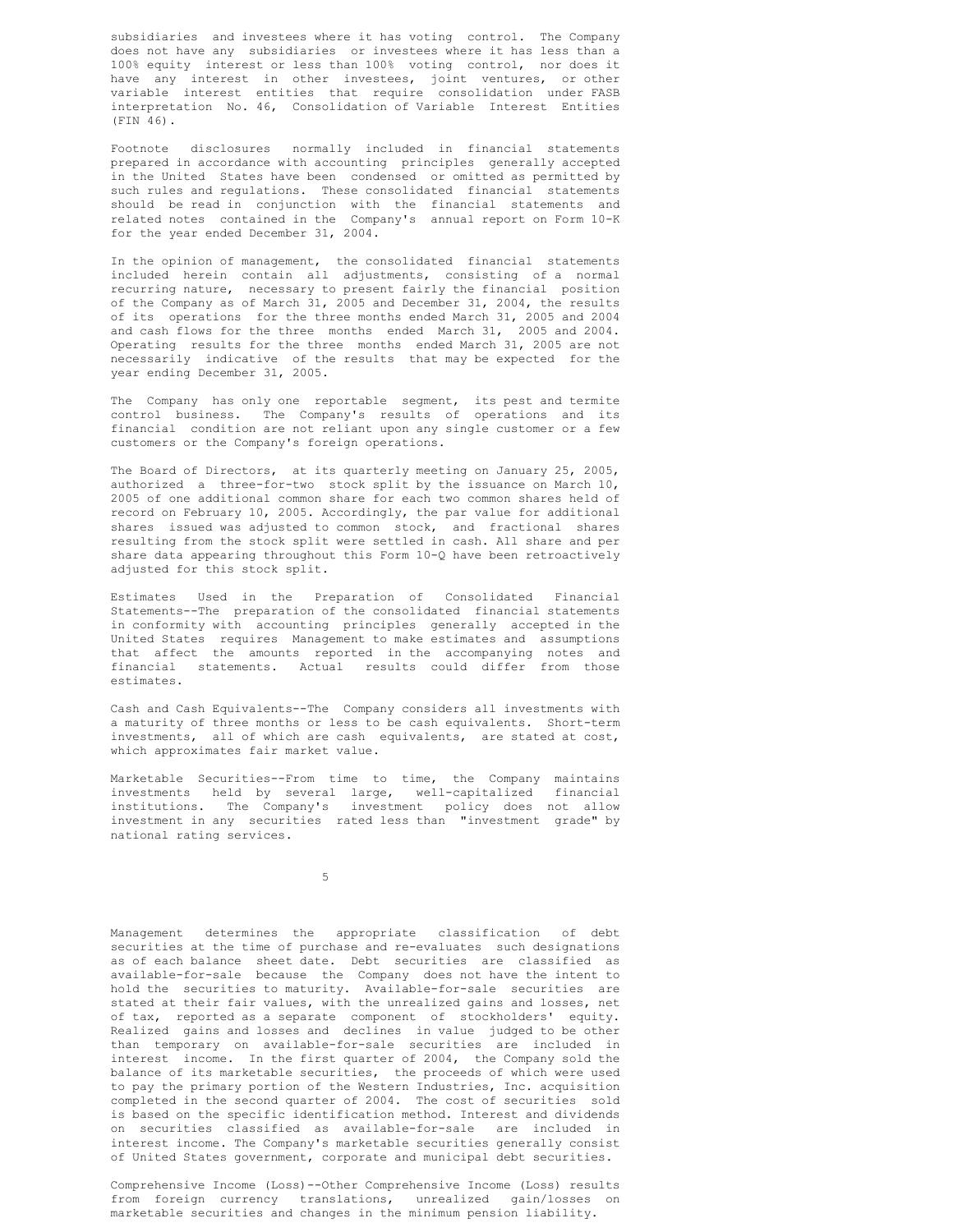subsidiaries and investees where it has voting control. The Company does not have any subsidiaries or investees where it has less than a 100% equity interest or less than 100% voting control, nor does it have any interest in other investees, joint ventures, or other variable interest entities that require consolidation under FASB interpretation No. 46, Consolidation of Variable Interest Entities (FIN 46).

Footnote disclosures normally included in financial statements prepared in accordance with accounting principles generally accepted in the United States have been condensed or omitted as permitted by such rules and regulations. These consolidated financial statements should be read in conjunction with the financial statements and related notes contained in the Company's annual report on Form 10-K for the year ended December 31, 2004.

In the opinion of management, the consolidated financial statements included herein contain all adjustments, consisting of a normal recurring nature, necessary to present fairly the financial position of the Company as of March 31, 2005 and December 31, 2004, the results of its operations for the three months ended March 31, 2005 and 2004 and cash flows for the three months ended March 31, 2005 and 2004. Operating results for the three months ended March 31, 2005 are not necessarily indicative of the results that may be expected for the year ending December 31, 2005.

The Company has only one reportable segment, its pest and termite control business. The Company's results of operations and its financial condition are not reliant upon any single customer or a few customers or the Company's foreign operations.

The Board of Directors, at its quarterly meeting on January 25, 2005, authorized a three-for-two stock split by the issuance on March 10, 2005 of one additional common share for each two common shares held of record on February 10, 2005. Accordingly, the par value for additional shares issued was adjusted to common stock, and fractional shares resulting from the stock split were settled in cash. All share and per share data appearing throughout this Form 10-Q have been retroactively adjusted for this stock split.

Estimates Used in the Preparation of Consolidated Financial Statements--The preparation of the consolidated financial statements in conformity with accounting principles generally accepted in the United States requires Management to make estimates and assumptions that affect the amounts reported in the accompanying notes and financial statements. Actual results could differ from those estimates.

Cash and Cash Equivalents--The Company considers all investments with a maturity of three months or less to be cash equivalents. Short-term investments, all of which are cash equivalents, are stated at cost, which approximates fair market value.

Marketable Securities--From time to time, the Company maintains investments held by several large, well-capitalized financial institutions. The Company's investment policy does not allow investment in any securities rated less than "investment grade" by national rating services.

5

Management determines the appropriate classification of debt securities at the time of purchase and re-evaluates such designations as of each balance sheet date. Debt securities are classified as available-for-sale because the Company does not have the intent to hold the securities to maturity. Available-for-sale securities are stated at their fair values, with the unrealized gains and losses, net of tax, reported as a separate component of stockholders' equity. Realized gains and losses and declines in value judged to be other than temporary on available-for-sale securities are included in interest income. In the first quarter of 2004, the Company sold the balance of its marketable securities, the proceeds of which were used to pay the primary portion of the Western Industries, Inc. acquisition completed in the second quarter of 2004. The cost of securities sold is based on the specific identification method. Interest and dividends on securities classified as available-for-sale are included in interest income. The Company's marketable securities generally consist of United States government, corporate and municipal debt securities.

Comprehensive Income (Loss)--Other Comprehensive Income (Loss) results from foreign currency translations, unrealized gain/losses on marketable securities and changes in the minimum pension liability.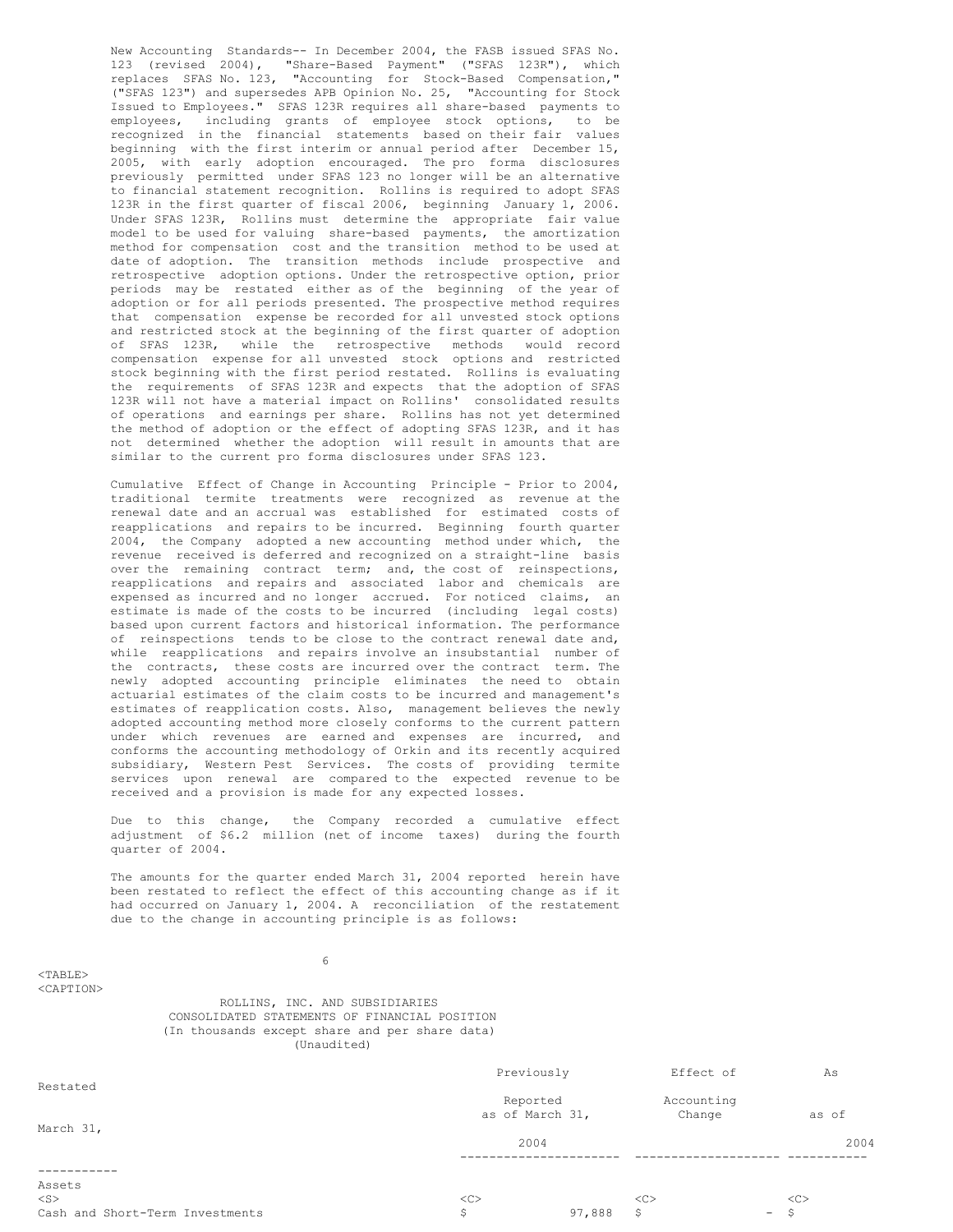New Accounting Standards-- In December 2004, the FASB issued SFAS No. 123 (revised 2004), "Share-Based Payment" ("SFAS 123R"), which replaces SFAS No. 123, "Accounting for Stock-Based Compensation," ("SFAS 123") and supersedes APB Opinion No. 25, "Accounting for Stock Issued to Employees." SFAS 123R requires all share-based payments to employees, including grants of employee stock options, to be recognized in the financial statements based on their fair values beginning with the first interim or annual period after December 15, 2005, with early adoption encouraged. The pro forma disclosures previously permitted under SFAS 123 no longer will be an alternative to financial statement recognition. Rollins is required to adopt SFAS 123R in the first quarter of fiscal 2006, beginning January 1, 2006. Under SFAS 123R, Rollins must determine the appropriate fair value model to be used for valuing share-based payments, the amortization method for compensation cost and the transition method to be used at date of adoption. The transition methods include prospective and retrospective adoption options. Under the retrospective option, prior periods may be restated either as of the beginning of the year of adoption or for all periods presented. The prospective method requires that compensation expense be recorded for all unvested stock options and restricted stock at the beginning of the first quarter of adoption of SFAS 123R, while the retrospective methods would record compensation expense for all unvested stock options and restricted stock beginning with the first period restated. Rollins is evaluating the requirements of SFAS 123R and expects that the adoption of SFAS 123R will not have a material impact on Rollins' consolidated results of operations and earnings per share. Rollins has not yet determined the method of adoption or the effect of adopting SFAS 123R, and it has not determined whether the adoption will result in amounts that are similar to the current pro forma disclosures under SFAS 123.

Cumulative Effect of Change in Accounting Principle - Prior to 2004, traditional termite treatments were recognized as revenue at the renewal date and an accrual was established for estimated costs of reapplications and repairs to be incurred. Beginning fourth quarter 2004, the Company adopted a new accounting method under which, the revenue received is deferred and recognized on a straight-line basis over the remaining contract term; and, the cost of reinspections, reapplications and repairs and associated labor and chemicals are expensed as incurred and no longer accrued. For noticed claims, an estimate is made of the costs to be incurred (including legal costs) based upon current factors and historical information. The performance of reinspections tends to be close to the contract renewal date and, while reapplications and repairs involve an insubstantial number of the contracts, these costs are incurred over the contract term. The newly adopted accounting principle eliminates the need to obtain actuarial estimates of the claim costs to be incurred and management's estimates of reapplication costs. Also, management believes the newly adopted accounting method more closely conforms to the current pattern under which revenues are earned and expenses are incurred, and conforms the accounting methodology of Orkin and its recently acquired subsidiary, Western Pest Services. The costs of providing termite services upon renewal are compared to the expected revenue to be received and a provision is made for any expected losses.

Due to this change, the Company recorded a cumulative effect adjustment of \$6.2 million (net of income taxes) during the fourth quarter of 2004.

The amounts for the quarter ended March 31, 2004 reported herein have been restated to reflect the effect of this accounting change as if it had occurred on January 1, 2004. A reconciliation of the restatement due to the change in accounting principle is as follows:

6

ROLLINS, INC. AND SUBSIDIARIES CONSOLIDATED STATEMENTS OF FINANCIAL POSITION (In thousands except share and per share data)

 $<$ TABLE> <CAPTION>

| (Unaudited)                     |                             |        |                      |        |       |
|---------------------------------|-----------------------------|--------|----------------------|--------|-------|
|                                 | Previously                  |        | Effect of            |        | As    |
| Restated                        | Reported<br>as of March 31, |        | Accounting<br>Change |        | as of |
| March 31,                       | 2004                        |        |                      |        | 2004  |
|                                 |                             |        |                      |        |       |
| Assets                          |                             |        |                      |        |       |
| $<$ S $>$                       | <<                          |        | <<                   |        | <<    |
| Cash and Short-Term Investments | \$                          | 97,888 | S                    | $\sim$ | -S    |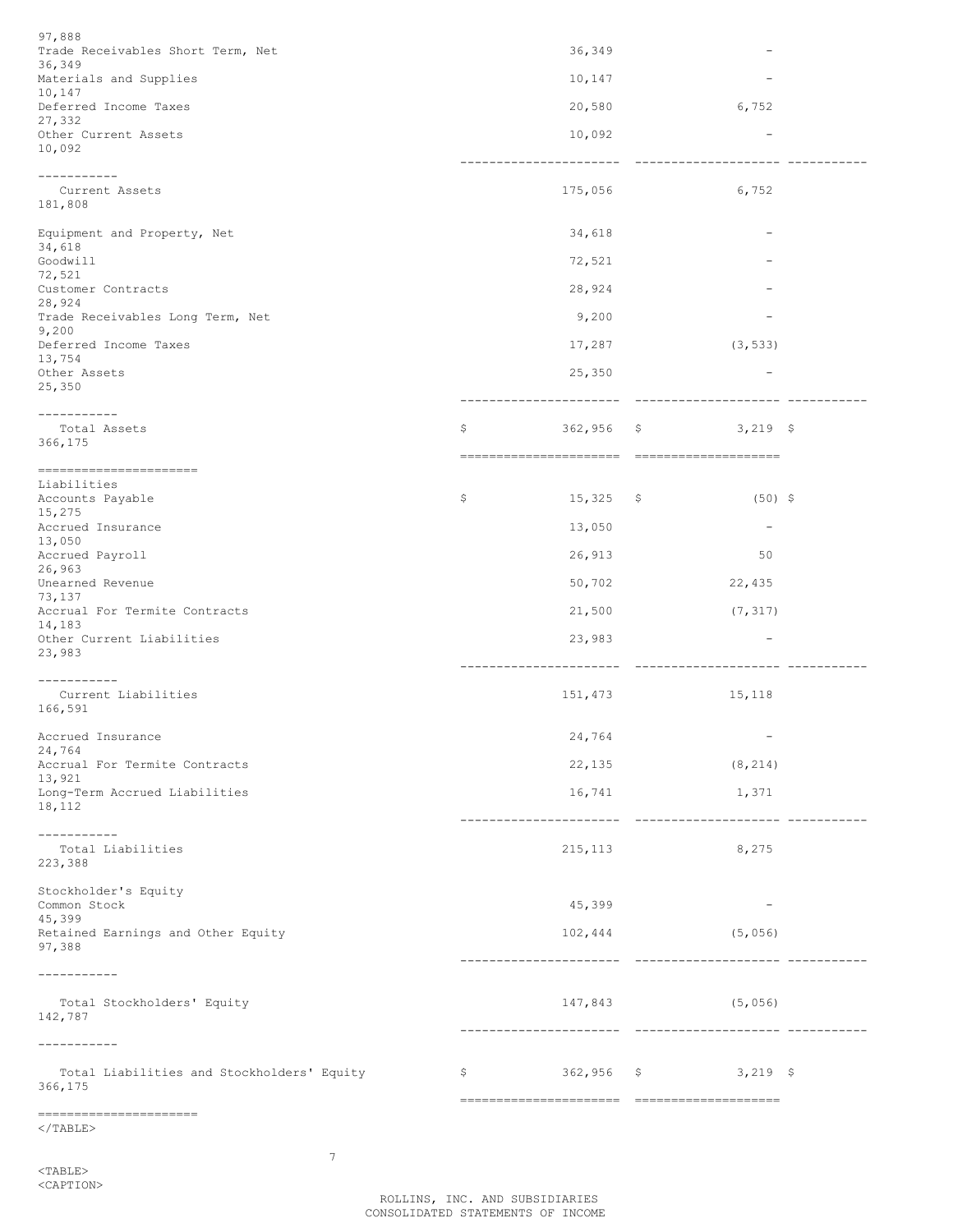$\rm <$  /TABLE>

7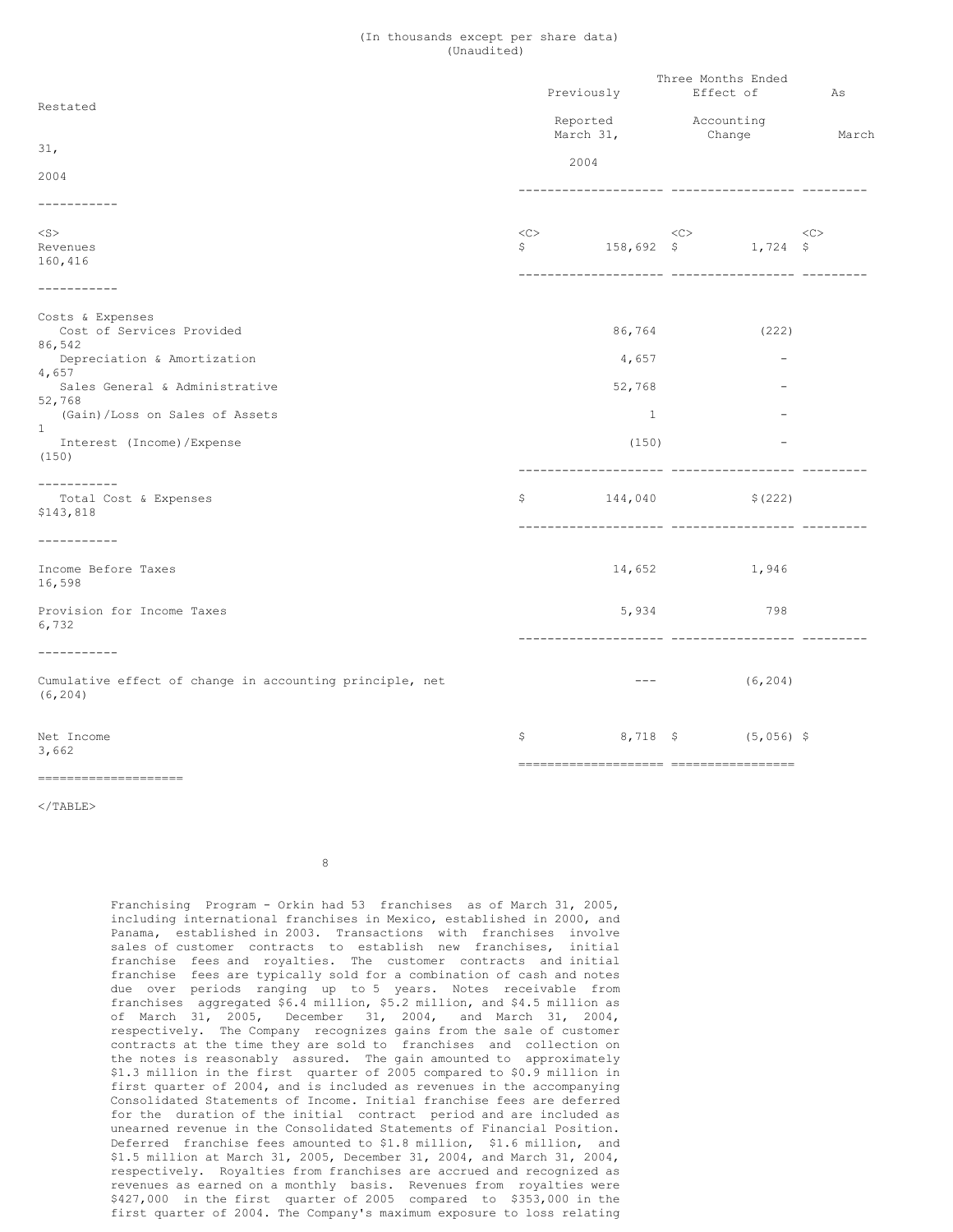### (In thousands except per share data) (Unaudited)

| Restated                                                                                |                          | Previously<br>Reported                                                                                                                                                                                                                                                                                                                                                                       |          | Three Months Ended<br>Effect of<br>Accounting | As            |  |
|-----------------------------------------------------------------------------------------|--------------------------|----------------------------------------------------------------------------------------------------------------------------------------------------------------------------------------------------------------------------------------------------------------------------------------------------------------------------------------------------------------------------------------------|----------|-----------------------------------------------|---------------|--|
| 31,                                                                                     |                          | March 31,<br>2004                                                                                                                                                                                                                                                                                                                                                                            |          | Change                                        | March         |  |
| 2004<br>-----------                                                                     |                          |                                                                                                                                                                                                                                                                                                                                                                                              |          |                                               |               |  |
| $<$ S $>$<br>Revenues<br>160,416                                                        | $<<$ $>$<br>$\mathsf{S}$ |                                                                                                                                                                                                                                                                                                                                                                                              | $<<$ $>$ | $158,692 \quad$ \$ $1,724 \quad$ \$           | < <sub></sub> |  |
| -----------                                                                             |                          |                                                                                                                                                                                                                                                                                                                                                                                              |          |                                               |               |  |
| Costs & Expenses<br>Cost of Services Provided<br>86,542<br>Depreciation & Amortization  |                          | 86,764<br>4,657                                                                                                                                                                                                                                                                                                                                                                              |          | (222)                                         |               |  |
| 4,657<br>Sales General & Administrative                                                 |                          | 52,768                                                                                                                                                                                                                                                                                                                                                                                       |          |                                               |               |  |
| 52,768<br>(Gain)/Loss on Sales of Assets<br>$\mathbf{1}$<br>Interest (Income) / Expense |                          | $\mathbf{1}$<br>(150)                                                                                                                                                                                                                                                                                                                                                                        |          |                                               |               |  |
| (150)                                                                                   |                          |                                                                                                                                                                                                                                                                                                                                                                                              |          |                                               |               |  |
| -----------<br>Total Cost & Expenses<br>\$143,818                                       | \$                       | 144,040                                                                                                                                                                                                                                                                                                                                                                                      |          | \$(222)                                       |               |  |
| -----------                                                                             |                          |                                                                                                                                                                                                                                                                                                                                                                                              |          |                                               |               |  |
| Income Before Taxes<br>16,598                                                           |                          | 14,652                                                                                                                                                                                                                                                                                                                                                                                       |          | 1,946                                         |               |  |
| Provision for Income Taxes<br>6,732                                                     |                          | 5,934                                                                                                                                                                                                                                                                                                                                                                                        |          | 798                                           |               |  |
| -----------<br>Cumulative effect of change in accounting principle, net                 |                          | $\frac{1}{2} \frac{1}{2} \frac{1}{2} \frac{1}{2} \frac{1}{2} \frac{1}{2} \frac{1}{2} \frac{1}{2} \frac{1}{2} \frac{1}{2} \frac{1}{2} \frac{1}{2} \frac{1}{2} \frac{1}{2} \frac{1}{2} \frac{1}{2} \frac{1}{2} \frac{1}{2} \frac{1}{2} \frac{1}{2} \frac{1}{2} \frac{1}{2} \frac{1}{2} \frac{1}{2} \frac{1}{2} \frac{1}{2} \frac{1}{2} \frac{1}{2} \frac{1}{2} \frac{1}{2} \frac{1}{2} \frac{$ |          | (6, 204)                                      |               |  |
| (6, 204)                                                                                |                          |                                                                                                                                                                                                                                                                                                                                                                                              |          |                                               |               |  |
| Net Income<br>3,662                                                                     | \$                       |                                                                                                                                                                                                                                                                                                                                                                                              |          | $8,718$ \$ (5,056) \$                         |               |  |
|                                                                                         |                          |                                                                                                                                                                                                                                                                                                                                                                                              |          |                                               |               |  |

 $\langle$ /TABLE>

8

Franchising Program - Orkin had 53 franchises as of March 31, 2005, including international franchises in Mexico, established in 2000, and Panama, established in 2003. Transactions with franchises involve sales of customer contracts to establish new franchises, initial franchise fees and royalties. The customer contracts and initial franchise fees are typically sold for a combination of cash and notes due over periods ranging up to 5 years. Notes receivable from franchises aggregated \$6.4 million, \$5.2 million, and \$4.5 million as of March 31, 2005, December 31, 2004, and March 31, 2004, respectively. The Company recognizes gains from the sale of customer contracts at the time they are sold to franchises and collection on the notes is reasonably assured. The gain amounted to approximately \$1.3 million in the first quarter of 2005 compared to \$0.9 million in first quarter of 2004, and is included as revenues in the accompanying Consolidated Statements of Income. Initial franchise fees are deferred for the duration of the initial contract period and are included as unearned revenue in the Consolidated Statements of Financial Position. Deferred franchise fees amounted to \$1.8 million, \$1.6 million, and \$1.5 million at March 31, 2005, December 31, 2004, and March 31, 2004, respectively. Royalties from franchises are accrued and recognized as revenues as earned on a monthly basis. Revenues from royalties were \$427,000 in the first quarter of 2005 compared to \$353,000 in the first quarter of 2004. The Company's maximum exposure to loss relating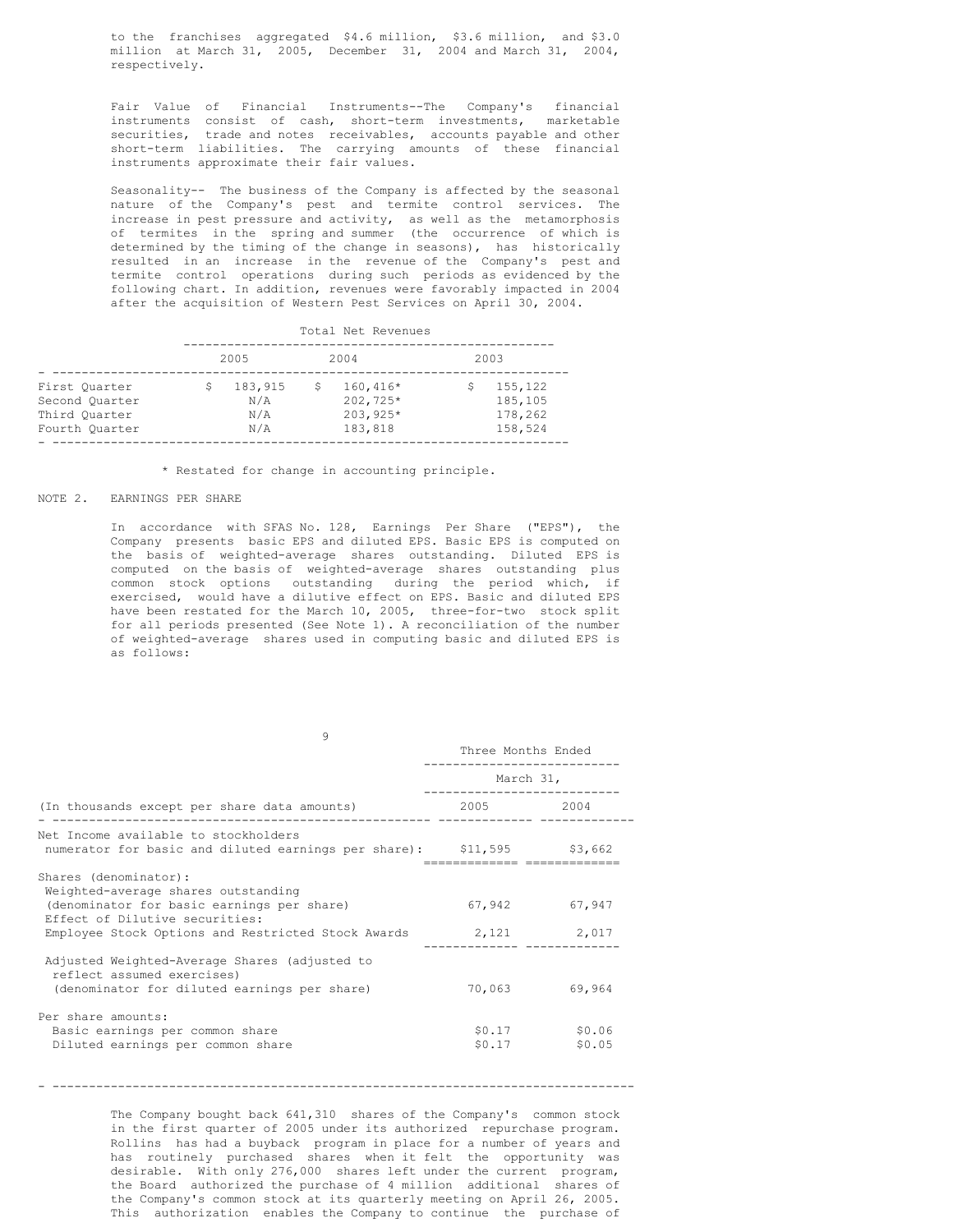to the franchises aggregated \$4.6 million, \$3.6 million, and \$3.0 million at March 31, 2005, December 31, 2004 and March 31, 2004, respectively.

Fair Value of Financial Instruments--The Company's financial instruments consist of cash, short-term investments, marketable securities, trade and notes receivables, accounts payable and other short-term liabilities. The carrying amounts of these financial instruments approximate their fair values.

Seasonality-- The business of the Company is affected by the seasonal nature of the Company's pest and termite control services. The increase in pest pressure and activity, as well as the metamorphosis of termites in the spring and summer (the occurrence of which is determined by the timing of the change in seasons), has historically resulted in an increase in the revenue of the Company's pest and termite control operations during such periods as evidenced by the following chart. In addition, revenues were favorably impacted in 2004 after the acquisition of Western Pest Services on April 30, 2004.

|                                                                    | Total Net Revenues |                              |      |                                               |  |                                          |  |
|--------------------------------------------------------------------|--------------------|------------------------------|------|-----------------------------------------------|--|------------------------------------------|--|
|                                                                    | 2005               |                              | 2004 |                                               |  | 2003                                     |  |
| First Ouarter<br>Second Quarter<br>Third Ouarter<br>Fourth Quarter |                    | 183,915<br>N/A<br>N/A<br>N/A | -S   | $160,416*$<br>202,725*<br>203,925*<br>183,818 |  | 155,122<br>185,105<br>178,262<br>158,524 |  |

\* Restated for change in accounting principle.

#### NOTE 2. EARNINGS PER SHARE

In accordance with SFAS No. 128, Earnings Per Share ("EPS"), the Company presents basic EPS and diluted EPS. Basic EPS is computed on the basis of weighted-average shares outstanding. Diluted EPS is computed on the basis of weighted-average shares outstanding plus common stock options outstanding during the period which, if exercised, would have a dilutive effect on EPS. Basic and diluted EPS have been restated for the March 10, 2005, three-for-two stock split for all periods presented (See Note 1). A reconciliation of the number of weighted-average shares used in computing basic and diluted EPS is as follows:

|                                                                                                                                                                                                                | Three Months Ended |                           |  |
|----------------------------------------------------------------------------------------------------------------------------------------------------------------------------------------------------------------|--------------------|---------------------------|--|
|                                                                                                                                                                                                                | March 31,          |                           |  |
| (In thousands except per share data amounts)                                                                                                                                                                   | 2005 2004          |                           |  |
| Net Income available to stockholders<br>numerator for basic and diluted earnings per share): \$11,595 \$3,662                                                                                                  |                    |                           |  |
| Shares (denominator):<br>Weighted-average shares outstanding<br>(denominator for basic earnings per share)<br>Effect of Dilutive securities:<br>Employee Stock Options and Restricted Stock Awards 2,121 2,017 |                    | 67,942 67,947             |  |
| Adjusted Weighted-Average Shares (adjusted to<br>reflect assumed exercises)<br>(denominator for diluted earnings per share)                                                                                    | 70,063             | 69,964                    |  |
| Per share amounts:<br>Basic earnings per common share<br>Diluted earnings per common share                                                                                                                     | \$0.17             | $$0.17$ $$0.06$<br>\$0.05 |  |

 $\alpha$ 

- --------------------------------------------------------------------------------

The Company bought back 641,310 shares of the Company's common stock in the first quarter of 2005 under its authorized repurchase program. Rollins has had a buyback program in place for a number of years and has routinely purchased shares when it felt the opportunity was desirable. With only 276,000 shares left under the current program, the Board authorized the purchase of 4 million additional shares of the Company's common stock at its quarterly meeting on April 26, 2005. This authorization enables the Company to continue the purchase of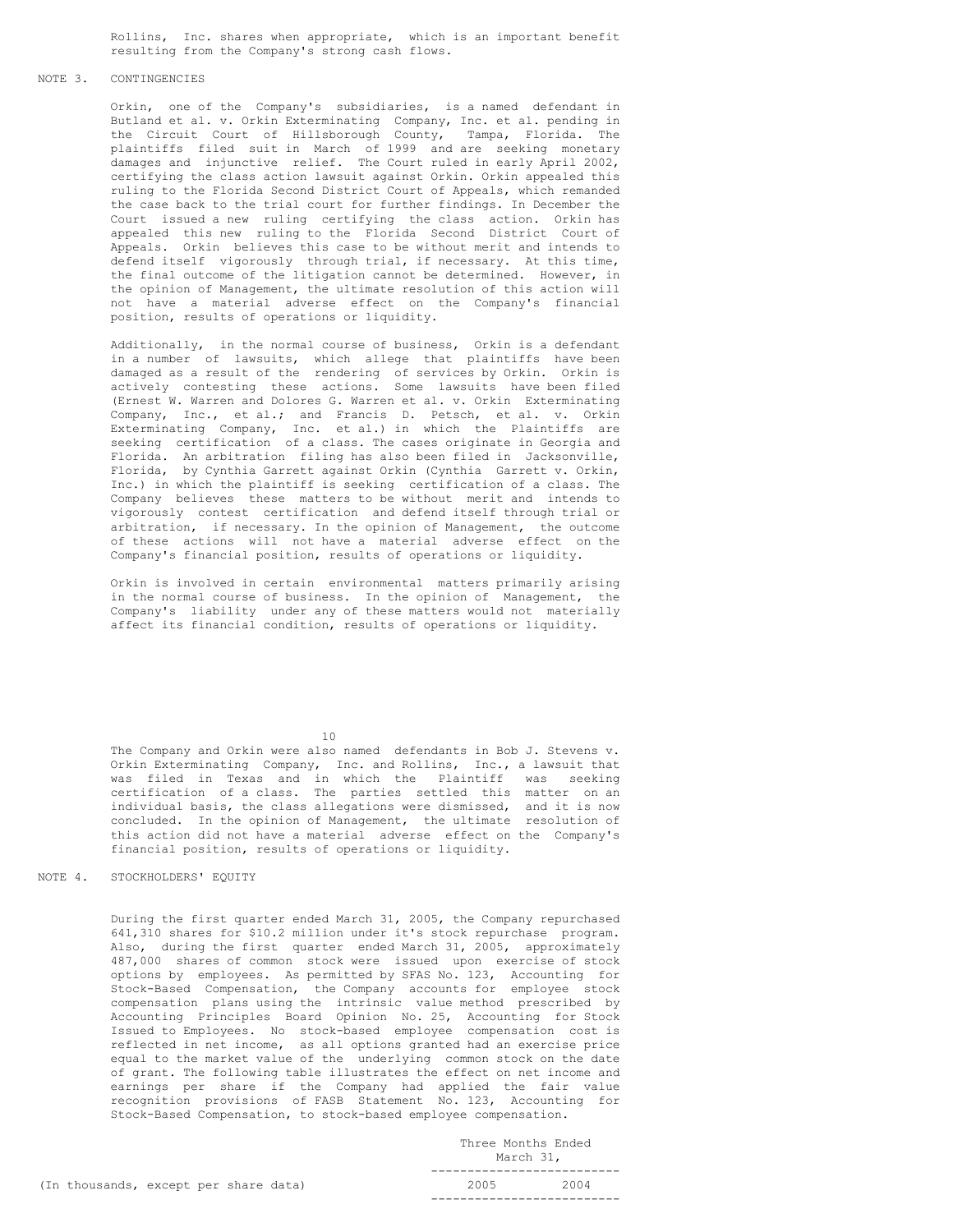Rollins, Inc. shares when appropriate, which is an important benefit resulting from the Company's strong cash flows.

# NOTE 3. CONTINGENCIES

Orkin, one of the Company's subsidiaries, is a named defendant in Butland et al. v. Orkin Exterminating Company, Inc. et al. pending in the Circuit Court of Hillsborough County, Tampa, Florida. The plaintiffs filed suit in March of 1999 and are seeking monetary damages and injunctive relief. The Court ruled in early April 2002, certifying the class action lawsuit against Orkin. Orkin appealed this ruling to the Florida Second District Court of Appeals, which remanded the case back to the trial court for further findings. In December the Court issued a new ruling certifying the class action. Orkin has appealed this new ruling to the Florida Second District Court of Appeals. Orkin believes this case to be without merit and intends to defend itself vigorously through trial, if necessary. At this time, the final outcome of the litigation cannot be determined. However, in the opinion of Management, the ultimate resolution of this action will not have a material adverse effect on the Company's financial position, results of operations or liquidity.

Additionally, in the normal course of business, Orkin is a defendant in a number of lawsuits, which allege that plaintiffs have been damaged as a result of the rendering of services by Orkin. Orkin is actively contesting these actions. Some lawsuits have been filed (Ernest W. Warren and Dolores G. Warren et al. v. Orkin Exterminating Company, Inc., et al.; and Francis D. Petsch, et al. v. Orkin Exterminating Company, Inc. et al.) in which the Plaintiffs are seeking certification of a class. The cases originate in Georgia and Florida. An arbitration filing has also been filed in Jacksonville, Florida, by Cynthia Garrett against Orkin (Cynthia Garrett v. Orkin, Inc.) in which the plaintiff is seeking certification of a class. The Company believes these matters to be without merit and intends to vigorously contest certification and defend itself through trial or arbitration, if necessary. In the opinion of Management, the outcome of these actions will not have a material adverse effect on the Company's financial position, results of operations or liquidity.

Orkin is involved in certain environmental matters primarily arising in the normal course of business. In the opinion of Management, the Company's liability under any of these matters would not materially affect its financial condition, results of operations or liquidity.

10

The Company and Orkin were also named defendants in Bob J. Stevens v. Orkin Exterminating Company, Inc. and Rollins, Inc., a lawsuit that was filed in Texas and in which the Plaintiff was seeking certification of a class. The parties settled this matter on an individual basis, the class allegations were dismissed, and it is now concluded. In the opinion of Management, the ultimate resolution of this action did not have a material adverse effect on the Company's financial position, results of operations or liquidity.

# NOTE 4. STOCKHOLDERS' EQUITY

During the first quarter ended March 31, 2005, the Company repurchased 641,310 shares for \$10.2 million under it's stock repurchase program. Also, during the first quarter ended March 31, 2005, approximately 487,000 shares of common stock were issued upon exercise of stock options by employees. As permitted by SFAS No. 123, Accounting for Stock-Based Compensation, the Company accounts for employee stock compensation plans using the intrinsic value method prescribed by Accounting Principles Board Opinion No. 25, Accounting for Stock Issued to Employees. No stock-based employee compensation cost is reflected in net income, as all options granted had an exercise price equal to the market value of the underlying common stock on the date of grant. The following table illustrates the effect on net income and earnings per share if the Company had applied the fair value recognition provisions of FASB Statement No. 123, Accounting for Stock-Based Compensation, to stock-based employee compensation.

|                                       |      | Three Months Ended<br>March 31. |  |  |
|---------------------------------------|------|---------------------------------|--|--|
| (In thousands, except per share data) | 2005 | 2004                            |  |  |
|                                       |      |                                 |  |  |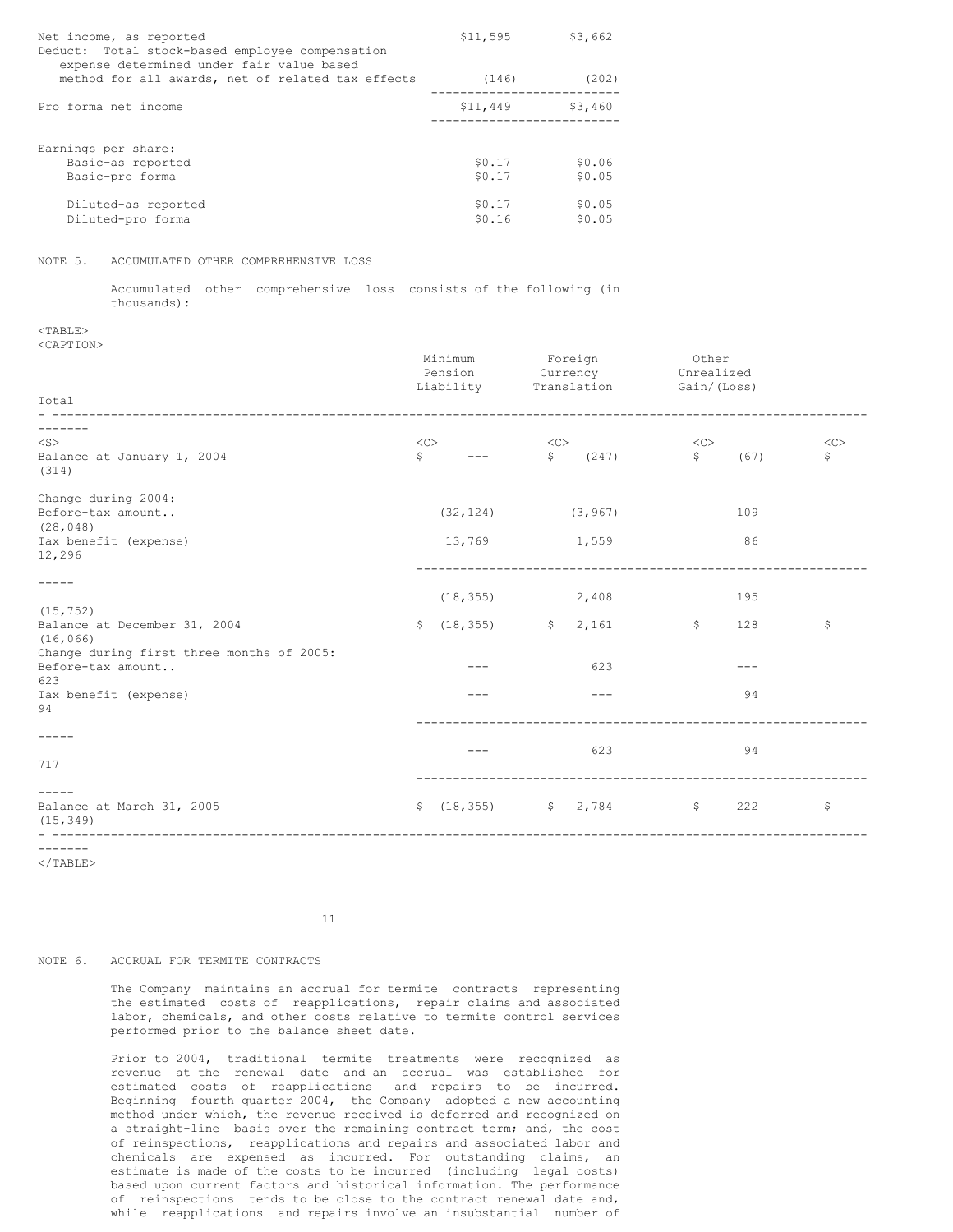| Net income, as reported<br>Deduct: Total stock-based employee compensation<br>expense determined under fair value based | \$11,595 | \$3,662 |
|-------------------------------------------------------------------------------------------------------------------------|----------|---------|
| method for all awards, net of related tax effects                                                                       | (146)    | (202)   |
| Pro forma net income                                                                                                    | \$11,449 | \$3,460 |
| Earnings per share:                                                                                                     |          |         |
| Basic-as reported                                                                                                       | \$0.17   | \$0.06  |
| Basic-pro forma                                                                                                         | \$0.17   | \$0.05  |
| Diluted-as reported                                                                                                     | \$0.17   | \$0.05  |
| Diluted-pro forma                                                                                                       | \$0.16   | \$0.05  |

# NOTE 5. ACCUMULATED OTHER COMPREHENSIVE LOSS

Accumulated other comprehensive loss consists of the following (in thousands):

 $<$ TABLE> <CAPTION>

| Total                                     |                          | Minimum<br>Pension<br>Liability           |         | Foreign<br>Currency<br>Translation             | Other<br>Unrealized<br>Gain/(Loss) |                 |          |
|-------------------------------------------|--------------------------|-------------------------------------------|---------|------------------------------------------------|------------------------------------|-----------------|----------|
|                                           |                          |                                           |         |                                                |                                    |                 |          |
|                                           |                          |                                           |         |                                                |                                    |                 |          |
| $<$ S $>$                                 | $<<$ $>$<br>$\mathsf{S}$ | $---$                                     | <<<br>S | (247)                                          | $<<$ $<$ $<$ $>$<br>S              | (67)            | <<<br>\$ |
| Balance at January 1, 2004<br>(314)       |                          |                                           |         |                                                |                                    |                 |          |
| Change during 2004:                       |                          |                                           |         |                                                |                                    |                 |          |
| Before-tax amount                         |                          | (32, 124)                                 |         | (3, 967)                                       |                                    | 109             |          |
| (28, 048)                                 |                          |                                           |         |                                                |                                    |                 |          |
| Tax benefit (expense)<br>12,296           |                          | 13,769                                    |         | 1,559                                          |                                    | 86              |          |
|                                           |                          |                                           |         |                                                |                                    |                 |          |
|                                           |                          | (18, 355)                                 |         | 2,408                                          |                                    | 195             |          |
| (15, 752)                                 |                          |                                           |         |                                                |                                    |                 |          |
| Balance at December 31, 2004<br>(16, 066) |                          | $\frac{1}{2}$ (18,355) $\frac{1}{2}$ ,161 |         |                                                | $\mathsf{S}$                       | 128             | \$       |
| Change during first three months of 2005: |                          |                                           |         |                                                |                                    |                 |          |
| Before-tax amount                         |                          | ---                                       |         | 623                                            |                                    | ---             |          |
| 623<br>Tax benefit (expense)              |                          | $- - -$                                   |         | $---$                                          |                                    | 94              |          |
| 94                                        |                          |                                           |         |                                                |                                    |                 |          |
|                                           |                          |                                           |         |                                                |                                    |                 |          |
|                                           |                          | $- - -$                                   |         | 623                                            |                                    | 94              |          |
| 717                                       |                          |                                           |         |                                                |                                    |                 |          |
|                                           |                          |                                           |         |                                                |                                    |                 |          |
| Balance at March 31, 2005<br>(15, 349)    |                          |                                           |         | $\frac{18}{18}$ (18,355) $\frac{18}{18}$ 2,784 |                                    | $\frac{1}{222}$ | \$       |
| --------                                  |                          |                                           |         |                                                |                                    |                 |          |

 $<$ /TABLE>

11

# NOTE 6. ACCRUAL FOR TERMITE CONTRACTS

The Company maintains an accrual for termite contracts representing the estimated costs of reapplications, repair claims and associated labor, chemicals, and other costs relative to termite control services performed prior to the balance sheet date.

Prior to 2004, traditional termite treatments were recognized as revenue at the renewal date and an accrual was established for estimated costs of reapplications and repairs to be incurred. Beginning fourth quarter 2004, the Company adopted a new accounting method under which, the revenue received is deferred and recognized on a straight-line basis over the remaining contract term; and, the cost of reinspections, reapplications and repairs and associated labor and chemicals are expensed as incurred. For outstanding claims, an estimate is made of the costs to be incurred (including legal costs) based upon current factors and historical information. The performance of reinspections tends to be close to the contract renewal date and, while reapplications and repairs involve an insubstantial number of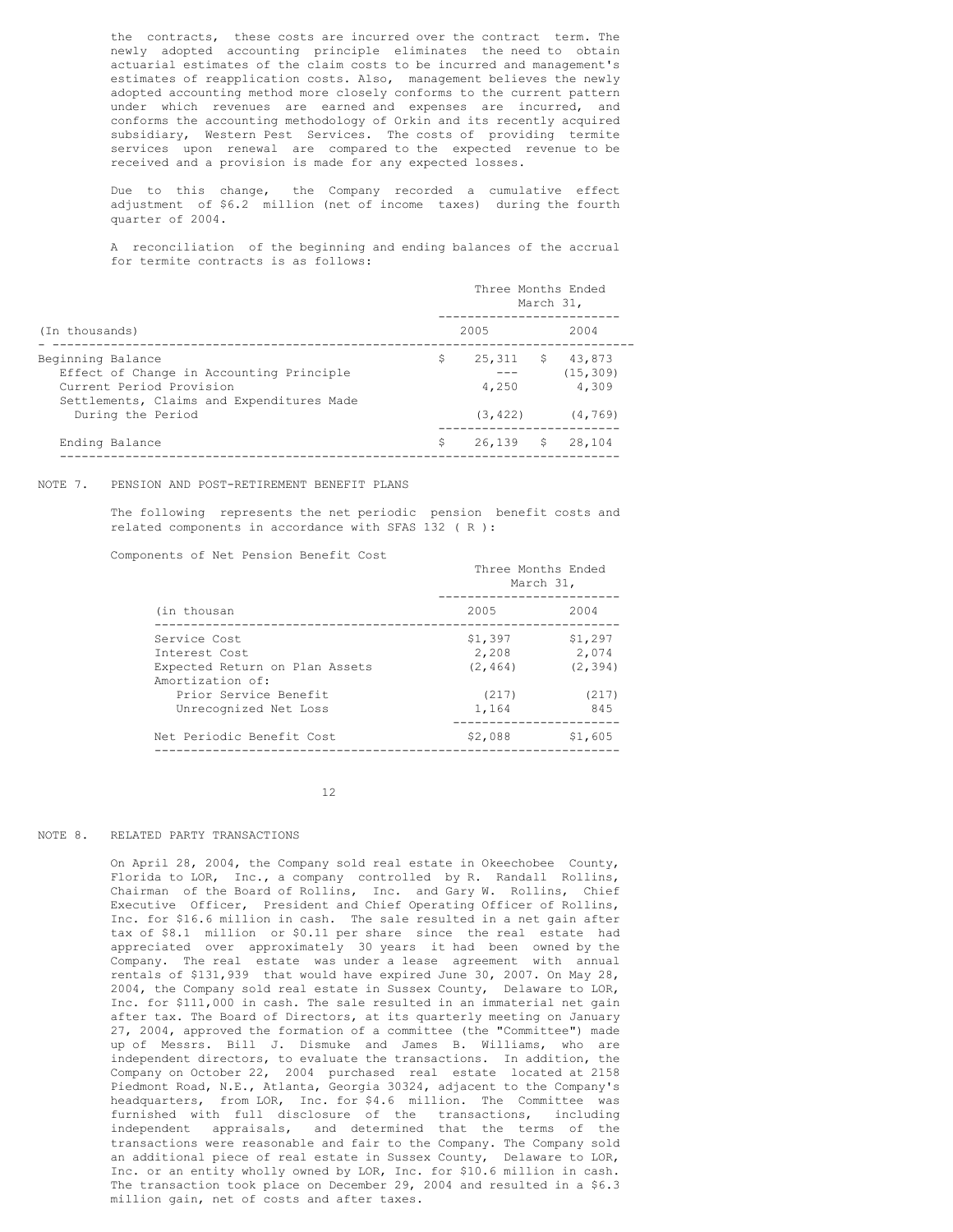the contracts, these costs are incurred over the contract term. The newly adopted accounting principle eliminates the need to obtain actuarial estimates of the claim costs to be incurred and management's estimates of reapplication costs. Also, management believes the newly adopted accounting method more closely conforms to the current pattern under which revenues are earned and expenses are incurred, and conforms the accounting methodology of Orkin and its recently acquired subsidiary, Western Pest Services. The costs of providing termite services upon renewal are compared to the expected revenue to be received and a provision is made for any expected losses.

Due to this change, the Company recorded a cumulative effect adjustment of \$6.2 million (net of income taxes) during the fourth quarter of 2004.

A reconciliation of the beginning and ending balances of the accrual for termite contracts is as follows:

|                                                                                                                                        | Three Months Ended<br>March 31, |                 |      |                              |  |
|----------------------------------------------------------------------------------------------------------------------------------------|---------------------------------|-----------------|------|------------------------------|--|
| (In thousands)                                                                                                                         |                                 | 2005            |      | 2004                         |  |
| Beginning Balance<br>Effect of Change in Accounting Principle<br>Current Period Provision<br>Settlements, Claims and Expenditures Made | S                               | 25,311<br>4,250 | - \$ | 43,873<br>(15, 309)<br>4,309 |  |
| During the Period                                                                                                                      |                                 | (3, 422)        |      | (4, 769)                     |  |
| Ending Balance                                                                                                                         | Ŝ                               | $26,139$ \$     |      | 28.104                       |  |

# NOTE 7. PENSION AND POST-RETIREMENT BENEFIT PLANS

The following represents the net periodic pension benefit costs and related components in accordance with SFAS 132 ( R ):

Components of Net Pension Benefit Cost

|                                                                                                                                       | Three Months Ended<br>March 31,                |                                              |  |  |
|---------------------------------------------------------------------------------------------------------------------------------------|------------------------------------------------|----------------------------------------------|--|--|
| (in thousan                                                                                                                           | 2005                                           | 2004                                         |  |  |
| Service Cost<br>Interest Cost<br>Expected Return on Plan Assets<br>Amortization of:<br>Prior Service Benefit<br>Unrecognized Net Loss | \$1,397<br>2,208<br>(2, 464)<br>(217)<br>1.164 | \$1,297<br>2,074<br>(2, 394)<br>(217)<br>845 |  |  |
| Net Periodic Benefit Cost                                                                                                             | \$2,088                                        | \$1,605                                      |  |  |

12

# NOTE 8. RELATED PARTY TRANSACTIONS

On April 28, 2004, the Company sold real estate in Okeechobee County, Florida to LOR, Inc., a company controlled by R. Randall Rollins, Chairman of the Board of Rollins, Inc. and Gary W. Rollins, Chief Executive Officer, President and Chief Operating Officer of Rollins, Inc. for \$16.6 million in cash. The sale resulted in a net gain after tax of \$8.1 million or \$0.11 per share since the real estate had appreciated over approximately 30 years it had been owned by the Company. The real estate was under a lease agreement with annual rentals of \$131,939 that would have expired June 30, 2007. On May 28, 2004, the Company sold real estate in Sussex County, Delaware to LOR, Inc. for \$111,000 in cash. The sale resulted in an immaterial net gain after tax. The Board of Directors, at its quarterly meeting on January 27, 2004, approved the formation of a committee (the "Committee") made up of Messrs. Bill J. Dismuke and James B. Williams, who are independent directors, to evaluate the transactions. In addition, the Company on October 22, 2004 purchased real estate located at 2158 Piedmont Road, N.E., Atlanta, Georgia 30324, adjacent to the Company's headquarters, from LOR, Inc. for \$4.6 million. The Committee was furnished with full disclosure of the transactions, including independent appraisals, and determined that the terms of the transactions were reasonable and fair to the Company. The Company sold an additional piece of real estate in Sussex County, Delaware to LOR, Inc. or an entity wholly owned by LOR, Inc. for \$10.6 million in cash. The transaction took place on December 29, 2004 and resulted in a \$6.3 million gain, net of costs and after taxes.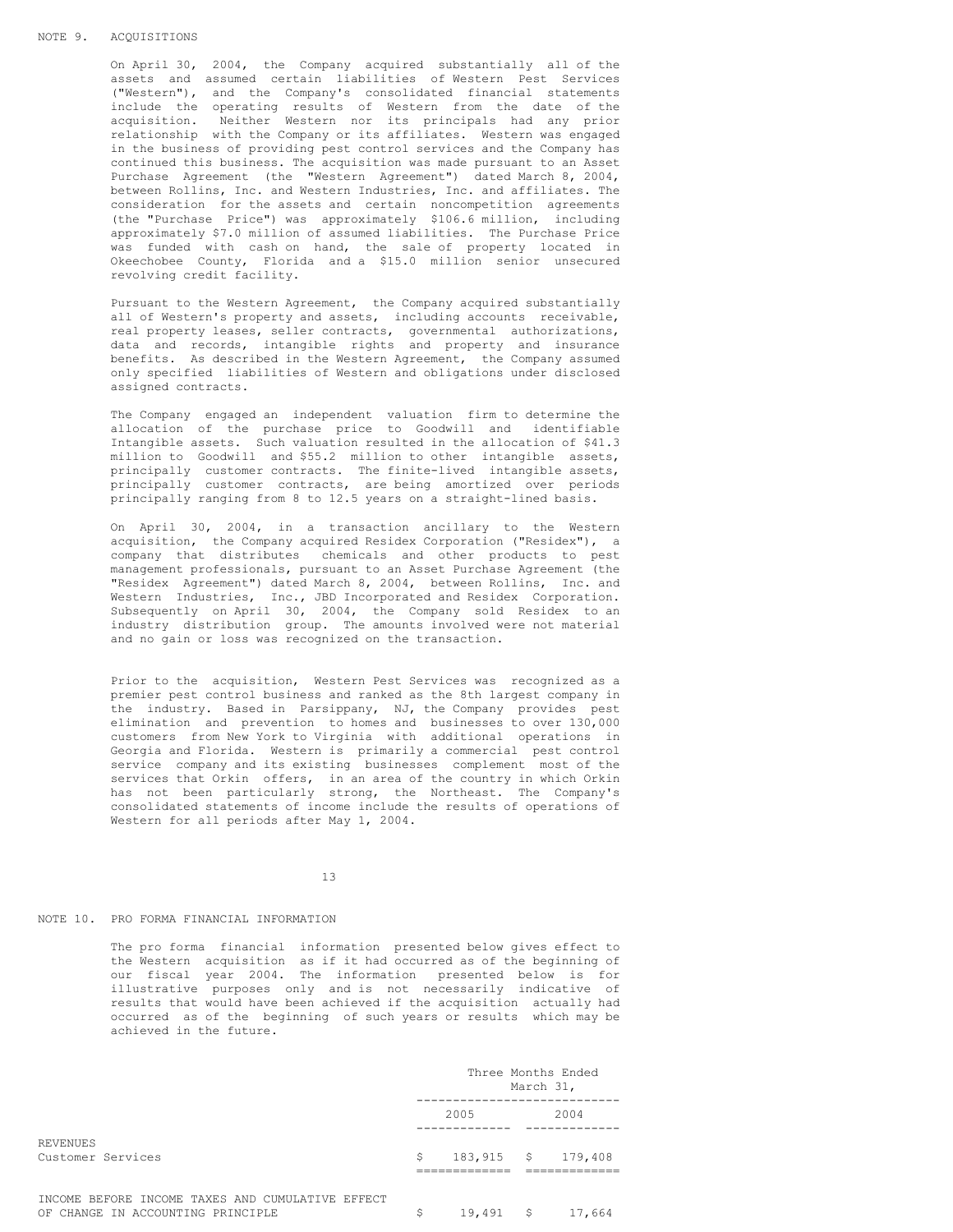On April 30, 2004, the Company acquired substantially all of the assets and assumed certain liabilities of Western Pest Services ("Western"), and the Company's consolidated financial statements include the operating results of Western from the date of the acquisition. Neither Western nor its principals had any prior relationship with the Company or its affiliates. Western was engaged in the business of providing pest control services and the Company has continued this business. The acquisition was made pursuant to an Asset Purchase Agreement (the "Western Agreement") dated March 8, 2004, between Rollins, Inc. and Western Industries, Inc. and affiliates. The consideration for the assets and certain noncompetition agreements (the "Purchase Price") was approximately \$106.6 million, including approximately \$7.0 million of assumed liabilities. The Purchase Price was funded with cash on hand, the sale of property located in Okeechobee County, Florida and a \$15.0 million senior unsecured revolving credit facility.

Pursuant to the Western Agreement, the Company acquired substantially all of Western's property and assets, including accounts receivable, real property leases, seller contracts, governmental authorizations, data and records, intangible rights and property and insurance benefits. As described in the Western Agreement, the Company assumed only specified liabilities of Western and obligations under disclosed assigned contracts.

The Company engaged an independent valuation firm to determine the allocation of the purchase price to Goodwill and identifiable Intangible assets. Such valuation resulted in the allocation of \$41.3 million to Goodwill and \$55.2 million to other intangible assets, principally customer contracts. The finite-lived intangible assets, principally customer contracts, are being amortized over periods principally ranging from 8 to 12.5 years on a straight-lined basis.

On April 30, 2004, in a transaction ancillary to the Western acquisition, the Company acquired Residex Corporation ("Residex"), a company that distributes chemicals and other products to pest management professionals, pursuant to an Asset Purchase Agreement (the "Residex Agreement") dated March 8, 2004, between Rollins, Inc. and Western Industries, Inc., JBD Incorporated and Residex Corporation. Subsequently on April 30, 2004, the Company sold Residex to an industry distribution group. The amounts involved were not material and no gain or loss was recognized on the transaction.

Prior to the acquisition, Western Pest Services was recognized as a premier pest control business and ranked as the 8th largest company in the industry. Based in Parsippany, NJ, the Company provides pest elimination and prevention to homes and businesses to over 130,000 customers from New York to Virginia with additional operations in Georgia and Florida. Western is primarily a commercial pest control service company and its existing businesses complement most of the services that Orkin offers, in an area of the country in which Orkin has not been particularly strong, the Northeast. The Company's consolidated statements of income include the results of operations of Western for all periods after May 1, 2004.

13

# NOTE 10. PRO FORMA FINANCIAL INFORMATION

The pro forma financial information presented below gives effect to the Western acquisition as if it had occurred as of the beginning of our fiscal year 2004. The information presented below is for illustrative purposes only and is not necessarily indicative of results that would have been achieved if the acquisition actually had occurred as of the beginning of such years or results which may be achieved in the future.

|                                                                                       | Three Months Ended<br>March 31, |             |  |                    |
|---------------------------------------------------------------------------------------|---------------------------------|-------------|--|--------------------|
|                                                                                       |                                 | 2005        |  | 2004               |
| REVENUES<br>Customer Services                                                         | Ŝ                               |             |  | 183,915 \$ 179,408 |
| INCOME BEFORE INCOME TAXES AND CUMULATIVE EFFECT<br>OF CHANGE IN ACCOUNTING PRINCIPLE |                                 | $19,491$ \$ |  | 17,664             |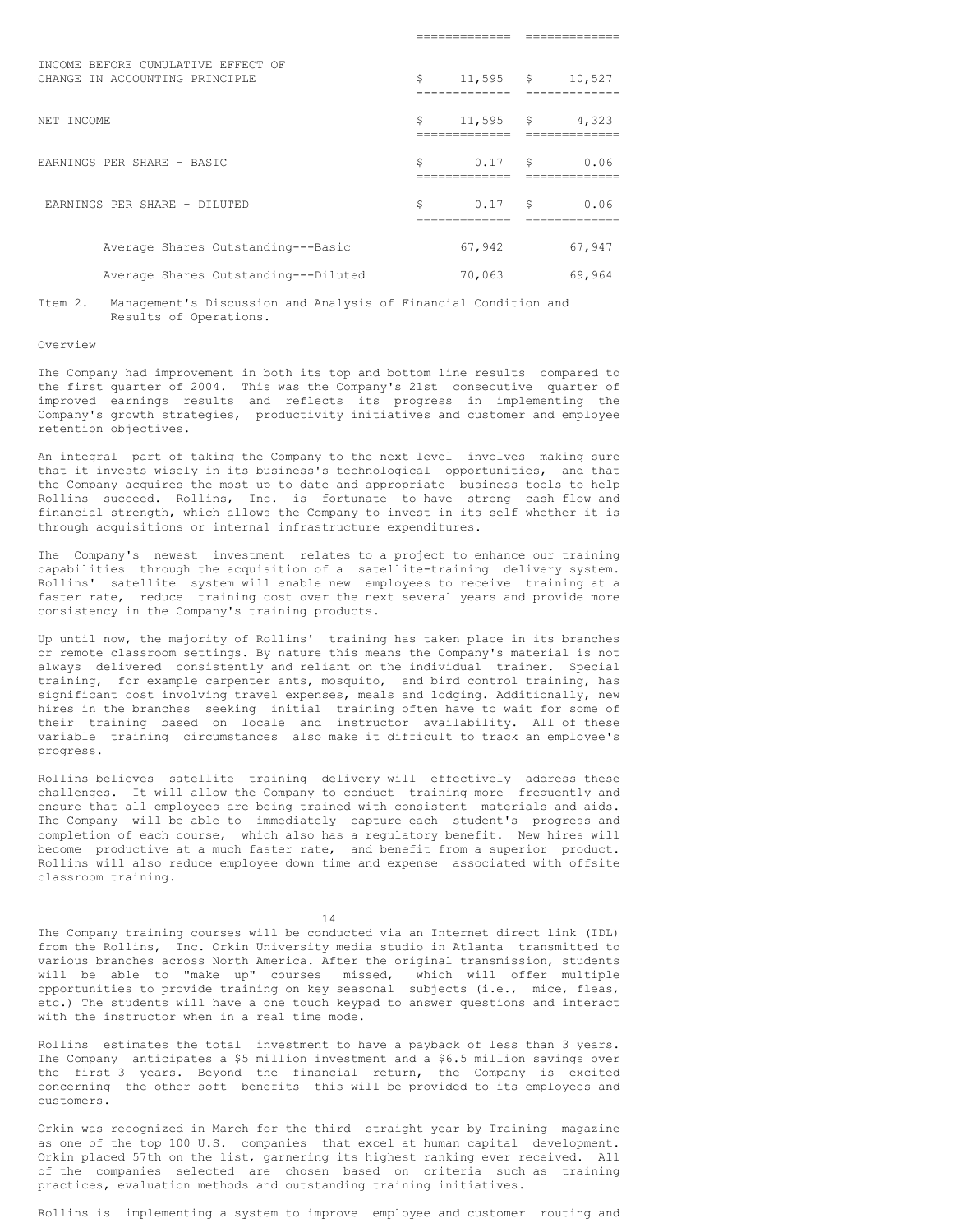| INCOME BEFORE CUMULATIVE EFFECT OF<br>CHANGE IN ACCOUNTING PRINCIPLE | \$ | $11,595$ \$ | 10,527 |
|----------------------------------------------------------------------|----|-------------|--------|
| NET INCOME                                                           | \$ | $11,595$ \$ | 4,323  |
| EARNINGS PER SHARE - BASIC                                           | Ŝ  | 0.17S       | 0.06   |
| EARNINGS PER SHARE - DILUTED                                         | Ŝ  | 0.17S       | 0.06   |
| Average Shares Outstanding---Basic                                   |    | 67,942      | 67,947 |
| Average Shares Outstanding---Diluted                                 |    | 70,063      | 69,964 |

============= =============

Item 2. Management's Discussion and Analysis of Financial Condition and Results of Operations.

## Overview

The Company had improvement in both its top and bottom line results compared to the first quarter of 2004. This was the Company's 21st consecutive quarter of improved earnings results and reflects its progress in implementing the Company's growth strategies, productivity initiatives and customer and employee retention objectives.

An integral part of taking the Company to the next level involves making sure that it invests wisely in its business's technological opportunities, and that the Company acquires the most up to date and appropriate business tools to help Rollins succeed. Rollins, Inc. is fortunate to have strong cash flow and financial strength, which allows the Company to invest in its self whether it is through acquisitions or internal infrastructure expenditures.

The Company's newest investment relates to a project to enhance our training capabilities through the acquisition of a satellite-training delivery system. Rollins' satellite system will enable new employees to receive training at a faster rate, reduce training cost over the next several years and provide more consistency in the Company's training products.

Up until now, the majority of Rollins' training has taken place in its branches or remote classroom settings. By nature this means the Company's material is not always delivered consistently and reliant on the individual trainer. Special training, for example carpenter ants, mosquito, and bird control training, has significant cost involving travel expenses, meals and lodging. Additionally, new hires in the branches seeking initial training often have to wait for some of their training based on locale and instructor availability. All of these variable training circumstances also make it difficult to track an employee's progress.

Rollins believes satellite training delivery will effectively address these challenges. It will allow the Company to conduct training more frequently and ensure that all employees are being trained with consistent materials and aids. The Company will be able to immediately capture each student's progress and completion of each course, which also has a regulatory benefit. New hires will become productive at a much faster rate, and benefit from a superior product. Rollins will also reduce employee down time and expense associated with offsite classroom training.

14

The Company training courses will be conducted via an Internet direct link (IDL) from the Rollins, Inc. Orkin University media studio in Atlanta transmitted to various branches across North America. After the original transmission, students will be able to "make up" courses missed, which will offer multiple opportunities to provide training on key seasonal subjects (i.e., mice, fleas, etc.) The students will have a one touch keypad to answer questions and interact with the instructor when in a real time mode.

Rollins estimates the total investment to have a payback of less than 3 years. The Company anticipates a \$5 million investment and a \$6.5 million savings over the first 3 years. Beyond the financial return, the Company is excited concerning the other soft benefits this will be provided to its employees and customers.

Orkin was recognized in March for the third straight year by Training magazine as one of the top 100 U.S. companies that excel at human capital development. Orkin placed 57th on the list, garnering its highest ranking ever received. All of the companies selected are chosen based on criteria such as training practices, evaluation methods and outstanding training initiatives.

Rollins is implementing a system to improve employee and customer routing and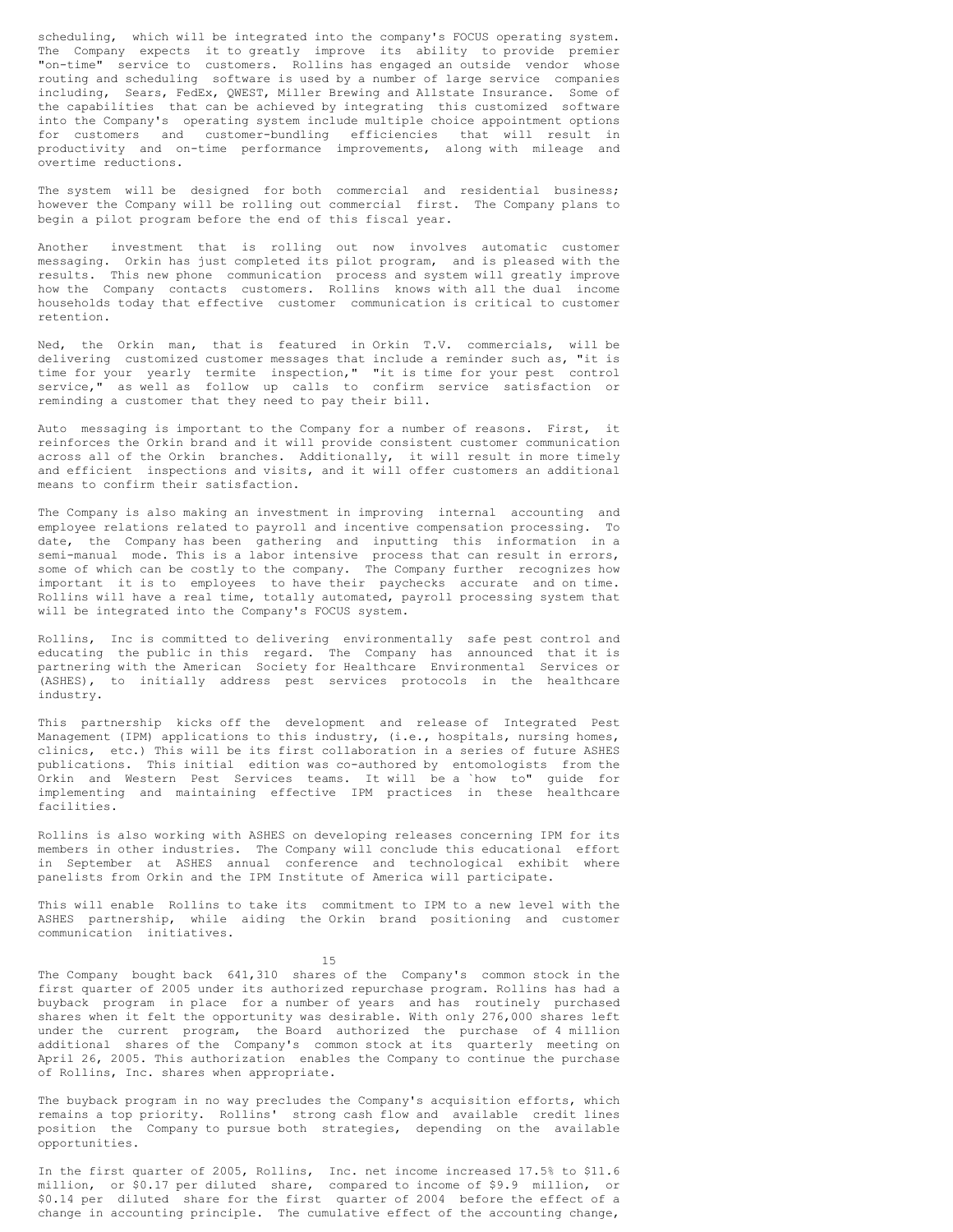scheduling, which will be integrated into the company's FOCUS operating system. The Company expects it to greatly improve its ability to provide premier "on-time" service to customers. Rollins has engaged an outside vendor whose routing and scheduling software is used by a number of large service companies including, Sears, FedEx, QWEST, Miller Brewing and Allstate Insurance. Some of the capabilities that can be achieved by integrating this customized software into the Company's operating system include multiple choice appointment options for customers and customer-bundling efficiencies that will result in productivity and on-time performance improvements, along with mileage and overtime reductions.

The system will be designed for both commercial and residential business; however the Company will be rolling out commercial first. The Company plans to begin a pilot program before the end of this fiscal year.

Another investment that is rolling out now involves automatic customer messaging. Orkin has just completed its pilot program, and is pleased with the results. This new phone communication process and system will greatly improve how the Company contacts customers. Rollins knows with all the dual income households today that effective customer communication is critical to customer retention.

Ned, the Orkin man, that is featured in Orkin T.V. commercials, will be delivering customized customer messages that include a reminder such as, "it is time for your yearly termite inspection," "it is time for your pest control service," as well as follow up calls to confirm service satisfaction or reminding a customer that they need to pay their bill.

Auto messaging is important to the Company for a number of reasons. First, it reinforces the Orkin brand and it will provide consistent customer communication across all of the Orkin branches. Additionally, it will result in more timely and efficient inspections and visits, and it will offer customers an additional means to confirm their satisfaction.

The Company is also making an investment in improving internal accounting and employee relations related to payroll and incentive compensation processing. To date, the Company has been gathering and inputting this information in a semi-manual mode. This is a labor intensive process that can result in errors, some of which can be costly to the company. The Company further recognizes how important it is to employees to have their paychecks accurate and on time. Rollins will have a real time, totally automated, payroll processing system that will be integrated into the Company's FOCUS system.

Rollins, Inc is committed to delivering environmentally safe pest control and educating the public in this regard. The Company has announced that it is partnering with the American Society for Healthcare Environmental Services or (ASHES), to initially address pest services protocols in the healthcare industry.

This partnership kicks off the development and release of Integrated Pest Management (IPM) applications to this industry, (i.e., hospitals, nursing homes, clinics, etc.) This will be its first collaboration in a series of future ASHES publications. This initial edition was co-authored by entomologists from the Orkin and Western Pest Services teams. It will be a `how to" guide for implementing and maintaining effective IPM practices in these healthcare facilities.

Rollins is also working with ASHES on developing releases concerning IPM for its members in other industries. The Company will conclude this educational effort in September at ASHES annual conference and technological exhibit where panelists from Orkin and the IPM Institute of America will participate.

This will enable Rollins to take its commitment to IPM to a new level with the ASHES partnership, while aiding the Orkin brand positioning and customer communication initiatives.

15

The Company bought back 641,310 shares of the Company's common stock in the first quarter of 2005 under its authorized repurchase program. Rollins has had a buyback program in place for a number of years and has routinely purchased shares when it felt the opportunity was desirable. With only 276,000 shares left under the current program, the Board authorized the purchase of 4 million additional shares of the Company's common stock at its quarterly meeting on April 26, 2005. This authorization enables the Company to continue the purchase of Rollins, Inc. shares when appropriate.

The buyback program in no way precludes the Company's acquisition efforts, which remains a top priority. Rollins' strong cash flow and available credit lines position the Company to pursue both strategies, depending on the available opportunities.

In the first quarter of 2005, Rollins, Inc. net income increased 17.5% to \$11.6 million, or \$0.17 per diluted share, compared to income of \$9.9 million, or \$0.14 per diluted share for the first quarter of 2004 before the effect of a change in accounting principle. The cumulative effect of the accounting change,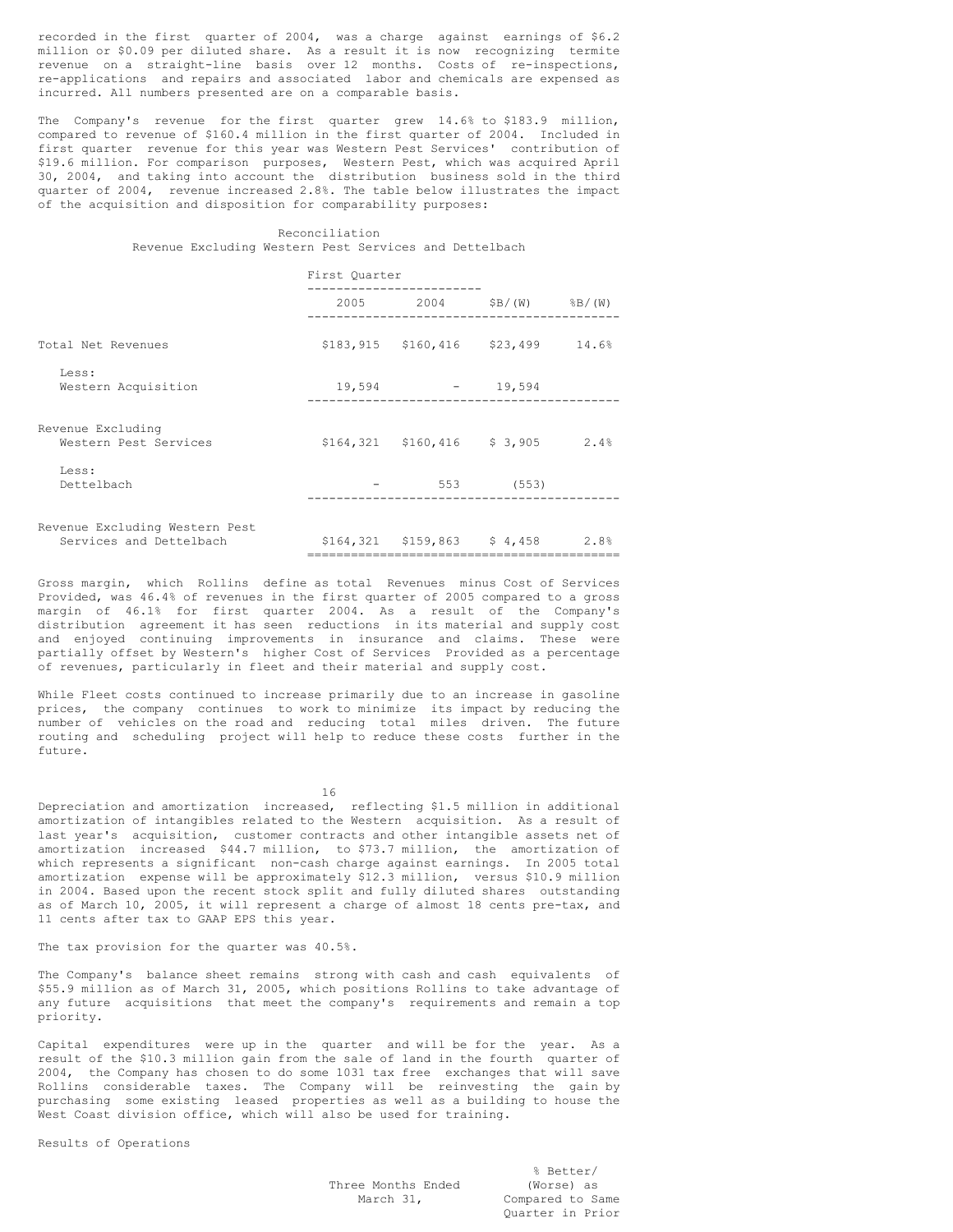recorded in the first quarter of 2004, was a charge against earnings of \$6.2 million or \$0.09 per diluted share. As a result it is now recognizing termite revenue on a straight-line basis over 12 months. Costs of re-inspections, re-applications and repairs and associated labor and chemicals are expensed as incurred. All numbers presented are on a comparable basis.

The Company's revenue for the first quarter grew 14.6% to \$183.9 million, compared to revenue of \$160.4 million in the first quarter of 2004. Included in first quarter revenue for this year was Western Pest Services' contribution of \$19.6 million. For comparison purposes, Western Pest, which was acquired April 30, 2004, and taking into account the distribution business sold in the third quarter of 2004, revenue increased 2.8%. The table below illustrates the impact of the acquisition and disposition for comparability purposes:

# Reconciliation Revenue Excluding Western Pest Services and Dettelbach

|  | First Ouarter | $2005$ 2004 $\frac{5B}{W}$ $\frac{8B}{W}$<br>$$183,915$ $$160,416$ $$23,499$ $14.6$ <sup>9</sup><br>$19,594$ - 19,594<br>$$164,321$ $$160,416$ $$3,905$ 2.4%<br>553 (553)<br>$$164,321$ $$159,863$ $$4,458$ 2.8% |
|--|---------------|------------------------------------------------------------------------------------------------------------------------------------------------------------------------------------------------------------------|

Gross margin, which Rollins define as total Revenues minus Cost of Services Provided, was 46.4% of revenues in the first quarter of 2005 compared to a gross margin of 46.1% for first quarter 2004. As a result of the Company's distribution agreement it has seen reductions in its material and supply cost and enjoyed continuing improvements in insurance and claims. These were partially offset by Western's higher Cost of Services Provided as a percentage of revenues, particularly in fleet and their material and supply cost.

While Fleet costs continued to increase primarily due to an increase in gasoline prices, the company continues to work to minimize its impact by reducing the number of vehicles on the road and reducing total miles driven. The future routing and scheduling project will help to reduce these costs further in the future.

16

Depreciation and amortization increased, reflecting \$1.5 million in additional amortization of intangibles related to the Western acquisition. As a result of last year's acquisition, customer contracts and other intangible assets net of amortization increased \$44.7 million, to \$73.7 million, the amortization of which represents a significant non-cash charge against earnings. In 2005 total amortization expense will be approximately \$12.3 million, versus \$10.9 million in 2004. Based upon the recent stock split and fully diluted shares outstanding as of March 10, 2005, it will represent a charge of almost 18 cents pre-tax, and 11 cents after tax to GAAP EPS this year.

# The tax provision for the quarter was 40.5%.

The Company's balance sheet remains strong with cash and cash equivalents of \$55.9 million as of March 31, 2005, which positions Rollins to take advantage of any future acquisitions that meet the company's requirements and remain a top priority.

Capital expenditures were up in the quarter and will be for the year. As a result of the \$10.3 million gain from the sale of land in the fourth quarter of 2004, the Company has chosen to do some 1031 tax free exchanges that will save Rollins considerable taxes. The Company will be reinvesting the gain by purchasing some existing leased properties as well as a building to house the West Coast division office, which will also be used for training.

Results of Operations

Three Months Ended (Worse) as

% Better/ March 31, Compared to Same Quarter in Prior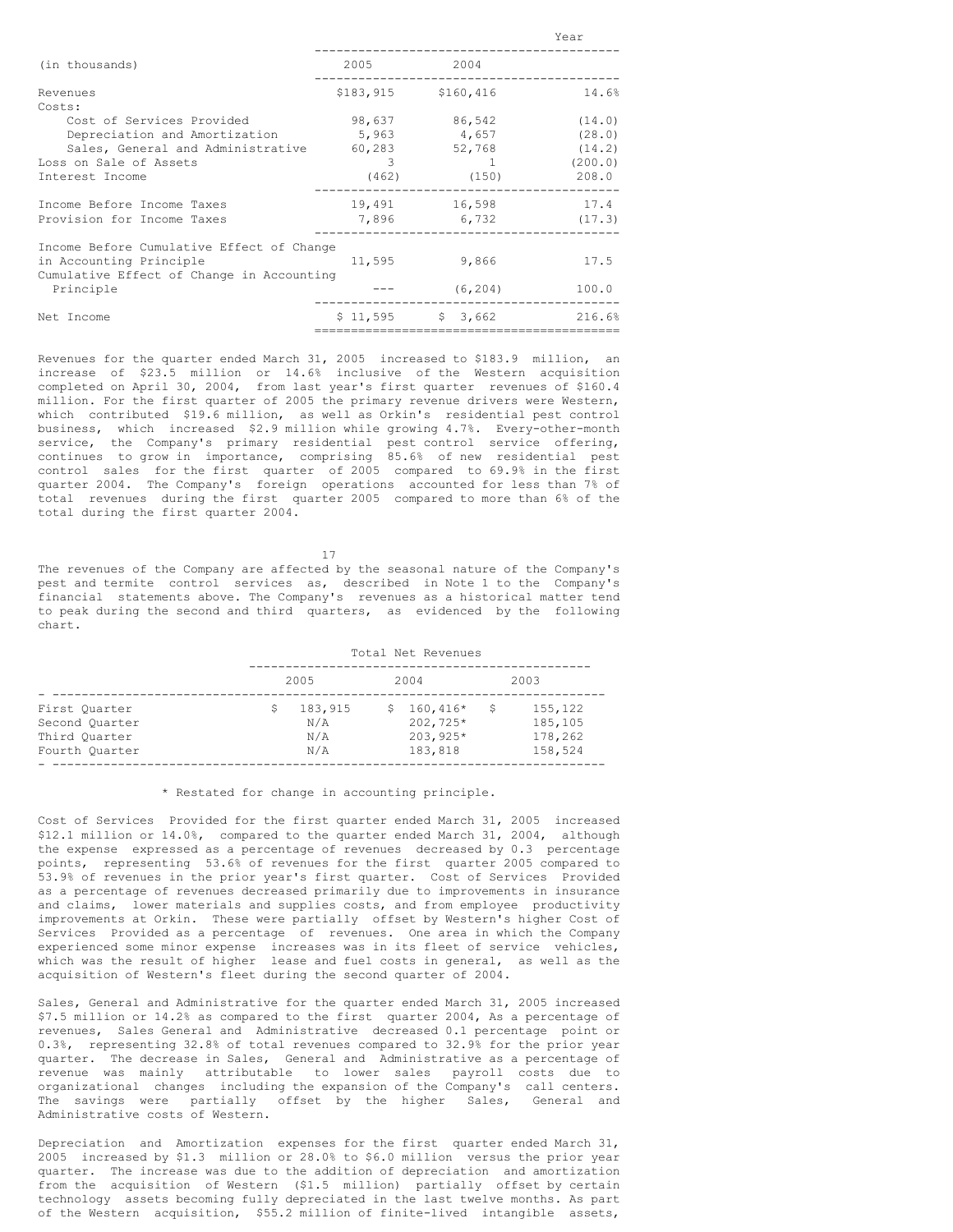| (in thousands)                            | 2005                | 2004                        |         |
|-------------------------------------------|---------------------|-----------------------------|---------|
| Revenues                                  | \$183,915 \$160,416 |                             | 14.6%   |
| Costs:                                    |                     |                             |         |
| Cost of Services Provided                 | 98,637              | 86,542                      | (14.0)  |
| Depreciation and Amortization 5,963 4,657 |                     |                             | (28.0)  |
| Sales, General and Administrative         |                     | 60,283 52,768               | (14.2)  |
| Loss on Sale of Assets                    | 3                   | <b>The Common Property</b>  | (200.0) |
| Interest Income                           |                     | $(462)$ (150)               | 208.0   |
| Income Before Income Taxes                |                     | 19,491 16,598               | 17.4    |
| Provision for Income Taxes                |                     | 7,896 6,732 (17.3)          |         |
| Income Before Cumulative Effect of Change |                     |                             |         |
| in Accounting Principle                   |                     | 11,595 9,866                | 17.5    |
| Cumulative Effect of Change in Accounting |                     |                             |         |
| Principle                                 |                     | (6, 204)                    | 100.0   |
| Net Income                                |                     | $$11,595$ $$3,662$ $216.6%$ |         |
|                                           |                     |                             |         |

Year

Revenues for the quarter ended March 31, 2005 increased to \$183.9 million, an increase of \$23.5 million or 14.6% inclusive of the Western acquisition completed on April 30, 2004, from last year's first quarter revenues of \$160.4 million. For the first quarter of 2005 the primary revenue drivers were Western, which contributed \$19.6 million, as well as Orkin's residential pest control business, which increased \$2.9 million while growing 4.7%. Every-other-month service, the Company's primary residential pest control service offering, continues to grow in importance, comprising 85.6% of new residential pest control sales for the first quarter of 2005 compared to 69.9% in the first quarter 2004. The Company's foreign operations accounted for less than 7% of total revenues during the first quarter 2005 compared to more than 6% of the total during the first quarter 2004.

17

The revenues of the Company are affected by the seasonal nature of the Company's pest and termite control services as, described in Note 1 to the Company's financial statements above. The Company's revenues as a historical matter tend to peak during the second and third quarters, as evidenced by the following chart.

|                                                                    | Total Net Revenues |                              |    |                                                 |    |                                          |
|--------------------------------------------------------------------|--------------------|------------------------------|----|-------------------------------------------------|----|------------------------------------------|
|                                                                    |                    | 2005                         |    | 2004                                            |    | 2003                                     |
| First Ouarter<br>Second Ouarter<br>Third Quarter<br>Fourth Ouarter |                    | 183,915<br>N/A<br>N/A<br>N/A | S. | $160,416*$<br>202,725*<br>$203.925*$<br>183,818 | -S | 155,122<br>185,105<br>178,262<br>158,524 |

# \* Restated for change in accounting principle.

Cost of Services Provided for the first quarter ended March 31, 2005 increased \$12.1 million or 14.0%, compared to the quarter ended March 31, 2004, although the expense expressed as a percentage of revenues decreased by 0.3 percentage points, representing 53.6% of revenues for the first quarter 2005 compared to 53.9% of revenues in the prior year's first quarter. Cost of Services Provided as a percentage of revenues decreased primarily due to improvements in insurance and claims, lower materials and supplies costs, and from employee productivity improvements at Orkin. These were partially offset by Western's higher Cost of Services Provided as a percentage of revenues. One area in which the Company experienced some minor expense increases was in its fleet of service vehicles, which was the result of higher lease and fuel costs in general, as well as the acquisition of Western's fleet during the second quarter of 2004.

Sales, General and Administrative for the quarter ended March 31, 2005 increased \$7.5 million or 14.2% as compared to the first quarter 2004, As a percentage of revenues, Sales General and Administrative decreased 0.1 percentage point or 0.3%, representing 32.8% of total revenues compared to 32.9% for the prior year quarter. The decrease in Sales, General and Administrative as a percentage of revenue was mainly attributable to lower sales payroll costs due to organizational changes including the expansion of the Company's call centers.<br>The savings were partially offset by the higher Sales, General and The savings were partially offset by the higher Sales, Administrative costs of Western.

Depreciation and Amortization expenses for the first quarter ended March 31, 2005 increased by \$1.3 million or 28.0% to \$6.0 million versus the prior year quarter. The increase was due to the addition of depreciation and amortization from the acquisition of Western (\$1.5 million) partially offset by certain technology assets becoming fully depreciated in the last twelve months. As part of the Western acquisition, \$55.2 million of finite-lived intangible assets,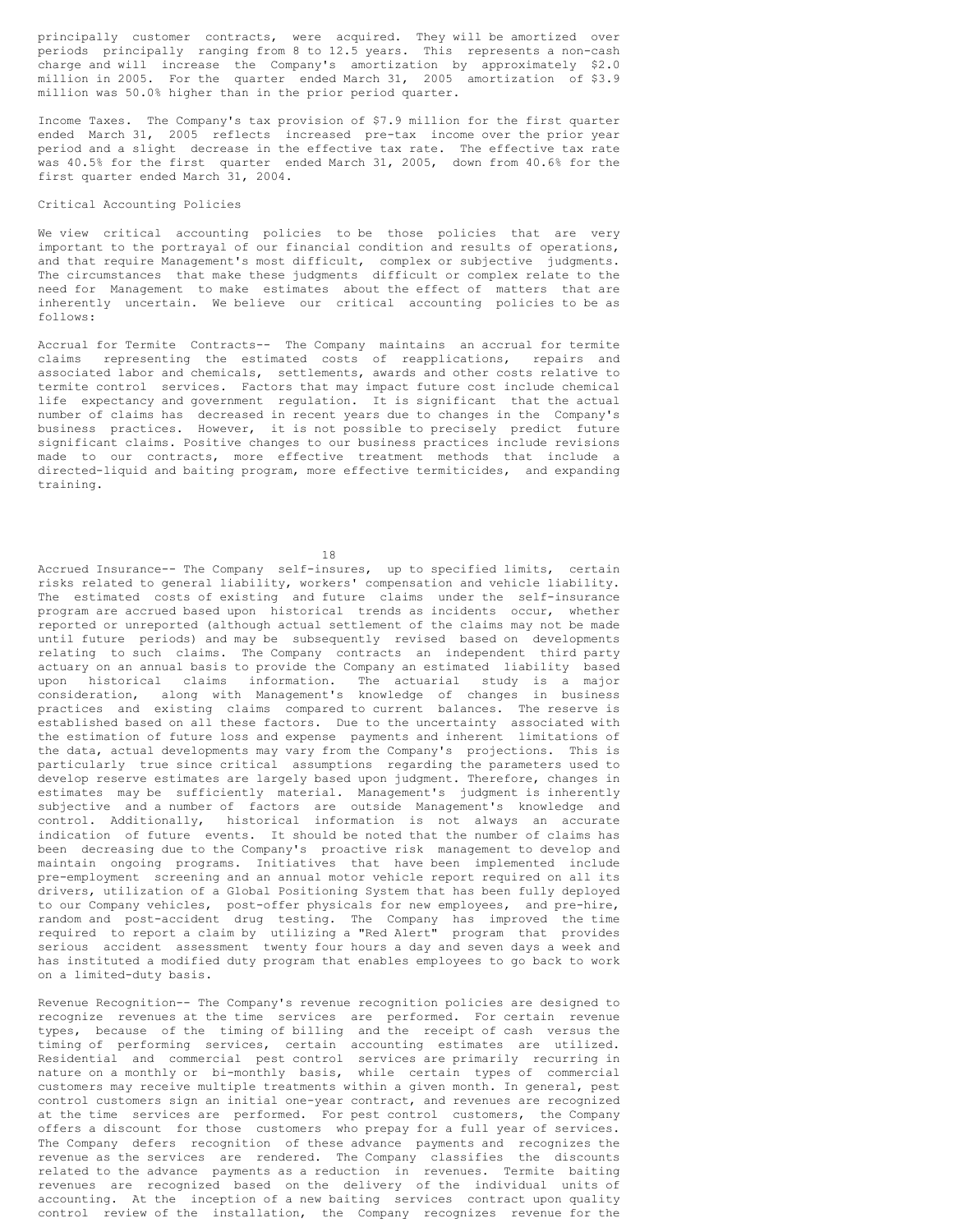principally customer contracts, were acquired. They will be amortized over periods principally ranging from 8 to 12.5 years. This represents a non-cash charge and will increase the Company's amortization by approximately \$2.0 million in 2005. For the quarter ended March 31, 2005 amortization of \$3.9 million was 50.0% higher than in the prior period quarter.

Income Taxes. The Company's tax provision of \$7.9 million for the first quarter ended March 31, 2005 reflects increased pre-tax income over the prior year period and a slight decrease in the effective tax rate. The effective tax rate was 40.5% for the first quarter ended March 31, 2005, down from 40.6% for the first quarter ended March 31, 2004.

# Critical Accounting Policies

We view critical accounting policies to be those policies that are very important to the portrayal of our financial condition and results of operations, and that require Management's most difficult, complex or subjective judgments. The circumstances that make these judgments difficult or complex relate to the need for Management to make estimates about the effect of matters that are inherently uncertain. We believe our critical accounting policies to be as follows:

Accrual for Termite Contracts-- The Company maintains an accrual for termite claims representing the estimated costs of reapplications, repairs and associated labor and chemicals, settlements, awards and other costs relative to termite control services. Factors that may impact future cost include chemical life expectancy and government regulation. It is significant that the actual number of claims has decreased in recent years due to changes in the Company's business practices. However, it is not possible to precisely predict future significant claims. Positive changes to our business practices include revisions made to our contracts, more effective treatment methods that include a directed-liquid and baiting program, more effective termiticides, and expanding training.

18

Accrued Insurance-- The Company self-insures, up to specified limits, certain risks related to general liability, workers' compensation and vehicle liability. The estimated costs of existing and future claims under the self-insurance program are accrued based upon historical trends as incidents occur, whether reported or unreported (although actual settlement of the claims may not be made until future periods) and may be subsequently revised based on developments relating to such claims. The Company contracts an independent third party actuary on an annual basis to provide the Company an estimated liability based upon historical claims information. The actuarial study is a major consideration, along with Management's knowledge of changes in business practices and existing claims compared to current balances. The reserve is established based on all these factors. Due to the uncertainty associated with the estimation of future loss and expense payments and inherent limitations of the data, actual developments may vary from the Company's projections. This is particularly true since critical assumptions regarding the parameters used to develop reserve estimates are largely based upon judgment. Therefore, changes in estimates may be sufficiently material. Management's judgment is inherently subjective and a number of factors are outside Management's knowledge and control. Additionally, historical information is not always an accurate indication of future events. It should be noted that the number of claims has been decreasing due to the Company's proactive risk management to develop and maintain ongoing programs. Initiatives that have been implemented include pre-employment screening and an annual motor vehicle report required on all its drivers, utilization of a Global Positioning System that has been fully deployed to our Company vehicles, post-offer physicals for new employees, and pre-hire, random and post-accident drug testing. The Company has improved the time required to report a claim by utilizing a "Red Alert" program that provides serious accident assessment twenty four hours a day and seven days a week and has instituted a modified duty program that enables employees to go back to work on a limited-duty basis.

Revenue Recognition-- The Company's revenue recognition policies are designed to recognize revenues at the time services are performed. For certain revenue types, because of the timing of billing and the receipt of cash versus the timing of performing services, certain accounting estimates are utilized. Residential and commercial pest control services are primarily recurring in nature on a monthly or bi-monthly basis, while certain types of commercial customers may receive multiple treatments within a given month. In general, pest control customers sign an initial one-year contract, and revenues are recognized at the time services are performed. For pest control customers, the Company offers a discount for those customers who prepay for a full year of services. The Company defers recognition of these advance payments and recognizes the revenue as the services are rendered. The Company classifies the discounts related to the advance payments as a reduction in revenues. Termite baiting revenues are recognized based on the delivery of the individual units of accounting. At the inception of a new baiting services contract upon quality control review of the installation, the Company recognizes revenue for the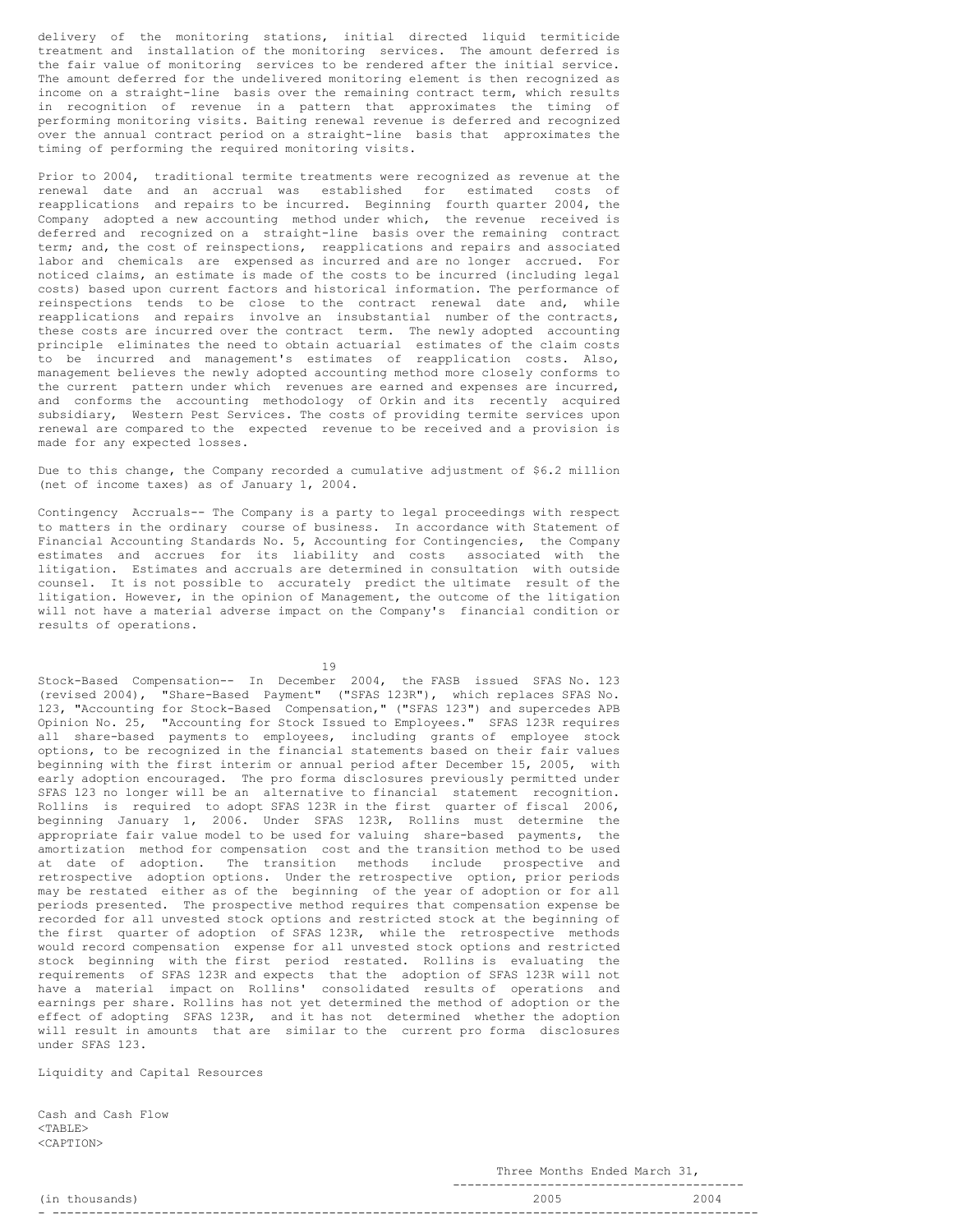delivery of the monitoring stations, initial directed liquid termiticide treatment and installation of the monitoring services. The amount deferred is the fair value of monitoring services to be rendered after the initial service. The amount deferred for the undelivered monitoring element is then recognized as income on a straight-line basis over the remaining contract term, which results in recognition of revenue in a pattern that approximates the timing of performing monitoring visits. Baiting renewal revenue is deferred and recognized over the annual contract period on a straight-line basis that approximates the timing of performing the required monitoring visits.

Prior to 2004, traditional termite treatments were recognized as revenue at the renewal date and an accrual was established for estimated costs of reapplications and repairs to be incurred. Beginning fourth quarter 2004, the Company adopted a new accounting method under which, the revenue received is deferred and recognized on a straight-line basis over the remaining contract term; and, the cost of reinspections, reapplications and repairs and associated labor and chemicals are expensed as incurred and are no longer accrued. For noticed claims, an estimate is made of the costs to be incurred (including legal costs) based upon current factors and historical information. The performance of reinspections tends to be close to the contract renewal date and, while reapplications and repairs involve an insubstantial number of the contracts, these costs are incurred over the contract term. The newly adopted accounting principle eliminates the need to obtain actuarial estimates of the claim costs to be incurred and management's estimates of reapplication costs. Also, management believes the newly adopted accounting method more closely conforms to the current pattern under which revenues are earned and expenses are incurred, and conforms the accounting methodology of Orkin and its recently acquired subsidiary, Western Pest Services. The costs of providing termite services upon renewal are compared to the expected revenue to be received and a provision is made for any expected losses.

Due to this change, the Company recorded a cumulative adjustment of \$6.2 million (net of income taxes) as of January 1, 2004.

Contingency Accruals-- The Company is a party to legal proceedings with respect to matters in the ordinary course of business. In accordance with Statement of Financial Accounting Standards No. 5, Accounting for Contingencies, the Company estimates and accrues for its liability and costs associated with the litigation. Estimates and accruals are determined in consultation with outside counsel. It is not possible to accurately predict the ultimate result of the litigation. However, in the opinion of Management, the outcome of the litigation will not have a material adverse impact on the Company's financial condition or results of operations.

19

Stock-Based Compensation-- In December 2004, the FASB issued SFAS No. 123 (revised 2004), "Share-Based Payment" ("SFAS 123R"), which replaces SFAS No. 123, "Accounting for Stock-Based Compensation," ("SFAS 123") and supercedes APB Opinion No. 25, "Accounting for Stock Issued to Employees." SFAS 123R requires all share-based payments to employees, including grants of employee stock options, to be recognized in the financial statements based on their fair values beginning with the first interim or annual period after December 15, 2005, with early adoption encouraged. The pro forma disclosures previously permitted under SFAS 123 no longer will be an alternative to financial statement recognition. Rollins is required to adopt SFAS 123R in the first quarter of fiscal 2006, beginning January 1, 2006. Under SFAS 123R, Rollins must determine the appropriate fair value model to be used for valuing share-based payments, the amortization method for compensation cost and the transition method to be used at date of adoption. The transition methods include prospective and retrospective adoption options. Under the retrospective option, prior periods may be restated either as of the beginning of the year of adoption or for all periods presented. The prospective method requires that compensation expense be recorded for all unvested stock options and restricted stock at the beginning of the first quarter of adoption of SFAS 123R, while the retrospective methods would record compensation expense for all unvested stock options and restricted stock beginning with the first period restated. Rollins is evaluating the requirements of SFAS 123R and expects that the adoption of SFAS 123R will not have a material impact on Rollins' consolidated results of operations and earnings per share. Rollins has not yet determined the method of adoption or the effect of adopting SFAS 123R, and it has not determined whether the adoption will result in amounts that are similar to the current pro forma disclosures under SFAS 123.

Liquidity and Capital Resources

Cash and Cash Flow <TABLE> <CAPTION>

Three Months Ended March 31,

|                          | ---  |     |
|--------------------------|------|-----|
| $\sqrt{2}$<br><b>___</b> | 200' | 004 |
|                          |      |     |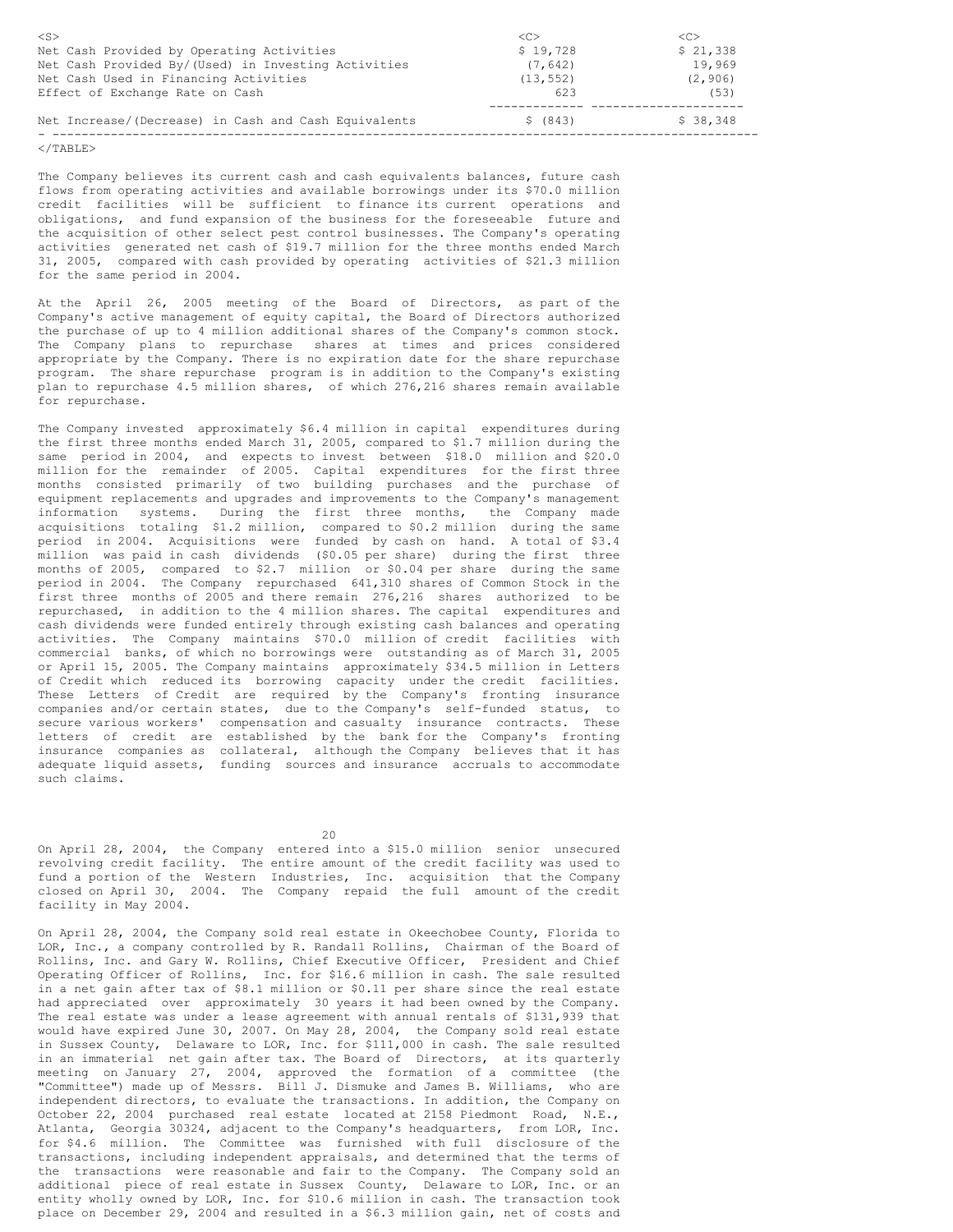| $<$ S>                                               | < <sub></sub> | $\langle C \rangle$ |
|------------------------------------------------------|---------------|---------------------|
| Net Cash Provided by Operating Activities            | \$19,728      | \$21,338            |
| Net Cash Provided By/(Used) in Investing Activities  | (7, 642)      | 19,969              |
| Net Cash Used in Financing Activities                | (13, 552)     | (2, 906)            |
| Effect of Exchange Rate on Cash                      | 623           | (53)                |
|                                                      |               |                     |
| Net Increase/(Decrease) in Cash and Cash Equivalents | \$ (843)      | \$38,348            |
|                                                      |               |                     |

 $<$ /TABLE>

The Company believes its current cash and cash equivalents balances, future cash flows from operating activities and available borrowings under its \$70.0 million credit facilities will be sufficient to finance its current operations and obligations, and fund expansion of the business for the foreseeable future and the acquisition of other select pest control businesses. The Company's operating activities generated net cash of \$19.7 million for the three months ended March 31, 2005, compared with cash provided by operating activities of \$21.3 million for the same period in 2004.

At the April 26, 2005 meeting of the Board of Directors, as part of the Company's active management of equity capital, the Board of Directors authorized the purchase of up to 4 million additional shares of the Company's common stock. The Company plans to repurchase shares at times and prices considered appropriate by the Company. There is no expiration date for the share repurchase program. The share repurchase program is in addition to the Company's existing plan to repurchase 4.5 million shares, of which 276,216 shares remain available for repurchase.

The Company invested approximately \$6.4 million in capital expenditures during the first three months ended March 31, 2005, compared to \$1.7 million during the same period in 2004, and expects to invest between \$18.0 million and \$20.0 million for the remainder of 2005. Capital expenditures for the first three months consisted primarily of two building purchases and the purchase of equipment replacements and upgrades and improvements to the Company's management information systems. During the first three months, the Company made acquisitions totaling \$1.2 million, compared to \$0.2 million during the same period in 2004. Acquisitions were funded by cash on hand. A total of \$3.4 million was paid in cash dividends (\$0.05 per share) during the first three months of 2005, compared to \$2.7 million or \$0.04 per share during the same period in 2004. The Company repurchased 641,310 shares of Common Stock in the first three months of 2005 and there remain 276,216 shares authorized to be repurchased, in addition to the 4 million shares. The capital expenditures and cash dividends were funded entirely through existing cash balances and operating activities. The Company maintains \$70.0 million of credit facilities with commercial banks, of which no borrowings were outstanding as of March 31, 2005 or April 15, 2005. The Company maintains approximately \$34.5 million in Letters of Credit which reduced its borrowing capacity under the credit facilities. These Letters of Credit are required by the Company's fronting insurance companies and/or certain states, due to the Company's self-funded status, to secure various workers' compensation and casualty insurance contracts. These letters of credit are established by the bank for the Company's fronting insurance companies as collateral, although the Company believes that it has adequate liquid assets, funding sources and insurance accruals to accommodate such claims.

 $20$ 

On April 28, 2004, the Company entered into a \$15.0 million senior unsecured revolving credit facility. The entire amount of the credit facility was used to fund a portion of the Western Industries, Inc. acquisition that the Company closed on April 30, 2004. The Company repaid the full amount of the credit facility in May 2004.

On April 28, 2004, the Company sold real estate in Okeechobee County, Florida to LOR, Inc., a company controlled by R. Randall Rollins, Chairman of the Board of Rollins, Inc. and Gary W. Rollins, Chief Executive Officer, President and Chief Operating Officer of Rollins, Inc. for \$16.6 million in cash. The sale resulted in a net gain after tax of \$8.1 million or \$0.11 per share since the real estate had appreciated over approximately 30 years it had been owned by the Company. The real estate was under a lease agreement with annual rentals of \$131,939 that would have expired June 30, 2007. On May 28, 2004, the Company sold real estate in Sussex County, Delaware to LOR, Inc. for \$111,000 in cash. The sale resulted in an immaterial net gain after tax. The Board of Directors, at its quarterly meeting on January 27, 2004, approved the formation of a committee (the "Committee") made up of Messrs. Bill J. Dismuke and James B. Williams, who are independent directors, to evaluate the transactions. In addition, the Company on October 22, 2004 purchased real estate located at 2158 Piedmont Road, N.E., Atlanta, Georgia 30324, adjacent to the Company's headquarters, from LOR, Inc. for \$4.6 million. The Committee was furnished with full disclosure of the transactions, including independent appraisals, and determined that the terms of the transactions were reasonable and fair to the Company. The Company sold an additional piece of real estate in Sussex County, Delaware to LOR, Inc. or an entity wholly owned by LOR, Inc. for \$10.6 million in cash. The transaction took place on December 29, 2004 and resulted in a \$6.3 million gain, net of costs and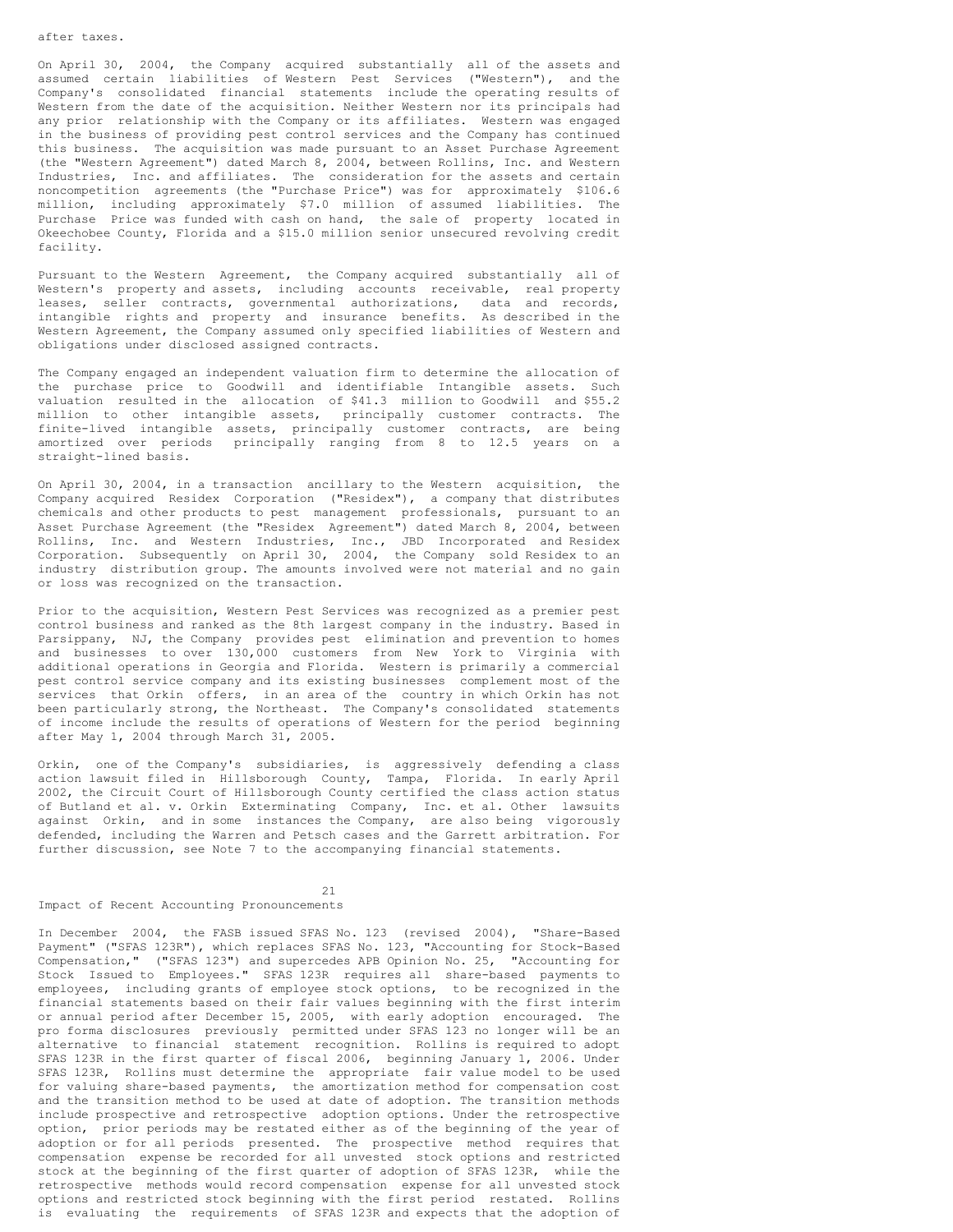On April 30, 2004, the Company acquired substantially all of the assets and assumed certain liabilities of Western Pest Services ("Western"), and the Company's consolidated financial statements include the operating results of Western from the date of the acquisition. Neither Western nor its principals had any prior relationship with the Company or its affiliates. Western was engaged in the business of providing pest control services and the Company has continued this business. The acquisition was made pursuant to an Asset Purchase Agreement (the "Western Agreement") dated March 8, 2004, between Rollins, Inc. and Western Industries, Inc. and affiliates. The consideration for the assets and certain noncompetition agreements (the "Purchase Price") was for approximately \$106.6 million, including approximately \$7.0 million of assumed liabilities. The Purchase Price was funded with cash on hand, the sale of property located in Okeechobee County, Florida and a \$15.0 million senior unsecured revolving credit facility.

Pursuant to the Western Agreement, the Company acquired substantially all of Western's property and assets, including accounts receivable, real property leases, seller contracts, governmental authorizations, data and records, intangible rights and property and insurance benefits. As described in the Western Agreement, the Company assumed only specified liabilities of Western and obligations under disclosed assigned contracts.

The Company engaged an independent valuation firm to determine the allocation of the purchase price to Goodwill and identifiable Intangible assets. Such valuation resulted in the allocation of \$41.3 million to Goodwill and \$55.2 million to other intangible assets, principally customer contracts. The finite-lived intangible assets, principally customer contracts, are being amortized over periods principally ranging from 8 to 12.5 years on a straight-lined basis.

On April 30, 2004, in a transaction ancillary to the Western acquisition, the Company acquired Residex Corporation ("Residex"), a company that distributes chemicals and other products to pest management professionals, pursuant to an Asset Purchase Agreement (the "Residex Agreement") dated March 8, 2004, between Rollins, Inc. and Western Industries, Inc., JBD Incorporated and Residex Corporation. Subsequently on April 30, 2004, the Company sold Residex to an industry distribution group. The amounts involved were not material and no gain or loss was recognized on the transaction.

Prior to the acquisition, Western Pest Services was recognized as a premier pest control business and ranked as the 8th largest company in the industry. Based in Parsippany, NJ, the Company provides pest elimination and prevention to homes and businesses to over 130,000 customers from New York to Virginia with additional operations in Georgia and Florida. Western is primarily a commercial pest control service company and its existing businesses complement most of the services that Orkin offers, in an area of the country in which Orkin has not been particularly strong, the Northeast. The Company's consolidated statements of income include the results of operations of Western for the period beginning after May 1, 2004 through March 31, 2005.

Orkin, one of the Company's subsidiaries, is aggressively defending a class action lawsuit filed in Hillsborough County, Tampa, Florida. In early April 2002, the Circuit Court of Hillsborough County certified the class action status of Butland et al. v. Orkin Exterminating Company, Inc. et al. Other lawsuits against Orkin, and in some instances the Company, are also being vigorously defended, including the Warren and Petsch cases and the Garrett arbitration. For further discussion, see Note 7 to the accompanying financial statements.

21

Impact of Recent Accounting Pronouncements

In December 2004, the FASB issued SFAS No. 123 (revised 2004), "Share-Based Payment" ("SFAS 123R"), which replaces SFAS No. 123, "Accounting for Stock-Based Compensation," ("SFAS 123") and supercedes APB Opinion No. 25, "Accounting for Stock Issued to Employees." SFAS 123R requires all share-based payments to employees, including grants of employee stock options, to be recognized in the financial statements based on their fair values beginning with the first interim or annual period after December 15, 2005, with early adoption encouraged. The pro forma disclosures previously permitted under SFAS 123 no longer will be an alternative to financial statement recognition. Rollins is required to adopt SFAS 123R in the first quarter of fiscal 2006, beginning January 1, 2006. Under SFAS 123R, Rollins must determine the appropriate fair value model to be used for valuing share-based payments, the amortization method for compensation cost and the transition method to be used at date of adoption. The transition methods include prospective and retrospective adoption options. Under the retrospective option, prior periods may be restated either as of the beginning of the year of adoption or for all periods presented. The prospective method requires that compensation expense be recorded for all unvested stock options and restricted stock at the beginning of the first quarter of adoption of SFAS 123R, while the retrospective methods would record compensation expense for all unvested stock options and restricted stock beginning with the first period restated. Rollins is evaluating the requirements of SFAS 123R and expects that the adoption of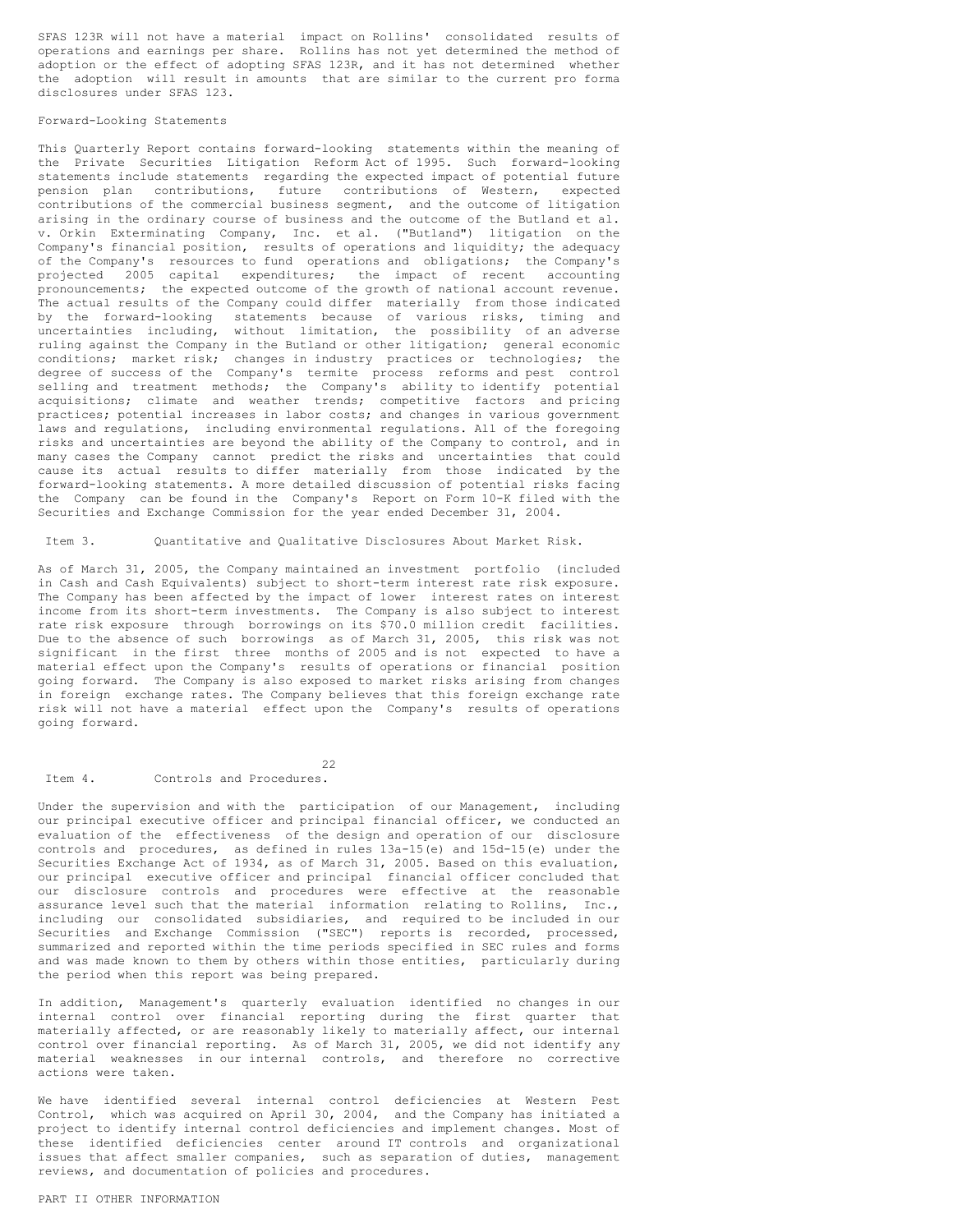SFAS 123R will not have a material impact on Rollins' consolidated results of operations and earnings per share. Rollins has not yet determined the method of adoption or the effect of adopting SFAS 123R, and it has not determined whether the adoption will result in amounts that are similar to the current pro forma disclosures under SFAS 123.

#### Forward-Looking Statements

This Quarterly Report contains forward-looking statements within the meaning of the Private Securities Litigation Reform Act of 1995. Such forward-looking statements include statements regarding the expected impact of potential future pension plan contributions, future contributions of Western, expected contributions of the commercial business segment, and the outcome of litigation arising in the ordinary course of business and the outcome of the Butland et al. v. Orkin Exterminating Company, Inc. et al. ("Butland") litigation on the Company's financial position, results of operations and liquidity; the adequacy of the Company's resources to fund operations and obligations; the Company's projected 2005 capital expenditures; the impact of recent accounting pronouncements; the expected outcome of the growth of national account revenue. The actual results of the Company could differ materially from those indicated by the forward-looking statements because of various risks, timing and uncertainties including, without limitation, the possibility of an adverse ruling against the Company in the Butland or other litigation; general economic conditions; market risk; changes in industry practices or technologies; the degree of success of the Company's termite process reforms and pest control selling and treatment methods; the Company's ability to identify potential acquisitions; climate and weather trends; competitive factors and pricing practices; potential increases in labor costs; and changes in various government laws and regulations, including environmental regulations. All of the foregoing risks and uncertainties are beyond the ability of the Company to control, and in many cases the Company cannot predict the risks and uncertainties that could cause its actual results to differ materially from those indicated by the forward-looking statements. A more detailed discussion of potential risks facing the Company can be found in the Company's Report on Form 10-K filed with the Securities and Exchange Commission for the year ended December 31, 2004.

Item 3. Quantitative and Qualitative Disclosures About Market Risk.

As of March 31, 2005, the Company maintained an investment portfolio (included in Cash and Cash Equivalents) subject to short-term interest rate risk exposure. The Company has been affected by the impact of lower interest rates on interest income from its short-term investments. The Company is also subject to interest rate risk exposure through borrowings on its \$70.0 million credit facilities. Due to the absence of such borrowings as of March 31, 2005, this risk was not significant in the first three months of 2005 and is not expected to have a material effect upon the Company's results of operations or financial position going forward. The Company is also exposed to market risks arising from changes in foreign exchange rates. The Company believes that this foreign exchange rate risk will not have a material effect upon the Company's results of operations going forward.

22 Item 4. Controls and Procedures.

Under the supervision and with the participation of our Management, including our principal executive officer and principal financial officer, we conducted an evaluation of the effectiveness of the design and operation of our disclosure controls and procedures, as defined in rules 13a-15(e) and 15d-15(e) under the Securities Exchange Act of 1934, as of March 31, 2005. Based on this evaluation, our principal executive officer and principal financial officer concluded that our disclosure controls and procedures were effective at the reasonable assurance level such that the material information relating to Rollins, Inc., including our consolidated subsidiaries, and required to be included in our Securities and Exchange Commission ("SEC") reports is recorded, processed, summarized and reported within the time periods specified in SEC rules and forms and was made known to them by others within those entities, particularly during the period when this report was being prepared.

In addition, Management's quarterly evaluation identified no changes in our internal control over financial reporting during the first quarter that materially affected, or are reasonably likely to materially affect, our internal control over financial reporting. As of March 31, 2005, we did not identify any material weaknesses in our internal controls, and therefore no corrective actions were taken.

We have identified several internal control deficiencies at Western Pest Control, which was acquired on April 30, 2004, and the Company has initiated a project to identify internal control deficiencies and implement changes. Most of these identified deficiencies center around IT controls and organizational issues that affect smaller companies, such as separation of duties, management reviews, and documentation of policies and procedures.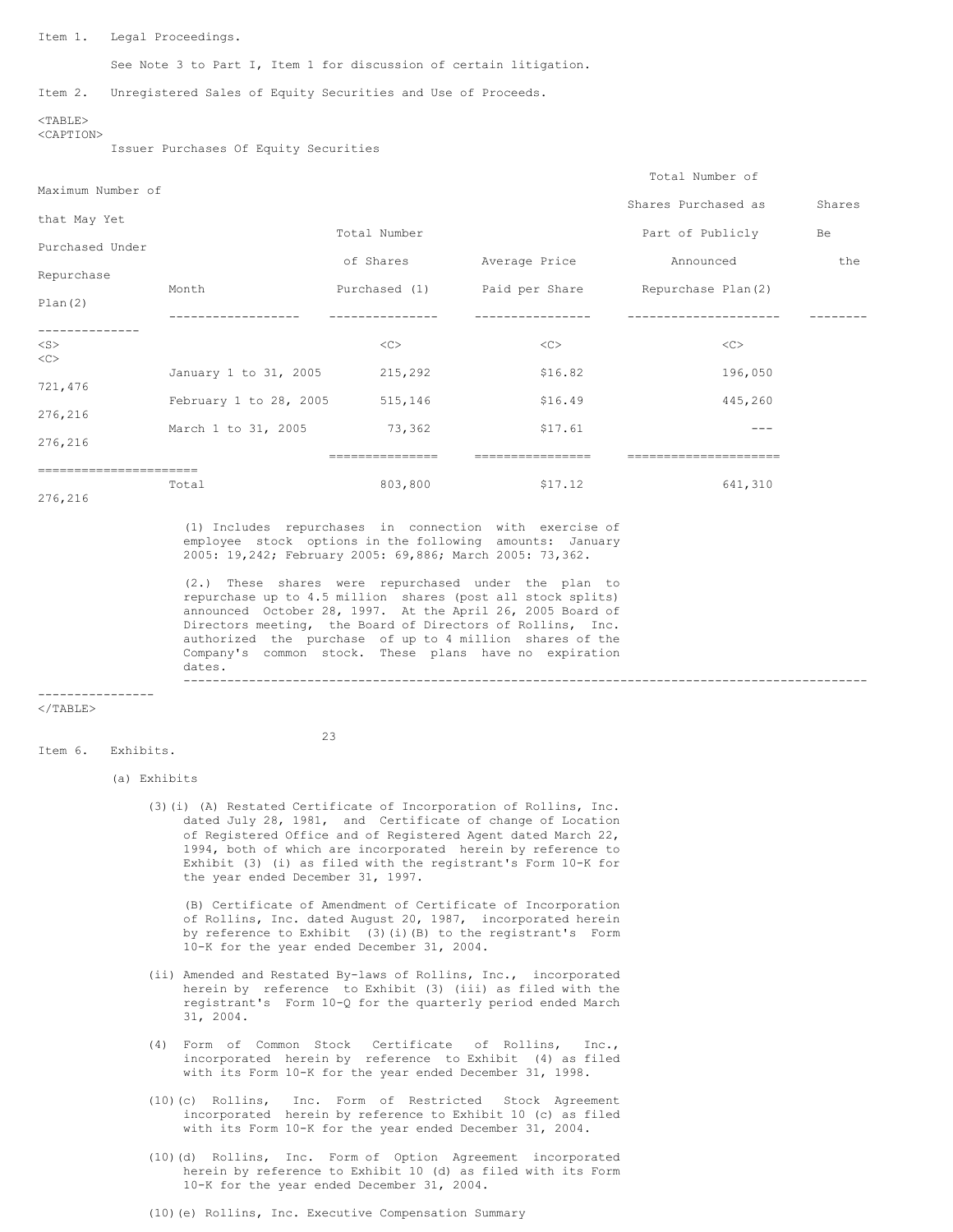Item 1. Legal Proceedings.

See Note 3 to Part I, Item 1 for discussion of certain litigation.

Item 2. Unregistered Sales of Equity Securities and Use of Proceeds.

#### $<$ TABLE> <CAPTION>

Issuer Purchases Of Equity Securities

| Maximum Number of |                        |               |                | Total Number of     |        |
|-------------------|------------------------|---------------|----------------|---------------------|--------|
|                   |                        |               |                | Shares Purchased as | Shares |
| that May Yet      |                        | Total Number  |                | Part of Publicly    | Be     |
| Purchased Under   |                        | of Shares     | Average Price  | Announced           | the    |
| Repurchase        |                        |               |                |                     |        |
| Plan(2)           | Month                  | Purchased (1) | Paid per Share | Repurchase Plan(2)  |        |
|                   |                        |               |                |                     |        |
| $<$ S $>$<br><<>  |                        | <<            | <<             | <<                  |        |
| 721,476           | January 1 to 31, 2005  | 215,292       | \$16.82        | 196,050             |        |
| 276,216           | February 1 to 28, 2005 | 515,146       | \$16.49        | 445,260             |        |
| 276,216           | March 1 to 31, 2005    | 73,362        | \$17.61        |                     |        |
|                   |                        | ===========   |                |                     |        |
| 276,216           | Total                  | 803,800       | \$17.12        | 641,310             |        |

(1) Includes repurchases in connection with exercise of employee stock options in the following amounts: January 2005: 19,242; February 2005: 69,886; March 2005: 73,362.

(2.) These shares were repurchased under the plan to repurchase up to 4.5 million shares (post all stock splits) announced October 28, 1997. At the April 26, 2005 Board of Directors meeting, the Board of Directors of Rollins, Inc. authorized the purchase of up to 4 million shares of the Company's common stock. These plans have no expiration dates. ----------------------------------------------------------------------------------------------

 $\langle$ /TABLE $>$ 

----------------

Item 6. Exhibits.

 $23$ 

# (a) Exhibits

(3)(i) (A) Restated Certificate of Incorporation of Rollins, Inc. dated July 28, 1981, and Certificate of change of Location of Registered Office and of Registered Agent dated March 22, 1994, both of which are incorporated herein by reference to Exhibit (3) (i) as filed with the registrant's Form 10-K for the year ended December 31, 1997.

(B) Certificate of Amendment of Certificate of Incorporation of Rollins, Inc. dated August 20, 1987, incorporated herein by reference to Exhibit (3)(i)(B) to the registrant's Form 10-K for the year ended December 31, 2004.

- (ii) Amended and Restated By-laws of Rollins, Inc., incorporated herein by reference to Exhibit (3) (iii) as filed with the registrant's Form 10-Q for the quarterly period ended March 31, 2004.
- (4) Form of Common Stock Certificate of Rollins, Inc., incorporated herein by reference to Exhibit (4) as filed with its Form 10-K for the year ended December 31, 1998.
- (10)(c) Rollins, Inc. Form of Restricted Stock Agreement incorporated herein by reference to Exhibit 10 (c) as filed with its Form 10-K for the year ended December 31, 2004.
- (10)(d) Rollins, Inc. Form of Option Agreement incorporated herein by reference to Exhibit 10 (d) as filed with its Form 10-K for the year ended December 31, 2004.
- (10)(e) Rollins, Inc. Executive Compensation Summary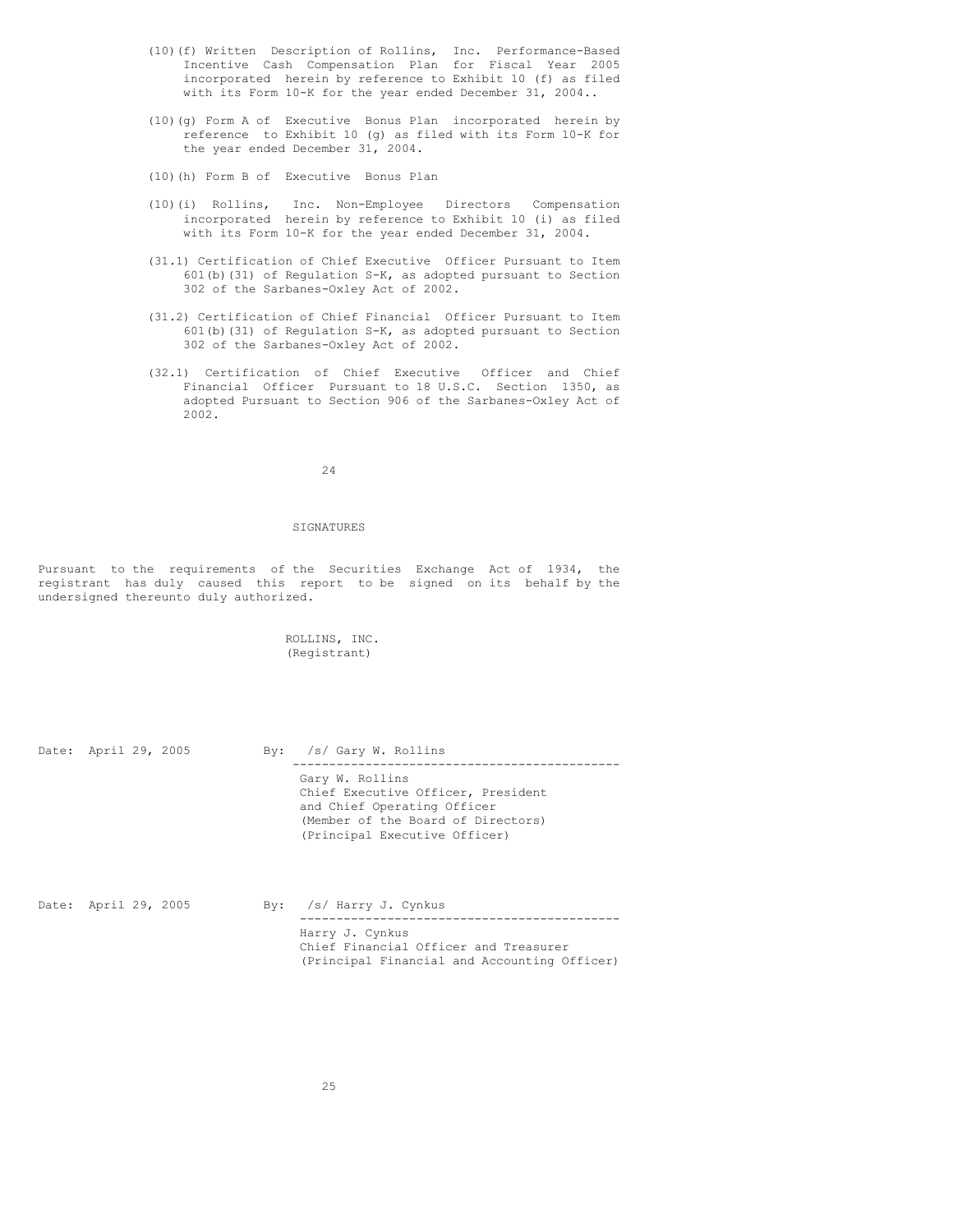- (10)(f) Written Description of Rollins, Inc. Performance-Based Incentive Cash Compensation Plan for Fiscal Year 2005 incorporated herein by reference to Exhibit 10 (f) as filed with its Form 10-K for the year ended December 31, 2004..
- (10)(g) Form A of Executive Bonus Plan incorporated herein by reference to Exhibit 10 (g) as filed with its Form 10-K for the year ended December 31, 2004.
- (10)(h) Form B of Executive Bonus Plan
- (10)(i) Rollins, Inc. Non-Employee Directors Compensation incorporated herein by reference to Exhibit 10 (i) as filed with its Form 10-K for the year ended December 31, 2004.
- (31.1) Certification of Chief Executive Officer Pursuant to Item 601(b)(31) of Regulation S-K, as adopted pursuant to Section 302 of the Sarbanes-Oxley Act of 2002.
- (31.2) Certification of Chief Financial Officer Pursuant to Item 601(b)(31) of Regulation S-K, as adopted pursuant to Section 302 of the Sarbanes-Oxley Act of 2002.
- (32.1) Certification of Chief Executive Officer and Chief Financial Officer Pursuant to 18 U.S.C. Section 1350, as adopted Pursuant to Section 906 of the Sarbanes-Oxley Act of 2002.

24

### SIGNATURES

Pursuant to the requirements of the Securities Exchange Act of 1934, the registrant has duly caused this report to be signed on its behalf by the undersigned thereunto duly authorized.

> ROLLINS, INC. (Registrant)

| Date: April 29, 2005 |  | By: /s/ Gary W. Rollins                                                                                                                                     |
|----------------------|--|-------------------------------------------------------------------------------------------------------------------------------------------------------------|
|                      |  | Gary W. Rollins<br>Chief Executive Officer, President<br>and Chief Operating Officer<br>(Member of the Board of Directors)<br>(Principal Executive Officer) |

| Date: April 29, 2005 |  | By: $/s/$ Harry J. Cynkus                                                                                |
|----------------------|--|----------------------------------------------------------------------------------------------------------|
|                      |  | Harry J. Cynkus<br>Chief Financial Officer and Treasurer<br>(Principal Financial and Accounting Officer) |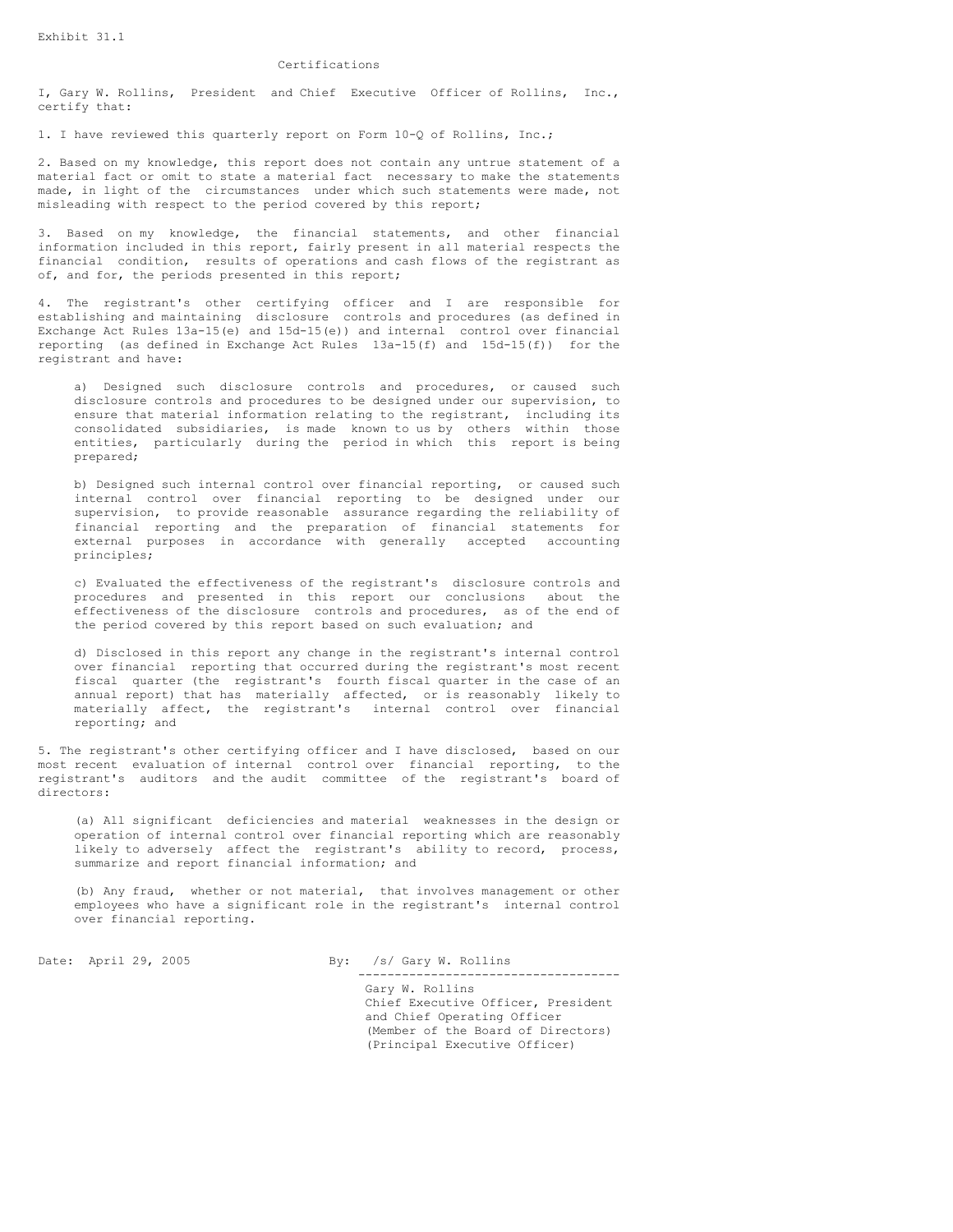# Certifications

I, Gary W. Rollins, President and Chief Executive Officer of Rollins, Inc., certify that:

1. I have reviewed this quarterly report on Form 10-Q of Rollins, Inc.;

2. Based on my knowledge, this report does not contain any untrue statement of a material fact or omit to state a material fact necessary to make the statements made, in light of the circumstances under which such statements were made, not misleading with respect to the period covered by this report;

3. Based on my knowledge, the financial statements, and other financial information included in this report, fairly present in all material respects the financial condition, results of operations and cash flows of the registrant as of, and for, the periods presented in this report;

4. The registrant's other certifying officer and I are responsible for establishing and maintaining disclosure controls and procedures (as defined in Exchange Act Rules 13a-15(e) and 15d-15(e)) and internal control over financial reporting (as defined in Exchange Act Rules 13a-15(f) and 15d-15(f)) for the registrant and have:

a) Designed such disclosure controls and procedures, or caused such disclosure controls and procedures to be designed under our supervision, to ensure that material information relating to the registrant, including its consolidated subsidiaries, is made known to us by others within those entities, particularly during the period in which this report is being prepared;

b) Designed such internal control over financial reporting, or caused such internal control over financial reporting to be designed under our supervision, to provide reasonable assurance regarding the reliability of financial reporting and the preparation of financial statements for external purposes in accordance with generally accepted accounting principles;

c) Evaluated the effectiveness of the registrant's disclosure controls and procedures and presented in this report our conclusions about the effectiveness of the disclosure controls and procedures, as of the end of the period covered by this report based on such evaluation; and

d) Disclosed in this report any change in the registrant's internal control over financial reporting that occurred during the registrant's most recent fiscal quarter (the registrant's fourth fiscal quarter in the case of an annual report) that has materially affected, or is reasonably likely to materially affect, the registrant's internal control over financial reporting; and

5. The registrant's other certifying officer and I have disclosed, based on our most recent evaluation of internal control over financial reporting, to the registrant's auditors and the audit committee of the registrant's board of directors:

(a) All significant deficiencies and material weaknesses in the design or operation of internal control over financial reporting which are reasonably likely to adversely affect the registrant's ability to record, process, summarize and report financial information; and

(b) Any fraud, whether or not material, that involves management or other employees who have a significant role in the registrant's internal control over financial reporting.

Date: April 29, 2005 By: /s/ Gary W. Rollins ------------------------------------

> Gary W. Rollins Chief Executive Officer, President and Chief Operating Officer (Member of the Board of Directors) (Principal Executive Officer)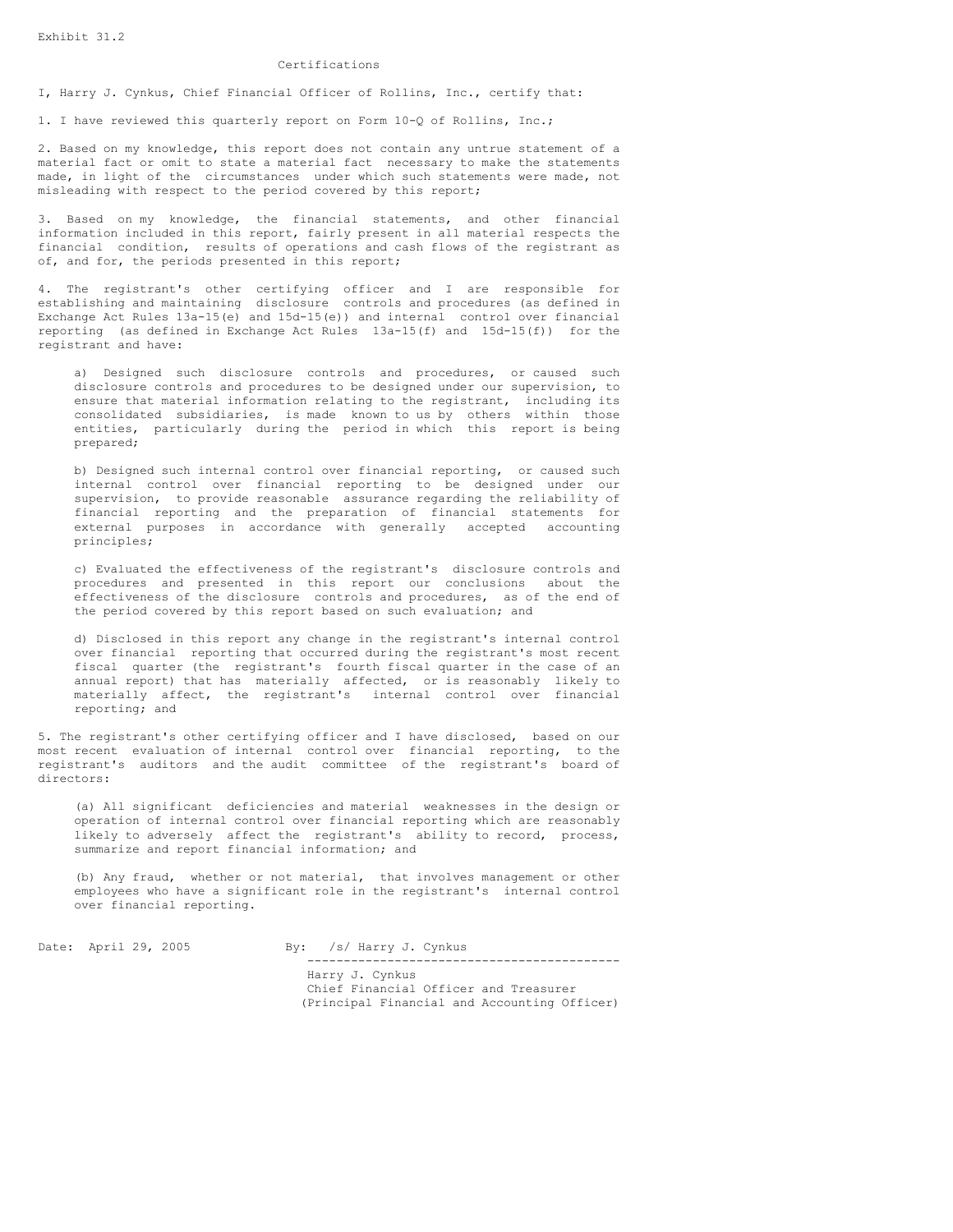# Certifications

I, Harry J. Cynkus, Chief Financial Officer of Rollins, Inc., certify that:

1. I have reviewed this quarterly report on Form 10-Q of Rollins, Inc.;

2. Based on my knowledge, this report does not contain any untrue statement of a material fact or omit to state a material fact necessary to make the statements made, in light of the circumstances under which such statements were made, not misleading with respect to the period covered by this report;

3. Based on my knowledge, the financial statements, and other financial information included in this report, fairly present in all material respects the financial condition, results of operations and cash flows of the registrant as of, and for, the periods presented in this report;

4. The registrant's other certifying officer and I are responsible for establishing and maintaining disclosure controls and procedures (as defined in Exchange Act Rules  $13a-15(e)$  and  $15d-15(e)$ ) and internal control over financial reporting (as defined in Exchange Act Rules 13a-15(f) and 15d-15(f)) for the registrant and have:

a) Designed such disclosure controls and procedures, or caused such disclosure controls and procedures to be designed under our supervision, to ensure that material information relating to the registrant, including its consolidated subsidiaries, is made known to us by others within those entities, particularly during the period in which this report is being prepared;

b) Designed such internal control over financial reporting, or caused such internal control over financial reporting to be designed under our supervision, to provide reasonable assurance regarding the reliability of financial reporting and the preparation of financial statements for external purposes in accordance with generally accepted accounting principles;

c) Evaluated the effectiveness of the registrant's disclosure controls and procedures and presented in this report our conclusions about the effectiveness of the disclosure controls and procedures, as of the end of the period covered by this report based on such evaluation; and

d) Disclosed in this report any change in the registrant's internal control over financial reporting that occurred during the registrant's most recent fiscal quarter (the registrant's fourth fiscal quarter in the case of an annual report) that has materially affected, or is reasonably likely to materially affect, the registrant's internal control over financial reporting; and

5. The registrant's other certifying officer and I have disclosed, based on our most recent evaluation of internal control over financial reporting, to the registrant's auditors and the audit committee of the registrant's board of directors:

(a) All significant deficiencies and material weaknesses in the design or operation of internal control over financial reporting which are reasonably likely to adversely affect the registrant's ability to record, process, summarize and report financial information; and

(b) Any fraud, whether or not material, that involves management or other employees who have a significant role in the registrant's internal control over financial reporting.

Date: April 29, 2005 By: /s/ Harry J. Cynkus

-------------------------------------------

Harry J. Cynkus Chief Financial Officer and Treasurer (Principal Financial and Accounting Officer)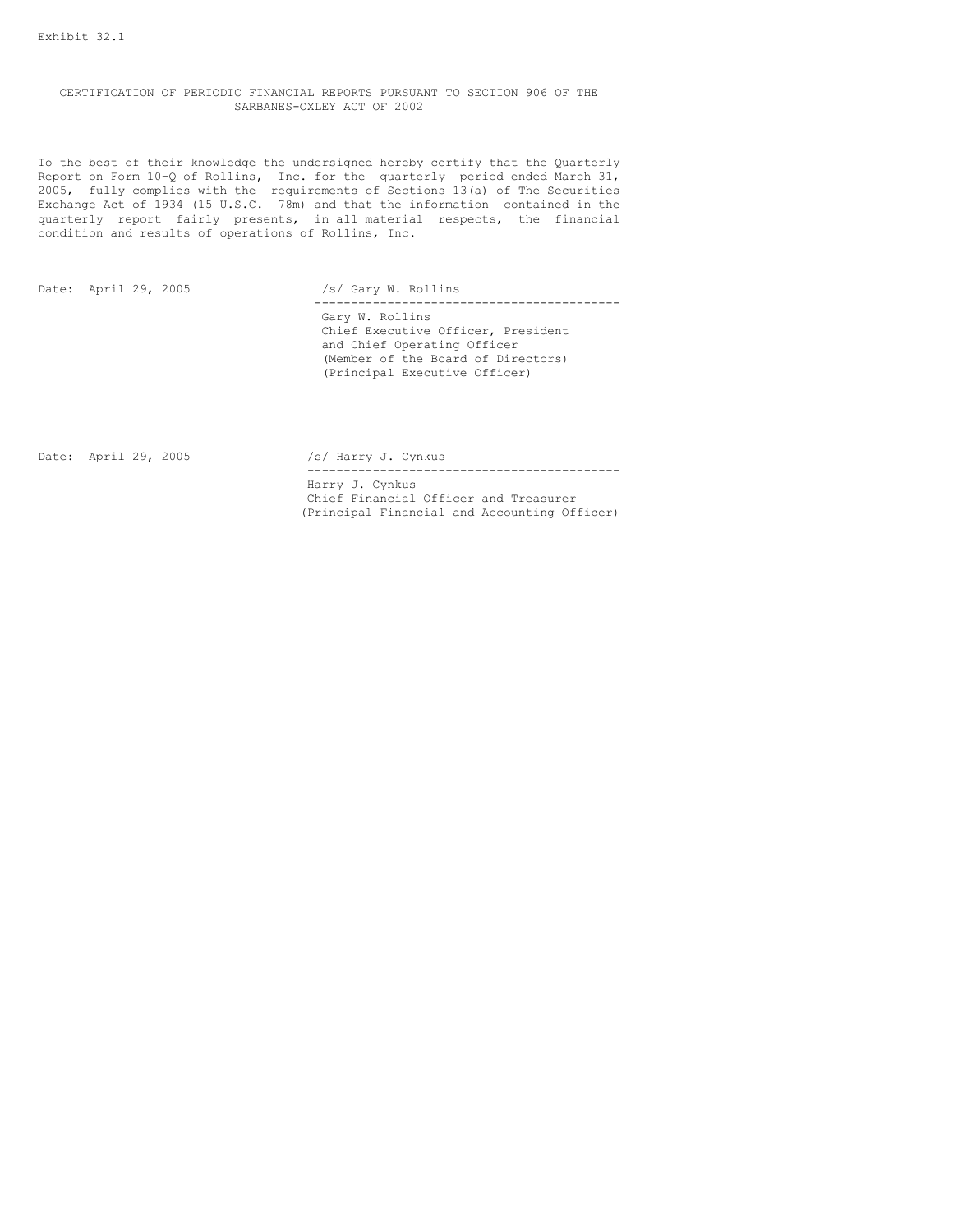CERTIFICATION OF PERIODIC FINANCIAL REPORTS PURSUANT TO SECTION 906 OF THE SARBANES-OXLEY ACT OF 2002

To the best of their knowledge the undersigned hereby certify that the Quarterly Report on Form 10-Q of Rollins, Inc. for the quarterly period ended March 31, 2005, fully complies with the requirements of Sections 13(a) of The Securities Exchange Act of 1934 (15 U.S.C. 78m) and that the information contained in the quarterly report fairly presents, in all material respects, the financial condition and results of operations of Rollins, Inc.

Date: April 29, 2005 /s/ Gary W. Rollins ------------------------------------------ Gary W. Rollins Chief Executive Officer, President and Chief Operating Officer (Member of the Board of Directors) (Principal Executive Officer)

Date: April 29, 2005 /s/ Harry J. Cynkus

------------------------------------------- Harry J. Cynkus Chief Financial Officer and Treasurer (Principal Financial and Accounting Officer)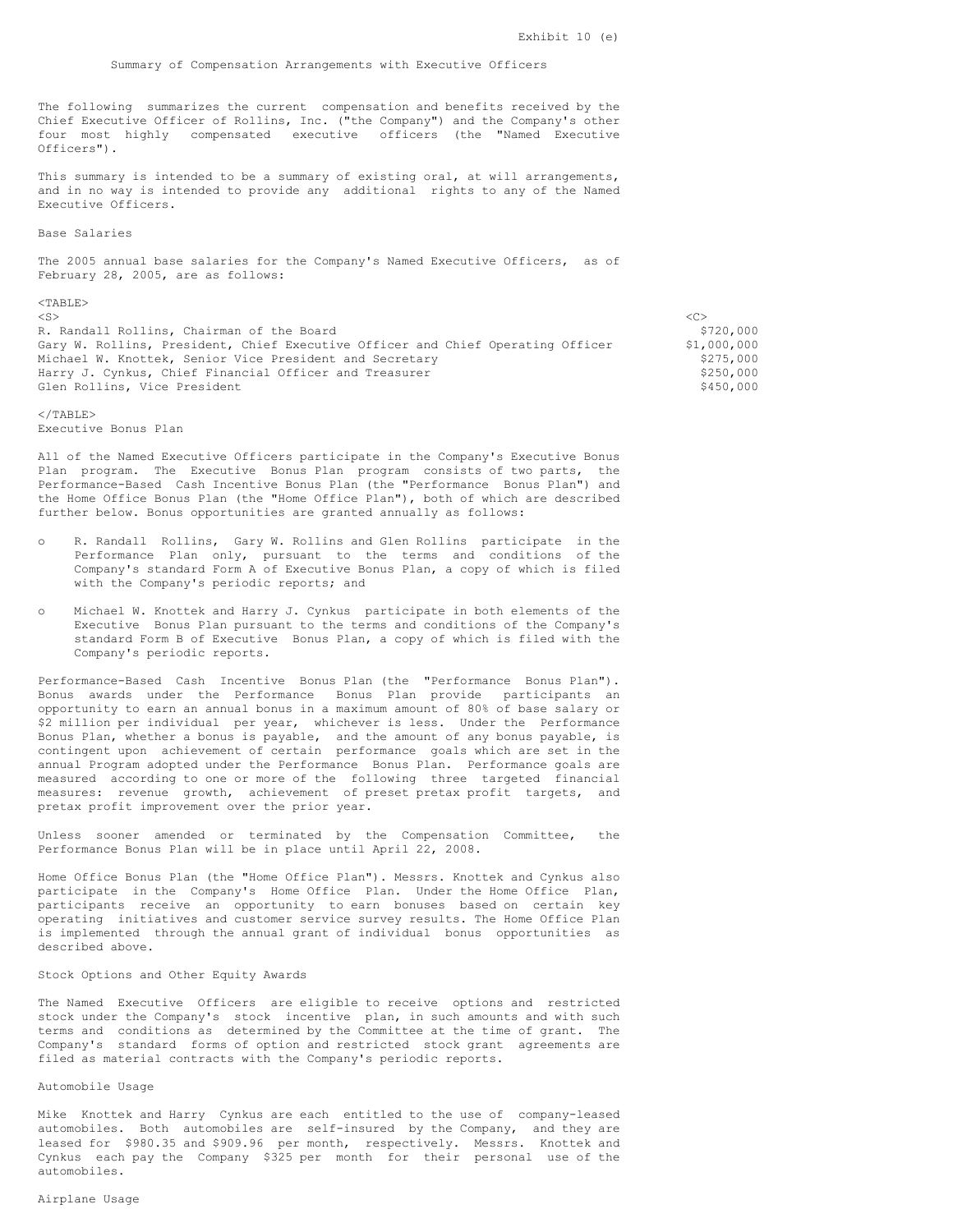#### Summary of Compensation Arrangements with Executive Officers

The following summarizes the current compensation and benefits received by the Chief Executive Officer of Rollins, Inc. ("the Company") and the Company's other four most highly compensated executive officers (the "Named Executive Officers").

This summary is intended to be a summary of existing oral, at will arrangements, and in no way is intended to provide any additional rights to any of the Named Executive Officers.

#### Base Salaries

The 2005 annual base salaries for the Company's Named Executive Officers, as of February 28, 2005, are as follows:

#### $<$ TABLE>

<S> <C>

R. Randall Rollins, Chairman of the Board<br>Gary W. Rollins, President, Chief Executive Officer and Chief Operating Officer \$1,000,000 Gary W. Rollins, President, Chief Executive Officer and Chief Operating Officer \$1,000,000<br>Michael W. Knottek, Senior Vice President and Secretary \$275,000 Michael W. Knottek, Senior Vice President and Secretary Harry J. Cynkus, Chief Financial Officer and Treasurer  $\frac{5250}{100}$  \$250,000<br>Glen Rollins, Vice President Glen Rollins, Vice President

</TABLE> Executive Bonus Plan

All of the Named Executive Officers participate in the Company's Executive Bonus Plan program. The Executive Bonus Plan program consists of two parts, the Performance-Based Cash Incentive Bonus Plan (the "Performance Bonus Plan") and the Home Office Bonus Plan (the "Home Office Plan"), both of which are described further below. Bonus opportunities are granted annually as follows:

- R. Randall Rollins, Gary W. Rollins and Glen Rollins participate in the Performance Plan only, pursuant to the terms and conditions of the Company's standard Form A of Executive Bonus Plan, a copy of which is filed with the Company's periodic reports; and
- o Michael W. Knottek and Harry J. Cynkus participate in both elements of the Executive Bonus Plan pursuant to the terms and conditions of the Company's standard Form B of Executive Bonus Plan, a copy of which is filed with the Company's periodic reports.

Performance-Based Cash Incentive Bonus Plan (the "Performance Bonus Plan"). Bonus awards under the Performance Bonus Plan provide participants an opportunity to earn an annual bonus in a maximum amount of 80% of base salary or \$2 million per individual per year, whichever is less. Under the Performance Bonus Plan, whether a bonus is payable, and the amount of any bonus payable, is contingent upon achievement of certain performance goals which are set in the annual Program adopted under the Performance Bonus Plan. Performance goals are measured according to one or more of the following three targeted financial measures: revenue growth, achievement of preset pretax profit targets, and pretax profit improvement over the prior year.

Unless sooner amended or terminated by the Compensation Committee, the Performance Bonus Plan will be in place until April 22, 2008.

Home Office Bonus Plan (the "Home Office Plan"). Messrs. Knottek and Cynkus also participate in the Company's Home Office Plan. Under the Home Office Plan, participants receive an opportunity to earn bonuses based on certain key operating initiatives and customer service survey results. The Home Office Plan is implemented through the annual grant of individual bonus opportunities as described above.

# Stock Options and Other Equity Awards

The Named Executive Officers are eligible to receive options and restricted stock under the Company's stock incentive plan, in such amounts and with such terms and conditions as determined by the Committee at the time of grant. The Company's standard forms of option and restricted stock grant agreements are filed as material contracts with the Company's periodic reports.

#### Automobile Usage

Mike Knottek and Harry Cynkus are each entitled to the use of company-leased automobiles. Both automobiles are self-insured by the Company, and they are leased for \$980.35 and \$909.96 per month, respectively. Messrs. Knottek and Cynkus each pay the Company \$325 per month for their personal use of the automobiles.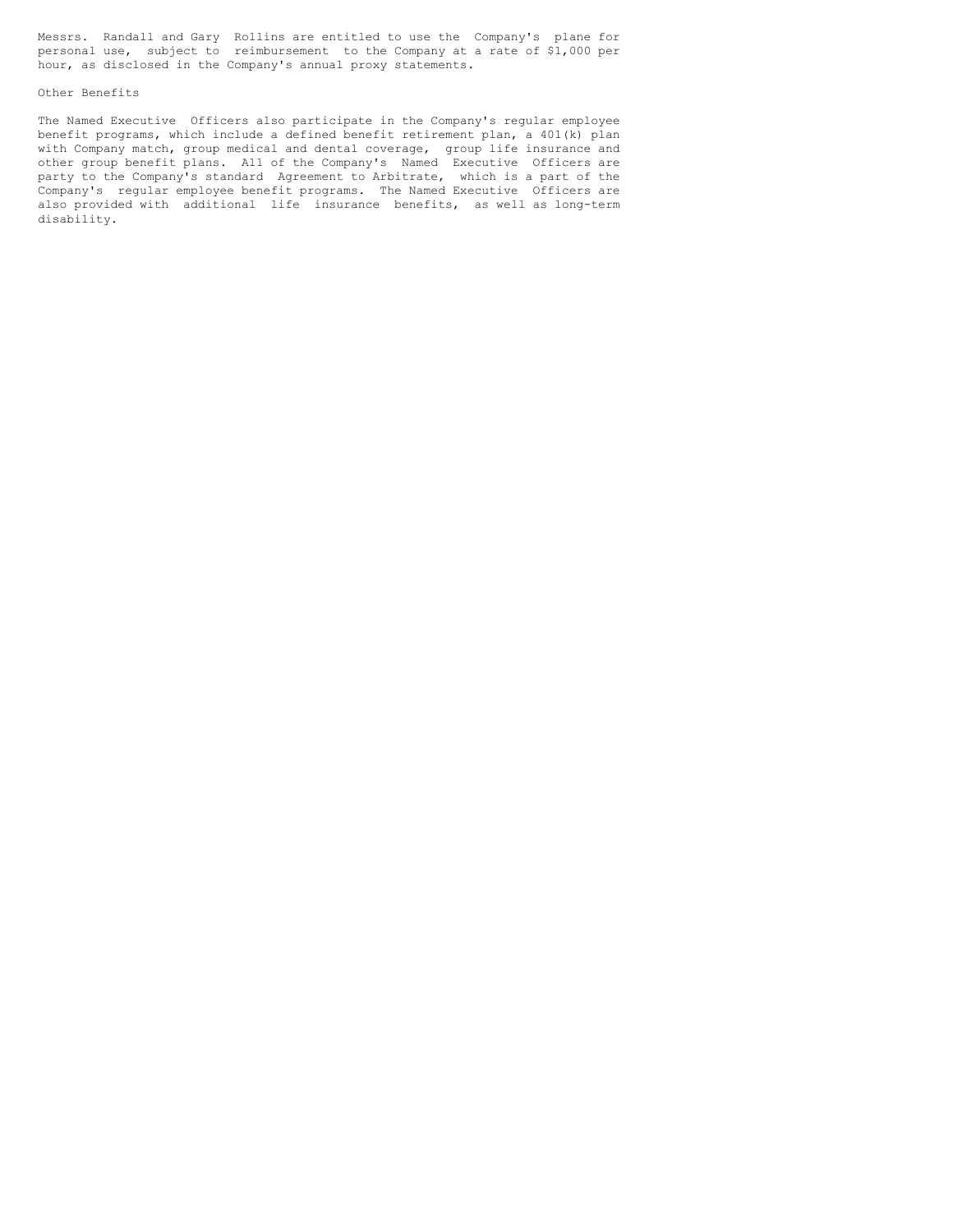Messrs. Randall and Gary Rollins are entitled to use the Company's plane for personal use, subject to reimbursement to the Company at a rate of \$1,000 per hour, as disclosed in the Company's annual proxy statements.

# Other Benefits

The Named Executive Officers also participate in the Company's regular employee benefit programs, which include a defined benefit retirement plan, a 401(k) plan with Company match, group medical and dental coverage, group life insurance and other group benefit plans. All of the Company's Named Executive Officers are party to the Company's standard Agreement to Arbitrate, which is a part of the Company's regular employee benefit programs. The Named Executive Officers are also provided with additional life insurance benefits, as well as long-term disability.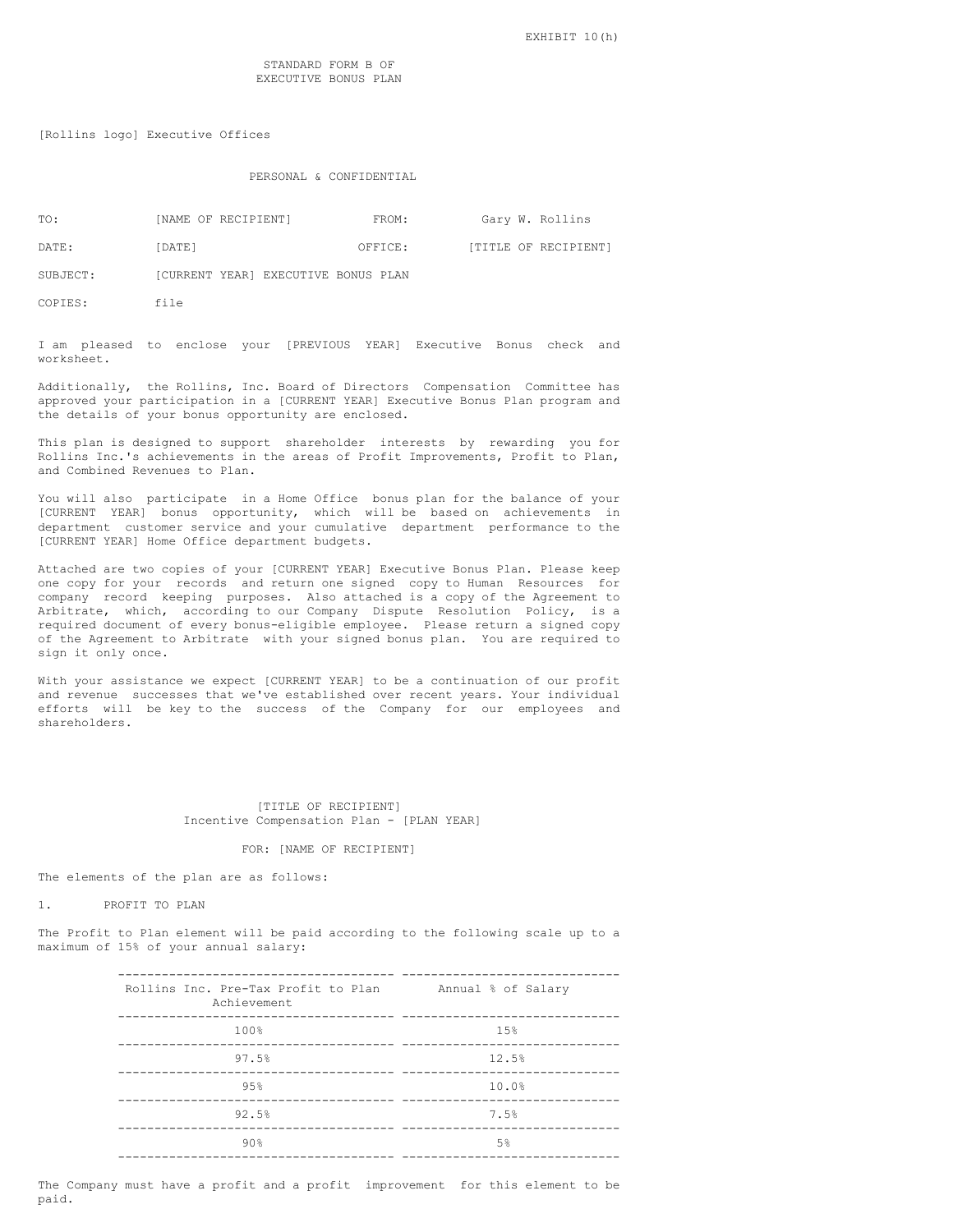[Rollins logo] Executive Offices

# PERSONAL & CONFIDENTIAL

| TO:      | [NAME OF RECIPIENT]                 | FROM:   | Gary W. Rollins      |  |
|----------|-------------------------------------|---------|----------------------|--|
| DATE:    | [DATE]                              | OFFICE: | [TITLE OF RECIPIENT] |  |
| SUBJECT: | [CURRENT YEAR] EXECUTIVE BONUS PLAN |         |                      |  |

COPIES: file

I am pleased to enclose your [PREVIOUS YEAR] Executive Bonus check and worksheet.

Additionally, the Rollins, Inc. Board of Directors Compensation Committee has approved your participation in a [CURRENT YEAR] Executive Bonus Plan program and the details of your bonus opportunity are enclosed.

This plan is designed to support shareholder interests by rewarding you for Rollins Inc.'s achievements in the areas of Profit Improvements, Profit to Plan, and Combined Revenues to Plan.

You will also participate in a Home Office bonus plan for the balance of your [CURRENT YEAR] bonus opportunity, which will be based on achievements in department customer service and your cumulative department performance to the [CURRENT YEAR] Home Office department budgets.

Attached are two copies of your [CURRENT YEAR] Executive Bonus Plan. Please keep one copy for your records and return one signed copy to Human Resources for company record keeping purposes. Also attached is a copy of the Agreement to Arbitrate, which, according to our Company Dispute Resolution Policy, is a required document of every bonus-eligible employee. Please return a signed copy of the Agreement to Arbitrate with your signed bonus plan. You are required to sign it only once.

With your assistance we expect [CURRENT YEAR] to be a continuation of our profit and revenue successes that we've established over recent years. Your individual efforts will be key to the success of the Company for our employees and shareholders.

### [TITLE OF RECIPIENT] Incentive Compensation Plan - [PLAN YEAR]

#### FOR: [NAME OF RECIPIENT]

The elements of the plan are as follows:

1. PROFIT TO PLAN

The Profit to Plan element will be paid according to the following scale up to a maximum of 15% of your annual salary:

| Rollins Inc. Pre-Tax Profit to Plan<br>Achievement | Annual % of Salary |
|----------------------------------------------------|--------------------|
| 100%                                               | 1.5%               |
| 97.5%                                              | 12.5%              |
| 9.5%                                               | 10.0%              |
| 92.5%                                              | 7.5%               |
| 90%                                                | .5%                |
|                                                    |                    |

The Company must have a profit and a profit improvement for this element to be paid.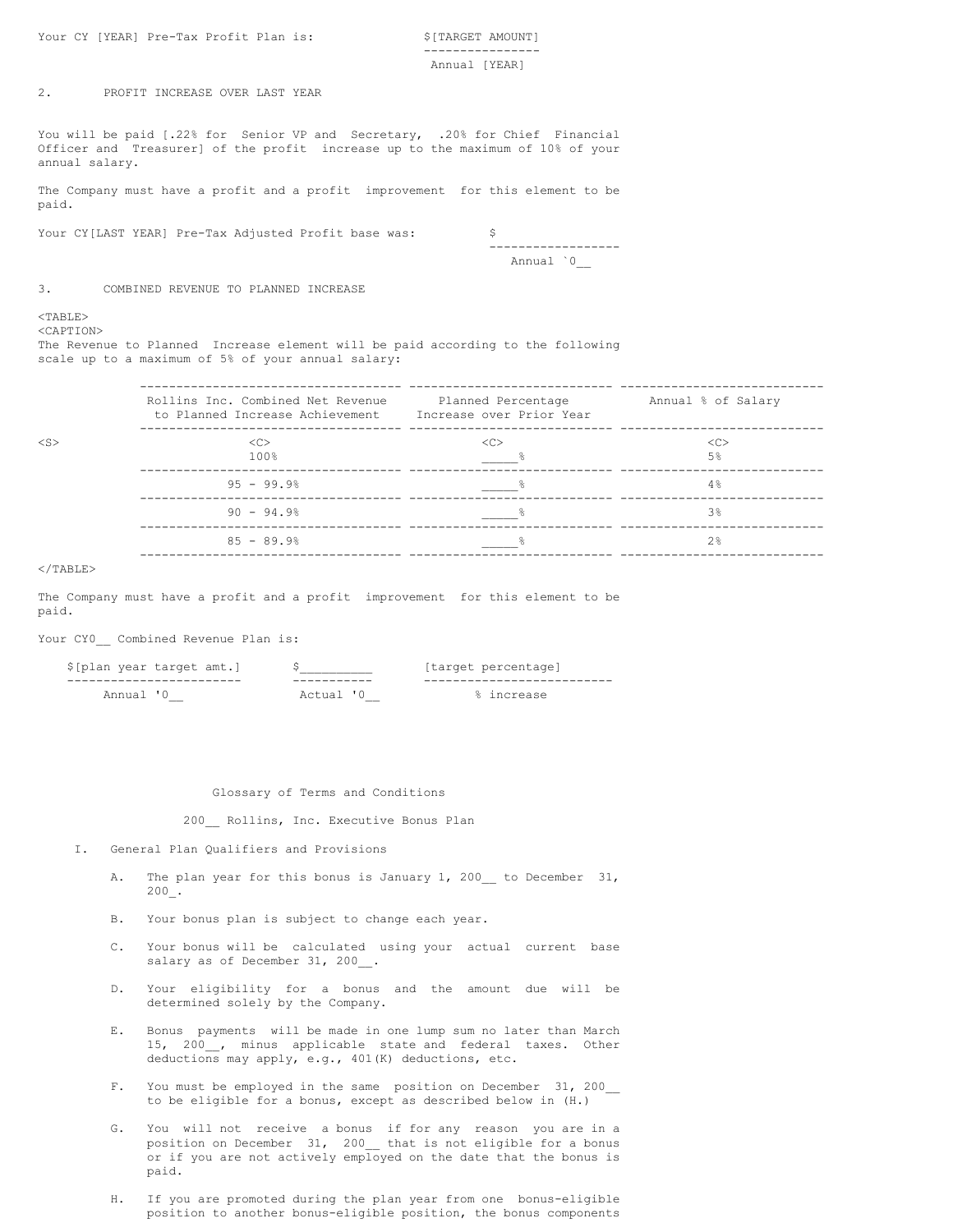Your CY [YEAR] Pre-Tax Profit Plan is: \$[TARGET AMOUNT]

---------------- Annual [YEAR]

# 2. PROFIT INCREASE OVER LAST YEAR

You will be paid [.22% for Senior VP and Secretary, .20% for Chief Financial Officer and Treasurer] of the profit increase up to the maximum of 10% of your annual salary.

The Company must have a profit and a profit improvement for this element to be paid.

Your CY[LAST YEAR] Pre-Tax Adjusted Profit base was: \$

------------------ Annual `0\_\_

3. COMBINED REVENUE TO PLANNED INCREASE

# <TABLE>

<CAPTION>

The Revenue to Planned Increase element will be paid according to the following scale up to a maximum of 5% of your annual salary:

|           | Rollins Inc. Combined Net Revenue<br>to Planned Increase Achievement | Planned Percentage<br>Increase over Prior Year | Annual % of Salary              |
|-----------|----------------------------------------------------------------------|------------------------------------------------|---------------------------------|
| $<$ S $>$ | < <sub><br/>100%</sub>                                               | < <sub></sub>                                  | < <sub><br/>5<sup>°</sup></sub> |
|           | $95 - 99.9%$                                                         |                                                | 4%                              |
|           | $90 - 94.9%$                                                         |                                                | 3 <sup>°</sup>                  |
|           | $85 - 89.9%$                                                         |                                                | 2.8                             |
|           |                                                                      |                                                |                                 |

#### $\langle$ /TABLE>

The Company must have a profit and a profit improvement for this element to be paid.

# Your CY0 Combined Revenue Plan is:

| \$[plan year target amt.] |        | target percentage! |
|---------------------------|--------|--------------------|
|                           |        |                    |
|                           | Actua' |                    |

# Glossary of Terms and Conditions

200\_\_ Rollins, Inc. Executive Bonus Plan

- I. General Plan Qualifiers and Provisions
	- A. The plan year for this bonus is January 1, 200 to December 31, 200\_.
	- B. Your bonus plan is subject to change each year.
	- C. Your bonus will be calculated using your actual current base salary as of December 31, 200.
	- D. Your eligibility for a bonus and the amount due will be determined solely by the Company.
	- E. Bonus payments will be made in one lump sum no later than March 15, 200\_\_, minus applicable state and federal taxes. Other deductions may apply, e.g., 401(K) deductions, etc.
	- F. You must be employed in the same position on December 31, 200 to be eligible for a bonus, except as described below in (H.)
	- You will not receive a bonus if for any reason you are in a position on December 31, 200\_\_ that is not eligible for a bonus or if you are not actively employed on the date that the bonus is paid.
	- H. If you are promoted during the plan year from one bonus-eligible position to another bonus-eligible position, the bonus components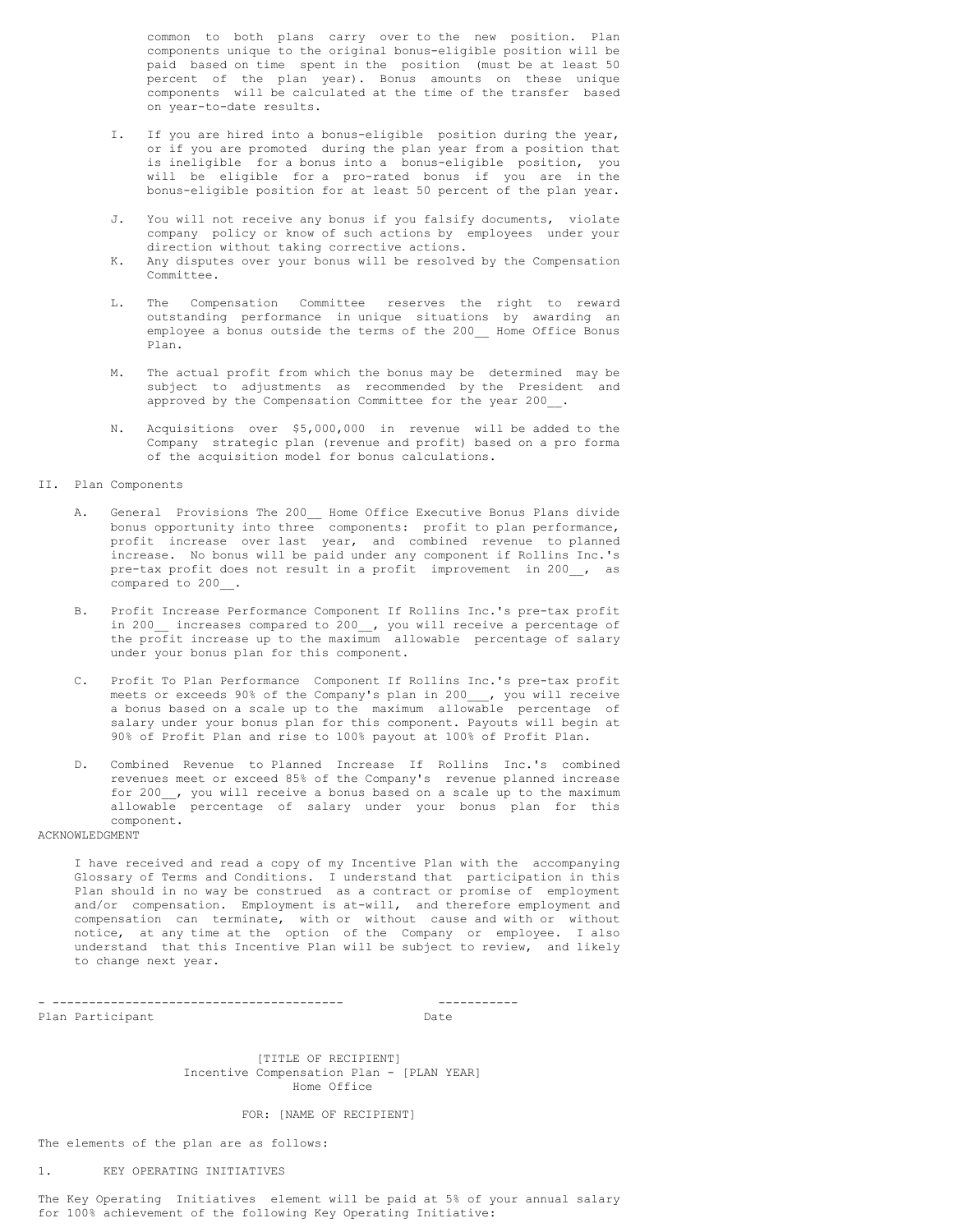common to both plans carry over to the new position. Plan components unique to the original bonus-eligible position will be paid based on time spent in the position (must be at least 50 percent of the plan year). Bonus amounts on these unique components will be calculated at the time of the transfer based on year-to-date results.

- I. If you are hired into a bonus-eligible position during the year, or if you are promoted during the plan year from a position that is ineligible for a bonus into a bonus-eligible position, you will be eligible for a pro-rated bonus if you are in the bonus-eligible position for at least 50 percent of the plan year.
- J. You will not receive any bonus if you falsify documents, violate company policy or know of such actions by employees under your direction without taking corrective actions.
- K. Any disputes over your bonus will be resolved by the Compensation Committee.
- L. The Compensation Committee reserves the right to reward outstanding performance in unique situations by awarding an employee a bonus outside the terms of the 200\_\_ Home Office Bonus Plan.
- M. The actual profit from which the bonus may be determined may be subject to adjustments as recommended by the President and approved by the Compensation Committee for the year 200\_\_.
- N. Acquisitions over \$5,000,000 in revenue will be added to the Company strategic plan (revenue and profit) based on a pro forma of the acquisition model for bonus calculations.

# II. Plan Components

- A. General Provisions The 200\_\_ Home Office Executive Bonus Plans divide bonus opportunity into three components: profit to plan performance, profit increase over last year, and combined revenue to planned increase. No bonus will be paid under any component if Rollins Inc.'s pre-tax profit does not result in a profit improvement in 200\_\_, as compared to 200\_\_.
- B. Profit Increase Performance Component If Rollins Inc.'s pre-tax profit in 200\_\_ increases compared to 200\_\_, you will receive a percentage of the profit increase up to the maximum allowable percentage of salary under your bonus plan for this component.
- C. Profit To Plan Performance Component If Rollins Inc.'s pre-tax profit meets or exceeds 90% of the Company's plan in 200\_\_\_, you will receive a bonus based on a scale up to the maximum allowable percentage of salary under your bonus plan for this component. Payouts will begin at 90% of Profit Plan and rise to 100% payout at 100% of Profit Plan.
- D. Combined Revenue to Planned Increase If Rollins Inc.'s combined revenues meet or exceed 85% of the Company's revenue planned increase for 200\_\_, you will receive a bonus based on a scale up to the maximum allowable percentage of salary under your bonus plan for this component.

# ACKNOWLEDGMENT

I have received and read a copy of my Incentive Plan with the accompanying Glossary of Terms and Conditions. I understand that participation in this Plan should in no way be construed as a contract or promise of employment and/or compensation. Employment is at-will, and therefore employment and compensation can terminate, with or without cause and with or without notice, at any time at the option of the Company or employee. I also understand that this Incentive Plan will be subject to review, and likely to change next year.

Plan Participant **Date** 

- ---------------------------------------- -----------

[TITLE OF RECIPIENT] Incentive Compensation Plan - [PLAN YEAR] Home Office

# FOR: [NAME OF RECIPIENT]

The elements of the plan are as follows:

# 1. KEY OPERATING INITIATIVES

The Key Operating Initiatives element will be paid at 5% of your annual salary for 100% achievement of the following Key Operating Initiative: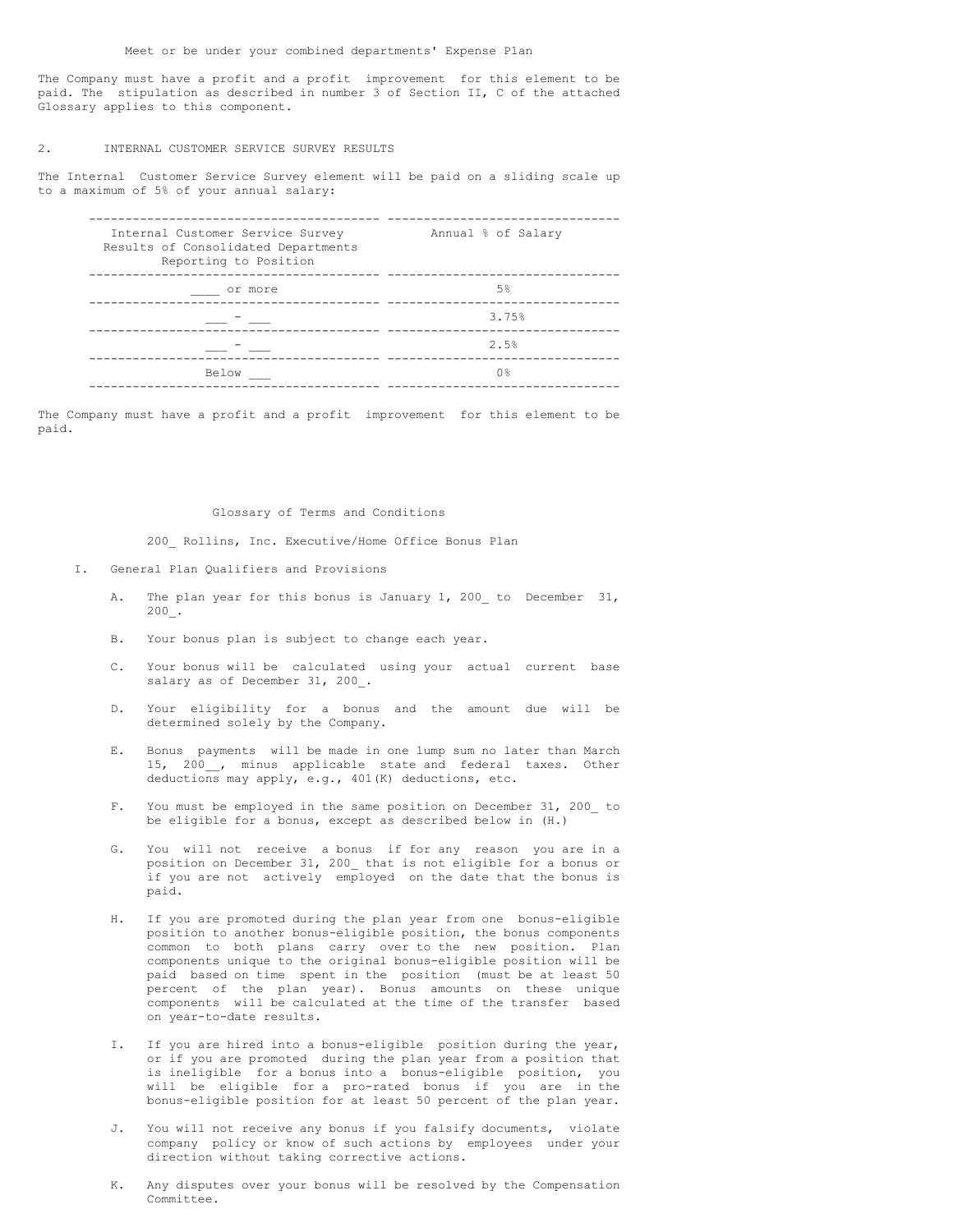The Company must have a profit and a profit improvement for this element to be paid. The stipulation as described in number 3 of Section II, C of the attached Glossary applies to this component.

# 2. INTERNAL CUSTOMER SERVICE SURVEY RESULTS

The Internal Customer Service Survey element will be paid on a sliding scale up to a maximum of 5% of your annual salary:

| Internal Customer Service Survey<br>Results of Consolidated Departments<br>Reporting to Position | Annual % of Salary |
|--------------------------------------------------------------------------------------------------|--------------------|
| or more                                                                                          | .5%                |
|                                                                                                  | 3.75%              |
|                                                                                                  | 2.5%               |
| <b>Below</b>                                                                                     | ∩ ⊱                |

The Company must have a profit and a profit improvement for this element to be paid.

# Glossary of Terms and Conditions

200\_ Rollins, Inc. Executive/Home Office Bonus Plan

- I. General Plan Qualifiers and Provisions
	- A. The plan year for this bonus is January 1, 200 to December 31, 200\_.
	- B. Your bonus plan is subject to change each year.
	- C. Your bonus will be calculated using your actual current base salary as of December 31, 200.
	- D. Your eligibility for a bonus and the amount due will be determined solely by the Company.
	- E. Bonus payments will be made in one lump sum no later than March 15, 200\_\_, minus applicable state and federal taxes. Other deductions may apply, e.g., 401(K) deductions, etc.
	- F. You must be employed in the same position on December 31, 200\_ to be eligible for a bonus, except as described below in (H.)
	- G. You will not receive a bonus if for any reason you are in a position on December 31, 200\_ that is not eligible for a bonus or if you are not actively employed on the date that the bonus is paid.
	- H. If you are promoted during the plan year from one bonus-eligible position to another bonus-eligible position, the bonus components common to both plans carry over to the new position. Plan components unique to the original bonus-eligible position will be paid based on time spent in the position (must be at least 50 percent of the plan year). Bonus amounts on these unique components will be calculated at the time of the transfer based on year-to-date results.
	- I. If you are hired into a bonus-eligible position during the year, or if you are promoted during the plan year from a position that is ineligible for a bonus into a bonus-eligible position, you will be eligible for a pro-rated bonus if you are in the bonus-eligible position for at least 50 percent of the plan year.
	- You will not receive any bonus if you falsify documents, violate company policy or know of such actions by employees under your direction without taking corrective actions.
	- K. Any disputes over your bonus will be resolved by the Compensation Committee.